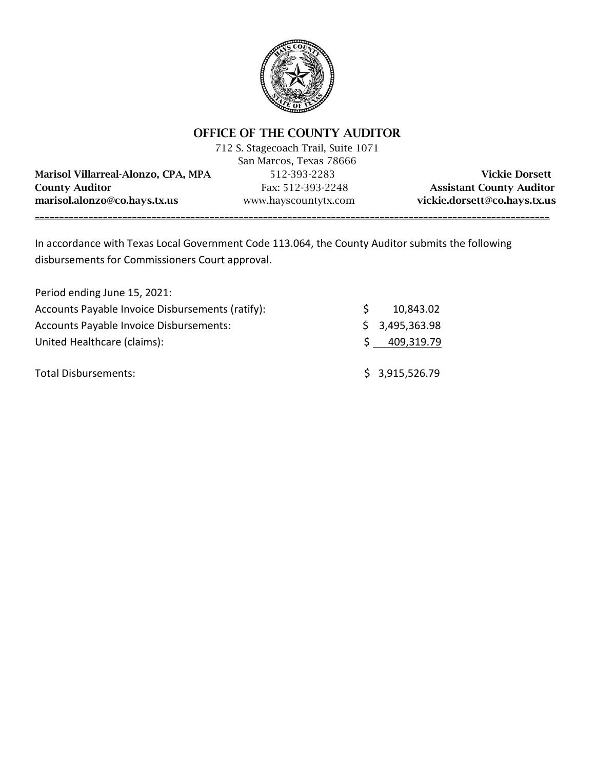

# OFFICE OF THE COUNTY AUDITOR

|                                     | 712 S. Stagecoach Trail, Suite 1071 |                                 |
|-------------------------------------|-------------------------------------|---------------------------------|
|                                     | San Marcos, Texas 78666             |                                 |
| Marisol Villarreal-Alonzo, CPA, MPA | 512-393-2283                        | <b>Vickie Dorsett</b>           |
| <b>County Auditor</b>               | Fax: 512-393-2248                   | <b>Assistant County Auditor</b> |
| marisol.alonzo@co.hays.tx.us        | www.hayscountytx.com                | vickie.dorsett@co.hays.tx.us    |
|                                     |                                     |                                 |

In accordance with Texas Local Government Code 113.064, the County Auditor submits the following disbursements for Commissioners Court approval.

| Period ending June 15, 2021:                     |              |                |
|--------------------------------------------------|--------------|----------------|
| Accounts Payable Invoice Disbursements (ratify): | <sup>S</sup> | 10,843.02      |
| Accounts Payable Invoice Disbursements:          |              | \$3,495,363.98 |
| United Healthcare (claims):                      | S            | 409,319.79     |
| Total Disbursements:                             |              | \$3,915,526.79 |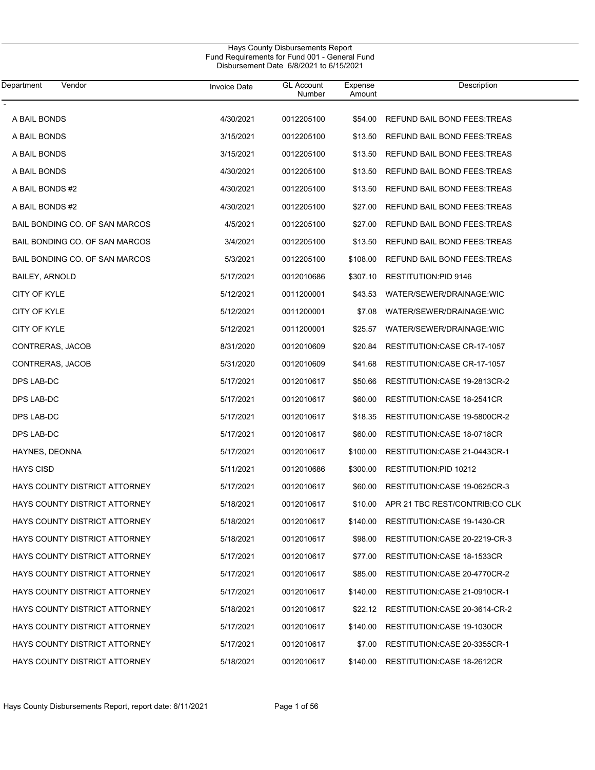| Department<br>Vendor                 | Invoice Date | <b>GL Account</b><br>Number | Expense<br>Amount | Description                            |
|--------------------------------------|--------------|-----------------------------|-------------------|----------------------------------------|
| A BAIL BONDS                         | 4/30/2021    | 0012205100                  | \$54.00           | REFUND BAIL BOND FEES: TREAS           |
| A BAIL BONDS                         | 3/15/2021    | 0012205100                  | \$13.50           | REFUND BAIL BOND FEES: TREAS           |
| A BAIL BONDS                         | 3/15/2021    | 0012205100                  | \$13.50           | REFUND BAIL BOND FEES: TREAS           |
| A BAIL BONDS                         | 4/30/2021    | 0012205100                  | \$13.50           | REFUND BAIL BOND FEES: TREAS           |
| A BAIL BONDS #2                      | 4/30/2021    | 0012205100                  | \$13.50           | REFUND BAIL BOND FEES: TREAS           |
| A BAIL BONDS #2                      | 4/30/2021    | 0012205100                  | \$27.00           | REFUND BAIL BOND FEES: TREAS           |
| BAIL BONDING CO. OF SAN MARCOS       | 4/5/2021     | 0012205100                  | \$27.00           | REFUND BAIL BOND FEES: TREAS           |
| BAIL BONDING CO. OF SAN MARCOS       | 3/4/2021     | 0012205100                  | \$13.50           | REFUND BAIL BOND FEES: TREAS           |
| BAIL BONDING CO. OF SAN MARCOS       | 5/3/2021     | 0012205100                  | \$108.00          | REFUND BAIL BOND FEES: TREAS           |
| <b>BAILEY, ARNOLD</b>                | 5/17/2021    | 0012010686                  | \$307.10          | <b>RESTITUTION:PID 9146</b>            |
| <b>CITY OF KYLE</b>                  | 5/12/2021    | 0011200001                  | \$43.53           | WATER/SEWER/DRAINAGE:WIC               |
| <b>CITY OF KYLE</b>                  | 5/12/2021    | 0011200001                  | \$7.08            | WATER/SEWER/DRAINAGE:WIC               |
| <b>CITY OF KYLE</b>                  | 5/12/2021    | 0011200001                  | \$25.57           | WATER/SEWER/DRAINAGE: WIC              |
| CONTRERAS, JACOB                     | 8/31/2020    | 0012010609                  | \$20.84           | RESTITUTION: CASE CR-17-1057           |
| CONTRERAS, JACOB                     | 5/31/2020    | 0012010609                  | \$41.68           | RESTITUTION: CASE CR-17-1057           |
| DPS LAB-DC                           | 5/17/2021    | 0012010617                  | \$50.66           | RESTITUTION: CASE 19-2813CR-2          |
| DPS LAB-DC                           | 5/17/2021    | 0012010617                  | \$60.00           | RESTITUTION: CASE 18-2541CR            |
| DPS LAB-DC                           | 5/17/2021    | 0012010617                  | \$18.35           | RESTITUTION: CASE 19-5800CR-2          |
| DPS LAB-DC                           | 5/17/2021    | 0012010617                  | \$60.00           | RESTITUTION: CASE 18-0718CR            |
| HAYNES, DEONNA                       | 5/17/2021    | 0012010617                  | \$100.00          | RESTITUTION: CASE 21-0443CR-1          |
| <b>HAYS CISD</b>                     | 5/11/2021    | 0012010686                  | \$300.00          | RESTITUTION:PID 10212                  |
| <b>HAYS COUNTY DISTRICT ATTORNEY</b> | 5/17/2021    | 0012010617                  | \$60.00           | RESTITUTION: CASE 19-0625CR-3          |
| <b>HAYS COUNTY DISTRICT ATTORNEY</b> | 5/18/2021    | 0012010617                  |                   | \$10.00 APR 21 TBC REST/CONTRIB:CO CLK |
| HAYS COUNTY DISTRICT ATTORNEY        | 5/18/2021    | 0012010617                  | \$140.00          | RESTITUTION: CASE 19-1430-CR           |
| <b>HAYS COUNTY DISTRICT ATTORNEY</b> | 5/18/2021    | 0012010617                  | \$98.00           | RESTITUTION: CASE 20-2219-CR-3         |
| <b>HAYS COUNTY DISTRICT ATTORNEY</b> | 5/17/2021    | 0012010617                  | \$77.00           | RESTITUTION: CASE 18-1533CR            |
| <b>HAYS COUNTY DISTRICT ATTORNEY</b> | 5/17/2021    | 0012010617                  | \$85.00           | RESTITUTION:CASE 20-4770CR-2           |
| <b>HAYS COUNTY DISTRICT ATTORNEY</b> | 5/17/2021    | 0012010617                  | \$140.00          | RESTITUTION: CASE 21-0910CR-1          |
| <b>HAYS COUNTY DISTRICT ATTORNEY</b> | 5/18/2021    | 0012010617                  |                   | \$22.12 RESTITUTION: CASE 20-3614-CR-2 |
| <b>HAYS COUNTY DISTRICT ATTORNEY</b> | 5/17/2021    | 0012010617                  | \$140.00          | RESTITUTION: CASE 19-1030CR            |
| <b>HAYS COUNTY DISTRICT ATTORNEY</b> | 5/17/2021    | 0012010617                  | \$7.00            | RESTITUTION: CASE 20-3355CR-1          |
| <b>HAYS COUNTY DISTRICT ATTORNEY</b> | 5/18/2021    | 0012010617                  | \$140.00          | RESTITUTION: CASE 18-2612CR            |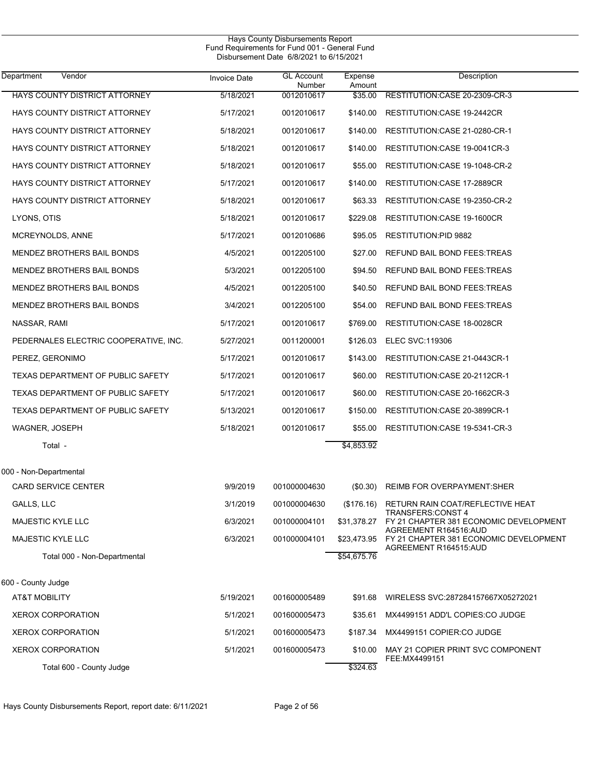|                                       |                     | Hays County Disbursements Report<br>Fund Requirements for Fund 001 - General Fund<br>Disbursement Date 6/8/2021 to 6/15/2021 |                   |                                                                             |
|---------------------------------------|---------------------|------------------------------------------------------------------------------------------------------------------------------|-------------------|-----------------------------------------------------------------------------|
| Vendor<br>Department                  | <b>Invoice Date</b> | <b>GL Account</b><br>Number                                                                                                  | Expense<br>Amount | Description                                                                 |
| HAYS COUNTY DISTRICT ATTORNEY         | 5/18/2021           | 0012010617                                                                                                                   | \$35.00           | RESTITUTION: CASE 20-2309-CR-3                                              |
| HAYS COUNTY DISTRICT ATTORNEY         | 5/17/2021           | 0012010617                                                                                                                   | \$140.00          | RESTITUTION: CASE 19-2442CR                                                 |
| HAYS COUNTY DISTRICT ATTORNEY         | 5/18/2021           | 0012010617                                                                                                                   | \$140.00          | RESTITUTION:CASE 21-0280-CR-1                                               |
| HAYS COUNTY DISTRICT ATTORNEY         | 5/18/2021           | 0012010617                                                                                                                   | \$140.00          | RESTITUTION: CASE 19-0041CR-3                                               |
| HAYS COUNTY DISTRICT ATTORNEY         | 5/18/2021           | 0012010617                                                                                                                   | \$55.00           | RESTITUTION: CASE 19-1048-CR-2                                              |
| HAYS COUNTY DISTRICT ATTORNEY         | 5/17/2021           | 0012010617                                                                                                                   | \$140.00          | RESTITUTION: CASE 17-2889CR                                                 |
| HAYS COUNTY DISTRICT ATTORNEY         | 5/18/2021           | 0012010617                                                                                                                   | \$63.33           | RESTITUTION:CASE 19-2350-CR-2                                               |
| LYONS, OTIS                           | 5/18/2021           | 0012010617                                                                                                                   | \$229.08          | RESTITUTION:CASE 19-1600CR                                                  |
| MCREYNOLDS, ANNE                      | 5/17/2021           | 0012010686                                                                                                                   | \$95.05           | <b>RESTITUTION:PID 9882</b>                                                 |
| <b>MENDEZ BROTHERS BAIL BONDS</b>     | 4/5/2021            | 0012205100                                                                                                                   | \$27.00           | REFUND BAIL BOND FEES: TREAS                                                |
| MENDEZ BROTHERS BAIL BONDS            | 5/3/2021            | 0012205100                                                                                                                   | \$94.50           | REFUND BAIL BOND FEES: TREAS                                                |
| MENDEZ BROTHERS BAIL BONDS            | 4/5/2021            | 0012205100                                                                                                                   | \$40.50           | REFUND BAIL BOND FEES: TREAS                                                |
| MENDEZ BROTHERS BAIL BONDS            | 3/4/2021            | 0012205100                                                                                                                   | \$54.00           | REFUND BAIL BOND FEES: TREAS                                                |
| NASSAR, RAMI                          | 5/17/2021           | 0012010617                                                                                                                   | \$769.00          | RESTITUTION: CASE 18-0028CR                                                 |
| PEDERNALES ELECTRIC COOPERATIVE, INC. | 5/27/2021           | 0011200001                                                                                                                   | \$126.03          | <b>ELEC SVC:119306</b>                                                      |
| PEREZ, GERONIMO                       | 5/17/2021           | 0012010617                                                                                                                   | \$143.00          | RESTITUTION:CASE 21-0443CR-1                                                |
| TEXAS DEPARTMENT OF PUBLIC SAFETY     | 5/17/2021           | 0012010617                                                                                                                   | \$60.00           | RESTITUTION: CASE 20-2112CR-1                                               |
| TEXAS DEPARTMENT OF PUBLIC SAFETY     | 5/17/2021           | 0012010617                                                                                                                   | \$60.00           | RESTITUTION: CASE 20-1662CR-3                                               |
| TEXAS DEPARTMENT OF PUBLIC SAFETY     | 5/13/2021           | 0012010617                                                                                                                   | \$150.00          | RESTITUTION:CASE 20-3899CR-1                                                |
| WAGNER, JOSEPH                        | 5/18/2021           | 0012010617                                                                                                                   | \$55.00           | RESTITUTION: CASE 19-5341-CR-3                                              |
| Total -                               |                     |                                                                                                                              | \$4,853.92        |                                                                             |
| 000 - Non-Departmental                |                     |                                                                                                                              |                   |                                                                             |
| <b>CARD SERVICE CENTER</b>            | 9/9/2019            | 001000004630                                                                                                                 | $($ \$0.30)       | REIMB FOR OVERPAYMENT:SHER                                                  |
| GALLS, LLC                            | 3/1/2019            | 001000004630                                                                                                                 |                   | (\$176.16) RETURN RAIN COAT/REFLECTIVE HEAT                                 |
| <b>MAJESTIC KYLE LLC</b>              | 6/3/2021            | 001000004101                                                                                                                 | \$31,378.27       | <b>TRANSFERS:CONST 4</b><br>FY 21 CHAPTER 381 ECONOMIC DEVELOPMENT          |
| MAJESTIC KYLE LLC                     | 6/3/2021            | 001000004101                                                                                                                 |                   | AGREEMENT R164516:AUD<br>\$23,473.95 FY 21 CHAPTER 381 ECONOMIC DEVELOPMENT |
| Total 000 - Non-Departmental          |                     |                                                                                                                              | \$54,675.76       | AGREEMENT R164515:AUD                                                       |
| 600 - County Judge                    |                     |                                                                                                                              |                   |                                                                             |
| AT&T MOBILITY                         | 5/19/2021           | 001600005489                                                                                                                 | \$91.68           | WIRELESS SVC:287284157667X05272021                                          |
| <b>XEROX CORPORATION</b>              | 5/1/2021            | 001600005473                                                                                                                 | \$35.61           | MX4499151 ADD'L COPIES:CO JUDGE                                             |
| <b>XEROX CORPORATION</b>              | 5/1/2021            | 001600005473                                                                                                                 | \$187.34          | MX4499151 COPIER:CO JUDGE                                                   |
| <b>XEROX CORPORATION</b>              | 5/1/2021            | 001600005473                                                                                                                 | \$10.00           | MAY 21 COPIER PRINT SVC COMPONENT<br>FEE: MX4499151                         |
| Total 600 - County Judge              |                     |                                                                                                                              | \$324.63          |                                                                             |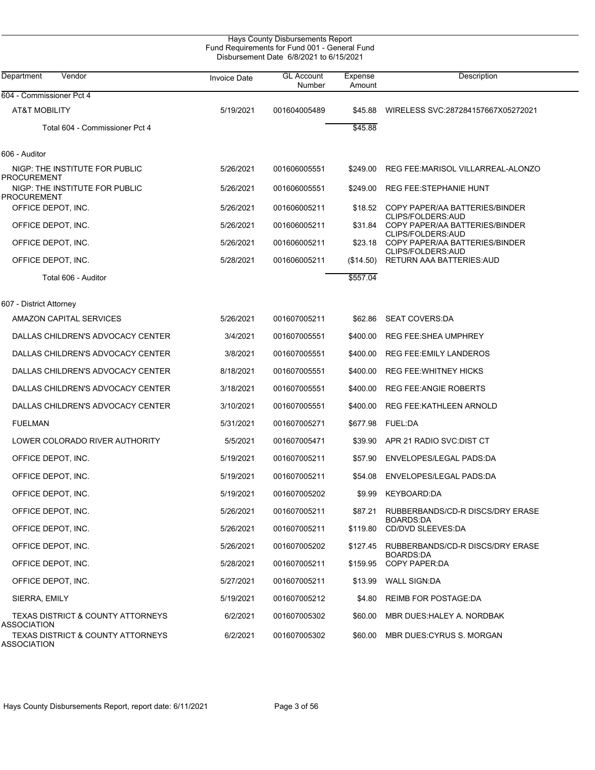|                                                                                   |                     | Hays County Disbursements Report<br>Fund Requirements for Fund 001 - General Fund<br>Disbursement Date 6/8/2021 to 6/15/2021 |                   |                                                       |
|-----------------------------------------------------------------------------------|---------------------|------------------------------------------------------------------------------------------------------------------------------|-------------------|-------------------------------------------------------|
| Vendor<br>Department                                                              | <b>Invoice Date</b> | <b>GL Account</b><br>Number                                                                                                  | Expense<br>Amount | Description                                           |
| 604 - Commissioner Pct 4                                                          |                     |                                                                                                                              |                   |                                                       |
| <b>AT&amp;T MOBILITY</b>                                                          | 5/19/2021           | 001604005489                                                                                                                 | \$45.88           | WIRELESS SVC:287284157667X05272021                    |
| Total 604 - Commissioner Pct 4                                                    |                     |                                                                                                                              | \$45.88           |                                                       |
| 606 - Auditor                                                                     |                     |                                                                                                                              |                   |                                                       |
| NIGP: THE INSTITUTE FOR PUBLIC<br><b>PROCUREMENT</b>                              | 5/26/2021           | 001606005551                                                                                                                 | \$249.00          | REG FEE: MARISOL VILLARREAL-ALONZO                    |
| NIGP: THE INSTITUTE FOR PUBLIC<br>PROCUREMENT                                     | 5/26/2021           | 001606005551                                                                                                                 | \$249.00          | <b>REG FEE:STEPHANIE HUNT</b>                         |
| OFFICE DEPOT, INC.                                                                | 5/26/2021           | 001606005211                                                                                                                 | \$18.52           | COPY PAPER/AA BATTERIES/BINDER                        |
| OFFICE DEPOT, INC.                                                                | 5/26/2021           | 001606005211                                                                                                                 | \$31.84           | CLIPS/FOLDERS: AUD<br>COPY PAPER/AA BATTERIES/BINDER  |
| OFFICE DEPOT, INC.                                                                | 5/26/2021           | 001606005211                                                                                                                 | \$23.18           | CLIPS/FOLDERS: AUD<br>COPY PAPER/AA BATTERIES/BINDER  |
| OFFICE DEPOT, INC.                                                                | 5/28/2021           | 001606005211                                                                                                                 | (\$14.50)         | CLIPS/FOLDERS: AUD<br><b>RETURN AAA BATTERIES:AUD</b> |
| Total 606 - Auditor                                                               |                     |                                                                                                                              | \$557.04          |                                                       |
| 607 - District Attorney                                                           |                     |                                                                                                                              |                   |                                                       |
| AMAZON CAPITAL SERVICES                                                           | 5/26/2021           | 001607005211                                                                                                                 | \$62.86           | <b>SEAT COVERS:DA</b>                                 |
| DALLAS CHILDREN'S ADVOCACY CENTER                                                 | 3/4/2021            | 001607005551                                                                                                                 | \$400.00          | <b>REG FEE:SHEA UMPHREY</b>                           |
| DALLAS CHILDREN'S ADVOCACY CENTER                                                 | 3/8/2021            | 001607005551                                                                                                                 | \$400.00          | <b>REG FEE:EMILY LANDEROS</b>                         |
| DALLAS CHILDREN'S ADVOCACY CENTER                                                 | 8/18/2021           | 001607005551                                                                                                                 | \$400.00          | <b>REG FEE: WHITNEY HICKS</b>                         |
| DALLAS CHILDREN'S ADVOCACY CENTER                                                 | 3/18/2021           | 001607005551                                                                                                                 | \$400.00          | <b>REG FEE: ANGIE ROBERTS</b>                         |
| DALLAS CHILDREN'S ADVOCACY CENTER                                                 | 3/10/2021           | 001607005551                                                                                                                 | \$400.00          | REG FEE: KATHLEEN ARNOLD                              |
| <b>FUELMAN</b>                                                                    | 5/31/2021           | 001607005271                                                                                                                 | \$677.98          | <b>FUEL:DA</b>                                        |
| LOWER COLORADO RIVER AUTHORITY                                                    | 5/5/2021            | 001607005471                                                                                                                 | \$39.90           | APR 21 RADIO SVC DIST CT                              |
| OFFICE DEPOT, INC.                                                                | 5/19/2021           | 001607005211                                                                                                                 | \$57.90           | ENVELOPES/LEGAL PADS:DA                               |
| OFFICE DEPOT, INC.                                                                | 5/19/2021           | 001607005211                                                                                                                 |                   | \$54.08 ENVELOPES/LEGAL PADS:DA                       |
| OFFICE DEPOT, INC.                                                                | 5/19/2021           | 001607005202                                                                                                                 | \$9.99            | KEYBOARD:DA                                           |
| OFFICE DEPOT, INC.                                                                | 5/26/2021           | 001607005211                                                                                                                 | \$87.21           | RUBBERBANDS/CD-R DISCS/DRY ERASE                      |
| OFFICE DEPOT, INC.                                                                | 5/26/2021           | 001607005211                                                                                                                 | \$119.80          | BOARDS DA<br>CD/DVD SLEEVES:DA                        |
| OFFICE DEPOT, INC.                                                                | 5/26/2021           | 001607005202                                                                                                                 | \$127.45          | RUBBERBANDS/CD-R DISCS/DRY ERASE                      |
| OFFICE DEPOT, INC.                                                                | 5/28/2021           | 001607005211                                                                                                                 | \$159.95          | <b>BOARDS:DA</b><br><b>COPY PAPER:DA</b>              |
| OFFICE DEPOT, INC.                                                                | 5/27/2021           | 001607005211                                                                                                                 | \$13.99           | <b>WALL SIGN:DA</b>                                   |
| SIERRA, EMILY                                                                     | 5/19/2021           | 001607005212                                                                                                                 | \$4.80            | <b>REIMB FOR POSTAGE:DA</b>                           |
| TEXAS DISTRICT & COUNTY ATTORNEYS                                                 | 6/2/2021            | 001607005302                                                                                                                 | \$60.00           | MBR DUES: HALEY A. NORDBAK                            |
| ASSOCIATION<br><b>TEXAS DISTRICT &amp; COUNTY ATTORNEYS</b><br><b>ASSOCIATION</b> | 6/2/2021            | 001607005302                                                                                                                 | \$60.00           | MBR DUES: CYRUS S. MORGAN                             |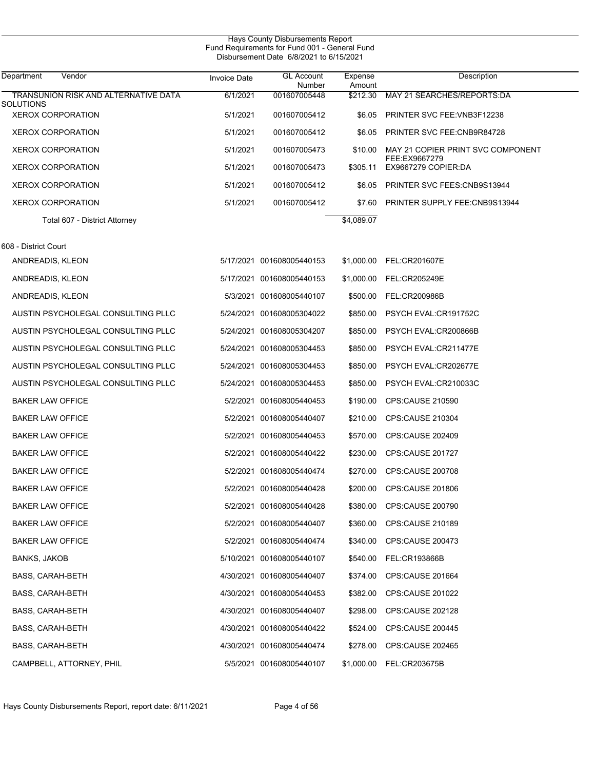| Vendor<br>Department                  | <b>Invoice Date</b> | <b>GL Account</b><br>Number | Expense<br>Amount | Description                          |
|---------------------------------------|---------------------|-----------------------------|-------------------|--------------------------------------|
| TRANSUNION RISK AND ALTERNATIVE DATA  | 6/1/2021            | 001607005448                | \$212.30          | MAY 21 SEARCHES/REPORTS: DA          |
| SOLUTIONS<br><b>XEROX CORPORATION</b> | 5/1/2021            | 001607005412                | \$6.05            | <b>PRINTER SVC FEE: VNB3F12238</b>   |
| <b>XEROX CORPORATION</b>              | 5/1/2021            | 001607005412                | \$6.05            | PRINTER SVC FEE: CNB9R84728          |
| <b>XEROX CORPORATION</b>              | 5/1/2021            | 001607005473                | \$10.00           | MAY 21 COPIER PRINT SVC COMPONENT    |
| <b>XEROX CORPORATION</b>              | 5/1/2021            | 001607005473                | \$305.11          | FEE:EX9667279<br>EX9667279 COPIER:DA |
| <b>XEROX CORPORATION</b>              | 5/1/2021            | 001607005412                | \$6.05            | <b>PRINTER SVC FEES: CNB9S13944</b>  |
| <b>XEROX CORPORATION</b>              | 5/1/2021            | 001607005412                | \$7.60            | <b>PRINTER SUPPLY FEE:CNB9S13944</b> |
| Total 607 - District Attorney         |                     |                             | \$4,089.07        |                                      |
| 608 - District Court                  |                     |                             |                   |                                      |
| ANDREADIS, KLEON                      |                     | 5/17/2021 001608005440153   |                   | \$1,000.00 FEL:CR201607E             |
| ANDREADIS, KLEON                      |                     | 5/17/2021 001608005440153   | \$1,000.00        | FEL:CR205249E                        |
| ANDREADIS, KLEON                      |                     | 5/3/2021 001608005440107    | \$500.00          | FEL:CR200986B                        |
| AUSTIN PSYCHOLEGAL CONSULTING PLLC    |                     | 5/24/2021 001608005304022   | \$850.00          | PSYCH EVAL:CR191752C                 |
| AUSTIN PSYCHOLEGAL CONSULTING PLLC    |                     | 5/24/2021 001608005304207   | \$850.00          | PSYCH EVAL:CR200866B                 |
| AUSTIN PSYCHOLEGAL CONSULTING PLLC    |                     | 5/24/2021 001608005304453   | \$850.00          | PSYCH EVAL:CR211477E                 |
| AUSTIN PSYCHOLEGAL CONSULTING PLLC    |                     | 5/24/2021 001608005304453   | \$850.00          | PSYCH EVAL:CR202677E                 |
| AUSTIN PSYCHOLEGAL CONSULTING PLLC    |                     | 5/24/2021 001608005304453   | \$850.00          | PSYCH EVAL:CR210033C                 |
| <b>BAKER LAW OFFICE</b>               |                     | 5/2/2021 001608005440453    | \$190.00          | <b>CPS:CAUSE 210590</b>              |
| <b>BAKER LAW OFFICE</b>               | 5/2/2021            | 001608005440407             | \$210.00          | <b>CPS:CAUSE 210304</b>              |
| <b>BAKER LAW OFFICE</b>               |                     | 5/2/2021 001608005440453    |                   | \$570.00 CPS:CAUSE 202409            |
| <b>BAKER LAW OFFICE</b>               |                     | 5/2/2021 001608005440422    |                   | \$230.00 CPS:CAUSE 201727            |
| <b>BAKER LAW OFFICE</b>               |                     | 5/2/2021 001608005440474    |                   | \$270.00 CPS:CAUSE 200708            |
| <b>BAKER LAW OFFICE</b>               |                     | 5/2/2021 001608005440428    |                   | \$200.00 CPS:CAUSE 201806            |
| <b>BAKER LAW OFFICE</b>               |                     | 5/2/2021 001608005440428    |                   | \$380.00 CPS:CAUSE 200790            |
| <b>BAKER LAW OFFICE</b>               |                     | 5/2/2021 001608005440407    |                   | \$360.00 CPS:CAUSE 210189            |
| <b>BAKER LAW OFFICE</b>               |                     | 5/2/2021 001608005440474    |                   | \$340.00 CPS:CAUSE 200473            |
| <b>BANKS, JAKOB</b>                   |                     | 5/10/2021 001608005440107   | \$540.00          | <b>FEL:CR193866B</b>                 |
| <b>BASS, CARAH-BETH</b>               |                     | 4/30/2021 001608005440407   | \$374.00          | CPS:CAUSE 201664                     |
| <b>BASS, CARAH-BETH</b>               |                     | 4/30/2021 001608005440453   |                   | \$382.00 CPS:CAUSE 201022            |
| BASS, CARAH-BETH                      |                     | 4/30/2021 001608005440407   |                   | \$298.00 CPS:CAUSE 202128            |
| BASS, CARAH-BETH                      |                     | 4/30/2021 001608005440422   |                   | \$524.00 CPS:CAUSE 200445            |
| <b>BASS, CARAH-BETH</b>               |                     | 4/30/2021 001608005440474   |                   | \$278.00 CPS:CAUSE 202465            |
| CAMPBELL, ATTORNEY, PHIL              |                     | 5/5/2021 001608005440107    |                   | \$1,000.00 FEL:CR203675B             |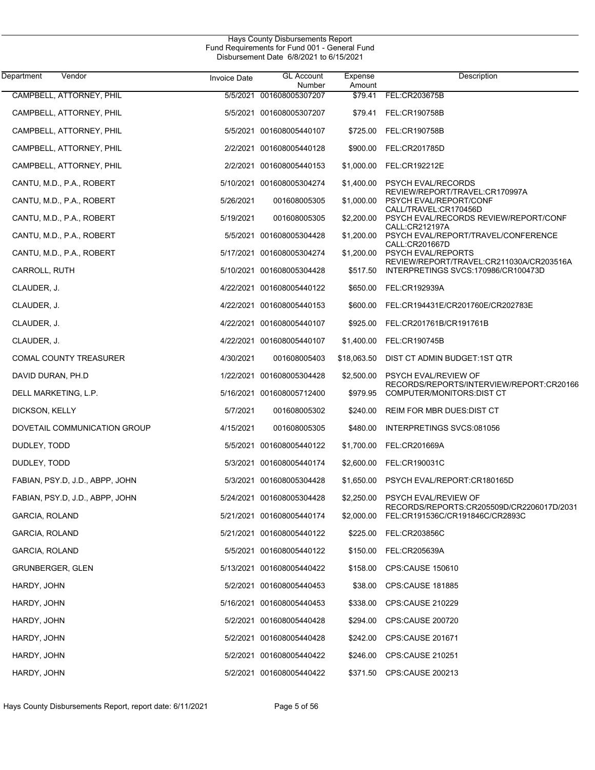| Department<br>Vendor            | <b>Invoice Date</b> | <b>GL Account</b><br>Number | Expense<br>Amount | Description                                                                     |
|---------------------------------|---------------------|-----------------------------|-------------------|---------------------------------------------------------------------------------|
| CAMPBELL, ATTORNEY, PHIL        |                     | 5/5/2021 001608005307207    | \$79.41           | FEL:CR203675B                                                                   |
| CAMPBELL, ATTORNEY, PHIL        |                     | 5/5/2021 001608005307207    | \$79.41           | <b>FEL:CR190758B</b>                                                            |
| CAMPBELL, ATTORNEY, PHIL        |                     | 5/5/2021 001608005440107    | \$725.00          | FEL:CR190758B                                                                   |
| CAMPBELL, ATTORNEY, PHIL        |                     | 2/2/2021 001608005440128    | \$900.00          | FEL:CR201785D                                                                   |
| CAMPBELL, ATTORNEY, PHIL        |                     | 2/2/2021 001608005440153    | \$1,000.00        | FEL:CR192212E                                                                   |
| CANTU, M.D., P.A., ROBERT       |                     | 5/10/2021 001608005304274   | \$1,400.00        | <b>PSYCH EVAL/RECORDS</b>                                                       |
| CANTU, M.D., P.A., ROBERT       | 5/26/2021           | 001608005305                | \$1,000.00        | REVIEW/REPORT/TRAVEL:CR170997A<br>PSYCH EVAL/REPORT/CONF                        |
| CANTU, M.D., P.A., ROBERT       | 5/19/2021           | 001608005305                | \$2,200.00        | CALL/TRAVEL:CR170456D<br>PSYCH EVAL/RECORDS REVIEW/REPORT/CONF                  |
| CANTU, M.D., P.A., ROBERT       |                     | 5/5/2021 001608005304428    | \$1,200.00        | CALL:CR212197A<br>PSYCH EVAL/REPORT/TRAVEL/CONFERENCE                           |
| CANTU, M.D., P.A., ROBERT       |                     | 5/17/2021 001608005304274   | \$1,200.00        | CALL:CR201667D<br><b>PSYCH EVAL/REPORTS</b>                                     |
| CARROLL, RUTH                   |                     | 5/10/2021 001608005304428   | \$517.50          | REVIEW/REPORT/TRAVEL:CR211030A/CR203516A<br>INTERPRETINGS SVCS:170986/CR100473D |
| CLAUDER, J.                     |                     | 4/22/2021 001608005440122   | \$650.00          | FEL:CR192939A                                                                   |
| CLAUDER, J.                     |                     | 4/22/2021 001608005440153   | \$600.00          | FEL:CR194431E/CR201760E/CR202783E                                               |
| CLAUDER, J.                     |                     | 4/22/2021 001608005440107   | \$925.00          | FEL:CR201761B/CR191761B                                                         |
| CLAUDER, J.                     |                     | 4/22/2021 001608005440107   | \$1,400.00        | FEL:CR190745B                                                                   |
| <b>COMAL COUNTY TREASURER</b>   | 4/30/2021           | 001608005403                | \$18,063.50       | DIST CT ADMIN BUDGET:1ST QTR                                                    |
| DAVID DURAN, PH.D               |                     | 1/22/2021 001608005304428   | \$2,500.00        | PSYCH EVAL/REVIEW OF                                                            |
| DELL MARKETING, L.P.            |                     | 5/16/2021 001608005712400   | \$979.95          | RECORDS/REPORTS/INTERVIEW/REPORT:CR20166<br>COMPUTER/MONITORS: DIST CT          |
| DICKSON, KELLY                  | 5/7/2021            | 001608005302                | \$240.00          | REIM FOR MBR DUES: DIST CT                                                      |
| DOVETAIL COMMUNICATION GROUP    | 4/15/2021           | 001608005305                | \$480.00          | INTERPRETINGS SVCS:081056                                                       |
| DUDLEY, TODD                    |                     | 5/5/2021 001608005440122    | \$1,700.00        | FEL:CR201669A                                                                   |
| DUDLEY, TODD                    |                     | 5/3/2021 001608005440174    | \$2,600.00        | FEL:CR190031C                                                                   |
| FABIAN, PSY.D, J.D., ABPP, JOHN |                     | 5/3/2021 001608005304428    | \$1,650.00        | PSYCH EVAL/REPORT: CR180165D                                                    |
| FABIAN, PSY.D, J.D., ABPP, JOHN |                     | 5/24/2021 001608005304428   | \$2,250.00        | PSYCH EVAL/REVIEW OF                                                            |
| <b>GARCIA, ROLAND</b>           |                     | 5/21/2021 001608005440174   | \$2,000.00        | RECORDS/REPORTS:CR205509D/CR2206017D/2031<br>FEL:CR191536C/CR191846C/CR2893C    |
| GARCIA, ROLAND                  |                     | 5/21/2021 001608005440122   | \$225.00          | FEL:CR203856C                                                                   |
| <b>GARCIA, ROLAND</b>           |                     | 5/5/2021 001608005440122    | \$150.00          | FEL:CR205639A                                                                   |
| <b>GRUNBERGER, GLEN</b>         |                     | 5/13/2021 001608005440422   | \$158.00          | <b>CPS:CAUSE 150610</b>                                                         |
| HARDY, JOHN                     |                     | 5/2/2021 001608005440453    | \$38.00           | <b>CPS:CAUSE 181885</b>                                                         |
| HARDY, JOHN                     |                     | 5/16/2021 001608005440453   | \$338.00          | CPS:CAUSE 210229                                                                |
| HARDY, JOHN                     |                     | 5/2/2021 001608005440428    | \$294.00          | CPS:CAUSE 200720                                                                |
| HARDY, JOHN                     |                     | 5/2/2021 001608005440428    | \$242.00          | CPS:CAUSE 201671                                                                |
| HARDY, JOHN                     |                     | 5/2/2021 001608005440422    | \$246.00          | CPS:CAUSE 210251                                                                |
| HARDY, JOHN                     |                     | 5/2/2021 001608005440422    | \$371.50          | CPS:CAUSE 200213                                                                |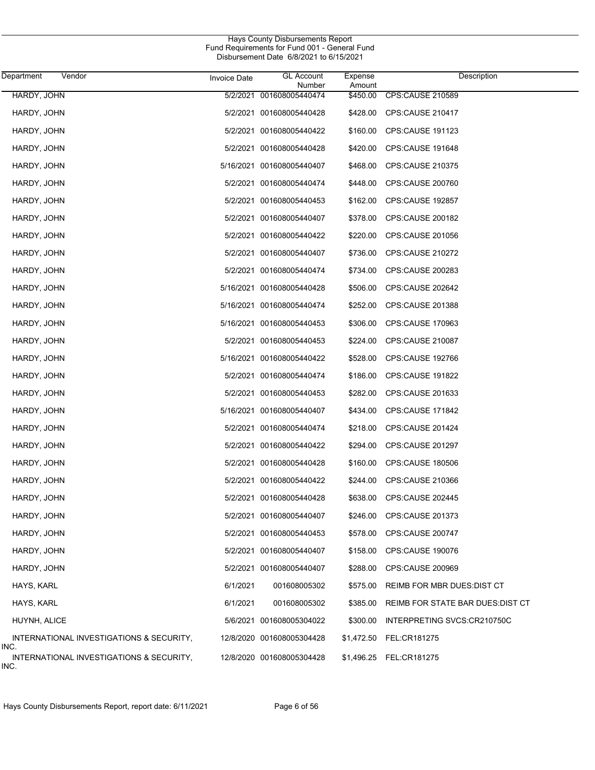| Department<br>Vendor                                     | <b>Invoice Date</b> | <b>GL Account</b>                  | Expense            | Description                      |
|----------------------------------------------------------|---------------------|------------------------------------|--------------------|----------------------------------|
| HARDY, JOHN                                              |                     | Number<br>5/2/2021 001608005440474 | Amount<br>\$450.00 | <b>CPS:CAUSE 210589</b>          |
|                                                          |                     |                                    |                    |                                  |
| HARDY, JOHN                                              |                     | 5/2/2021 001608005440428           |                    | \$428.00 CPS:CAUSE 210417        |
| HARDY, JOHN                                              |                     | 5/2/2021 001608005440422           | \$160.00           | <b>CPS:CAUSE 191123</b>          |
| HARDY, JOHN                                              |                     | 5/2/2021 001608005440428           | \$420.00           | CPS:CAUSE 191648                 |
| HARDY, JOHN                                              |                     | 5/16/2021 001608005440407          | \$468.00           | CPS:CAUSE 210375                 |
| HARDY, JOHN                                              |                     | 5/2/2021 001608005440474           | \$448.00           | CPS:CAUSE 200760                 |
| HARDY, JOHN                                              |                     | 5/2/2021 001608005440453           | \$162.00           | <b>CPS:CAUSE 192857</b>          |
| HARDY, JOHN                                              |                     | 5/2/2021 001608005440407           | \$378.00           | CPS:CAUSE 200182                 |
| HARDY, JOHN                                              |                     | 5/2/2021 001608005440422           | \$220.00           | CPS:CAUSE 201056                 |
| HARDY, JOHN                                              |                     | 5/2/2021 001608005440407           | \$736.00           | CPS:CAUSE 210272                 |
| HARDY, JOHN                                              |                     | 5/2/2021 001608005440474           | \$734.00           | CPS:CAUSE 200283                 |
| HARDY, JOHN                                              |                     | 5/16/2021 001608005440428          | \$506.00           | CPS:CAUSE 202642                 |
| HARDY, JOHN                                              |                     | 5/16/2021 001608005440474          | \$252.00           | <b>CPS:CAUSE 201388</b>          |
| HARDY, JOHN                                              |                     | 5/16/2021 001608005440453          | \$306.00           | CPS:CAUSE 170963                 |
| HARDY, JOHN                                              |                     | 5/2/2021 001608005440453           | \$224.00           | <b>CPS:CAUSE 210087</b>          |
| HARDY, JOHN                                              |                     | 5/16/2021 001608005440422          | \$528.00           | CPS:CAUSE 192766                 |
| HARDY, JOHN                                              |                     | 5/2/2021 001608005440474           | \$186.00           | <b>CPS CAUSE 191822</b>          |
| HARDY, JOHN                                              |                     | 5/2/2021 001608005440453           | \$282.00           | CPS:CAUSE 201633                 |
| HARDY, JOHN                                              |                     | 5/16/2021 001608005440407          | \$434.00           | CPS:CAUSE 171842                 |
| HARDY, JOHN                                              |                     | 5/2/2021 001608005440474           | \$218.00           | CPS:CAUSE 201424                 |
| HARDY, JOHN                                              |                     | 5/2/2021 001608005440422           | \$294.00           | CPS:CAUSE 201297                 |
| HARDY, JOHN                                              |                     | 5/2/2021 001608005440428           | \$160.00           | <b>CPS:CAUSE 180506</b>          |
| HARDY, JOHN                                              |                     | 5/2/2021 001608005440422           | \$244.00           | <b>CPS:CAUSE 210366</b>          |
| HARDY, JOHN                                              |                     | 5/2/2021 001608005440428           | \$638.00           | CPS:CAUSE 202445                 |
| HARDY, JOHN                                              |                     | 5/2/2021 001608005440407           |                    | \$246.00 CPS:CAUSE 201373        |
| HARDY, JOHN                                              |                     | 5/2/2021 001608005440453           | \$578.00           | CPS:CAUSE 200747                 |
| HARDY, JOHN                                              |                     | 5/2/2021 001608005440407           | \$158.00           | CPS:CAUSE 190076                 |
| HARDY, JOHN                                              |                     | 5/2/2021 001608005440407           | \$288.00           | <b>CPS:CAUSE 200969</b>          |
| HAYS, KARL                                               | 6/1/2021            | 001608005302                       | \$575.00           | REIMB FOR MBR DUES: DIST CT      |
| HAYS, KARL                                               | 6/1/2021            | 001608005302                       | \$385.00           | REIMB FOR STATE BAR DUES DIST CT |
| HUYNH, ALICE                                             |                     | 5/6/2021 001608005304022           | \$300.00           | INTERPRETING SVCS:CR210750C      |
| INTERNATIONAL INVESTIGATIONS & SECURITY,                 |                     | 12/8/2020 001608005304428          | \$1,472.50         | FEL:CR181275                     |
| INC.<br>INTERNATIONAL INVESTIGATIONS & SECURITY,<br>INC. |                     | 12/8/2020 001608005304428          |                    | \$1,496.25 FEL:CR181275          |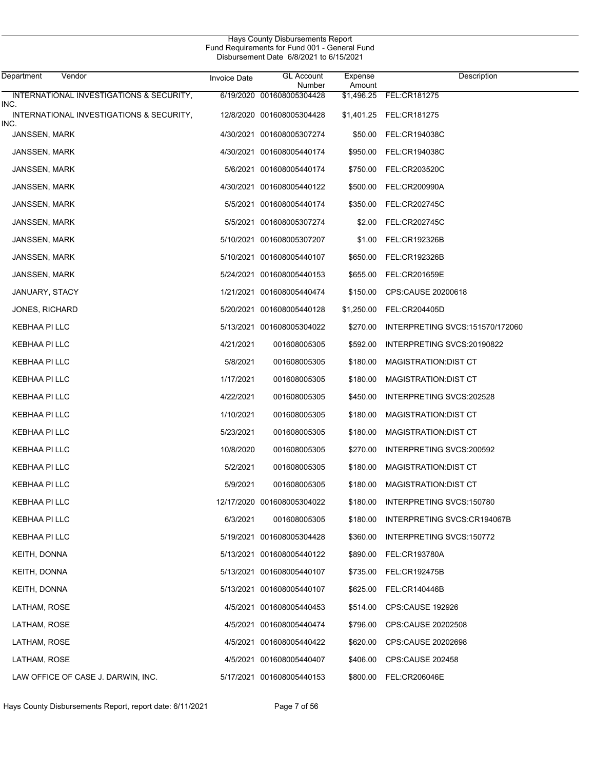| Hays County Disbursements Report              |
|-----------------------------------------------|
| Fund Requirements for Fund 001 - General Fund |
| Disbursement Date 6/8/2021 to 6/15/2021       |

| Department<br>Vendor                             | <b>Invoice Date</b> | <b>GL Account</b><br>Number | Expense<br>Amount | Description                     |
|--------------------------------------------------|---------------------|-----------------------------|-------------------|---------------------------------|
| INTERNATIONAL INVESTIGATIONS & SECURITY,<br>INC. |                     | 6/19/2020 001608005304428   | \$1,496.25        | FEL:CR181275                    |
| INTERNATIONAL INVESTIGATIONS & SECURITY,<br>INC. |                     | 12/8/2020 001608005304428   |                   | \$1,401.25 FEL:CR181275         |
| <b>JANSSEN, MARK</b>                             |                     | 4/30/2021 001608005307274   | \$50.00           | FEL:CR194038C                   |
| JANSSEN, MARK                                    |                     | 4/30/2021 001608005440174   | \$950.00          | FEL:CR194038C                   |
| JANSSEN, MARK                                    |                     | 5/6/2021 001608005440174    |                   | \$750.00 FEL:CR203520C          |
| <b>JANSSEN, MARK</b>                             |                     | 4/30/2021 001608005440122   | \$500.00          | FEL:CR200990A                   |
| <b>JANSSEN, MARK</b>                             |                     | 5/5/2021 001608005440174    |                   | \$350.00 FEL:CR202745C          |
| JANSSEN, MARK                                    |                     | 5/5/2021 001608005307274    | \$2.00            | FEL:CR202745C                   |
| JANSSEN, MARK                                    |                     | 5/10/2021 001608005307207   |                   | \$1.00 FEL:CR192326B            |
| JANSSEN, MARK                                    |                     | 5/10/2021 001608005440107   | \$650.00          | FEL:CR192326B                   |
| JANSSEN, MARK                                    |                     | 5/24/2021 001608005440153   | \$655.00          | FEL:CR201659E                   |
| JANUARY, STACY                                   |                     | 1/21/2021 001608005440474   | \$150.00          | CPS CAUSE 20200618              |
| <b>JONES, RICHARD</b>                            |                     | 5/20/2021 001608005440128   | \$1,250.00        | FEL:CR204405D                   |
| KEBHAA PI LLC                                    |                     | 5/13/2021 001608005304022   | \$270.00          | INTERPRETING SVCS:151570/172060 |
| KEBHAA PI LLC                                    | 4/21/2021           | 001608005305                | \$592.00          | INTERPRETING SVCS:20190822      |
| KEBHAA PI LLC                                    | 5/8/2021            | 001608005305                | \$180.00          | MAGISTRATION: DIST CT           |
| KEBHAA PI LLC                                    | 1/17/2021           | 001608005305                | \$180.00          | MAGISTRATION: DIST CT           |
| KEBHAA PI LLC                                    | 4/22/2021           | 001608005305                | \$450.00          | INTERPRETING SVCS:202528        |
| KEBHAA PI LLC                                    | 1/10/2021           | 001608005305                | \$180.00          | MAGISTRATION: DIST CT           |
| KEBHAA PI LLC                                    | 5/23/2021           | 001608005305                | \$180.00          | MAGISTRATION: DIST CT           |
| KEBHAA PI LLC                                    | 10/8/2020           | 001608005305                | \$270.00          | INTERPRETING SVCS:200592        |
| KEBHAA PI LLC                                    | 5/2/2021            | 001608005305                | \$180.00          | <b>MAGISTRATION:DIST CT</b>     |
| KEBHAA PI LLC                                    | 5/9/2021            | 001608005305                | \$180.00          | MAGISTRATION: DIST CT           |
| KEBHAA PI LLC                                    |                     | 12/17/2020 001608005304022  | \$180.00          | INTERPRETING SVCS:150780        |
| KEBHAA PI LLC                                    | 6/3/2021            | 001608005305                | \$180.00          | INTERPRETING SVCS:CR194067B     |
| KEBHAA PI LLC                                    |                     | 5/19/2021 001608005304428   | \$360.00          | INTERPRETING SVCS:150772        |
| KEITH, DONNA                                     |                     | 5/13/2021 001608005440122   | \$890.00          | <b>FEL:CR193780A</b>            |
| KEITH, DONNA                                     |                     | 5/13/2021 001608005440107   | \$735.00          | FEL:CR192475B                   |
| KEITH, DONNA                                     |                     | 5/13/2021 001608005440107   | \$625.00          | FEL:CR140446B                   |
| LATHAM, ROSE                                     |                     | 4/5/2021 001608005440453    | \$514.00          | CPS:CAUSE 192926                |
| LATHAM, ROSE                                     |                     | 4/5/2021 001608005440474    | \$796.00          | CPS:CAUSE 20202508              |
| LATHAM, ROSE                                     |                     | 4/5/2021 001608005440422    | \$620.00          | CPS:CAUSE 20202698              |
| LATHAM, ROSE                                     |                     | 4/5/2021 001608005440407    | \$406.00          | CPS:CAUSE 202458                |
| LAW OFFICE OF CASE J. DARWIN, INC.               |                     | 5/17/2021 001608005440153   | \$800.00          | FEL:CR206046E                   |

Hays County Disbursements Report, report date: 6/11/2021 Page 7 of 56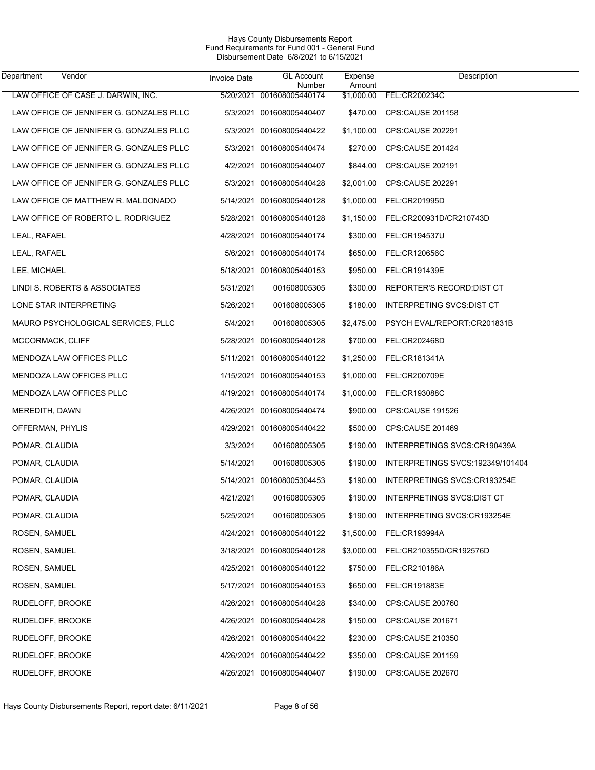| Department<br>Vendor          |                                         | <b>Invoice Date</b> | <b>GL Account</b><br>Number | Expense<br>Amount | Description                       |
|-------------------------------|-----------------------------------------|---------------------|-----------------------------|-------------------|-----------------------------------|
|                               | LAW OFFICE OF CASE J. DARWIN, INC.      | 5/20/2021           | 001608005440174             | \$1,000.00        | FEL:CR200234C                     |
|                               | LAW OFFICE OF JENNIFER G. GONZALES PLLC |                     | 5/3/2021 001608005440407    | \$470.00          | CPS:CAUSE 201158                  |
|                               | LAW OFFICE OF JENNIFER G. GONZALES PLLC |                     | 5/3/2021 001608005440422    | \$1,100.00        | CPS:CAUSE 202291                  |
|                               | LAW OFFICE OF JENNIFER G. GONZALES PLLC |                     | 5/3/2021 001608005440474    | \$270.00          | CPS:CAUSE 201424                  |
|                               | LAW OFFICE OF JENNIFER G. GONZALES PLLC |                     | 4/2/2021 001608005440407    | \$844.00          | CPS:CAUSE 202191                  |
|                               | LAW OFFICE OF JENNIFER G. GONZALES PLLC |                     | 5/3/2021 001608005440428    | \$2,001.00        | CPS:CAUSE 202291                  |
|                               | LAW OFFICE OF MATTHEW R. MALDONADO      |                     | 5/14/2021 001608005440128   | \$1,000.00        | FEL:CR201995D                     |
|                               | LAW OFFICE OF ROBERTO L. RODRIGUEZ      |                     | 5/28/2021 001608005440128   | \$1,150.00        | FEL:CR200931D/CR210743D           |
| LEAL, RAFAEL                  |                                         |                     | 4/28/2021 001608005440174   | \$300.00          | <b>FEL:CR194537U</b>              |
| LEAL, RAFAEL                  |                                         |                     | 5/6/2021 001608005440174    | \$650.00          | <b>FEL:CR120656C</b>              |
| LEE, MICHAEL                  |                                         |                     | 5/18/2021 001608005440153   | \$950.00          | FEL:CR191439E                     |
| LINDI S. ROBERTS & ASSOCIATES |                                         | 5/31/2021           | 001608005305                | \$300.00          | REPORTER'S RECORD DIST CT         |
| LONE STAR INTERPRETING        |                                         | 5/26/2021           | 001608005305                | \$180.00          | INTERPRETING SVCS: DIST CT        |
|                               | MAURO PSYCHOLOGICAL SERVICES, PLLC      | 5/4/2021            | 001608005305                | \$2,475.00        | PSYCH EVAL/REPORT:CR201831B       |
| MCCORMACK, CLIFF              |                                         |                     | 5/28/2021 001608005440128   | \$700.00          | FEL:CR202468D                     |
| MENDOZA LAW OFFICES PLLC      |                                         |                     | 5/11/2021 001608005440122   | \$1,250.00        | FEL:CR181341A                     |
| MENDOZA LAW OFFICES PLLC      |                                         |                     | 1/15/2021 001608005440153   | \$1,000.00        | FEL:CR200709E                     |
| MENDOZA LAW OFFICES PLLC      |                                         |                     | 4/19/2021 001608005440174   | \$1,000.00        | FEL:CR193088C                     |
| MEREDITH, DAWN                |                                         |                     | 4/26/2021 001608005440474   | \$900.00          | CPS:CAUSE 191526                  |
| OFFERMAN, PHYLIS              |                                         |                     | 4/29/2021 001608005440422   | \$500.00          | CPS:CAUSE 201469                  |
| POMAR, CLAUDIA                |                                         | 3/3/2021            | 001608005305                | \$190.00          | INTERPRETINGS SVCS:CR190439A      |
| POMAR, CLAUDIA                |                                         | 5/14/2021           | 001608005305                | \$190.00          | INTERPRETINGS SVCS: 192349/101404 |
| POMAR, CLAUDIA                |                                         |                     | 5/14/2021 001608005304453   | \$190.00          | INTERPRETINGS SVCS:CR193254E      |
| POMAR, CLAUDIA                |                                         | 4/21/2021           | 001608005305                | \$190.00          | INTERPRETINGS SVCS: DIST CT       |
| POMAR, CLAUDIA                |                                         | 5/25/2021           | 001608005305                | \$190.00          | INTERPRETING SVCS:CR193254E       |
| ROSEN, SAMUEL                 |                                         |                     | 4/24/2021 001608005440122   | \$1,500.00        | FEL:CR193994A                     |
| ROSEN, SAMUEL                 |                                         |                     | 3/18/2021 001608005440128   | \$3,000.00        | FEL:CR210355D/CR192576D           |
| ROSEN, SAMUEL                 |                                         |                     | 4/25/2021 001608005440122   | \$750.00          | FEL:CR210186A                     |
| ROSEN, SAMUEL                 |                                         |                     | 5/17/2021 001608005440153   | \$650.00          | FEL:CR191883E                     |
| RUDELOFF, BROOKE              |                                         |                     | 4/26/2021 001608005440428   | \$340.00          | CPS:CAUSE 200760                  |
| RUDELOFF, BROOKE              |                                         |                     | 4/26/2021 001608005440428   | \$150.00          | CPS:CAUSE 201671                  |
| RUDELOFF, BROOKE              |                                         |                     | 4/26/2021 001608005440422   | \$230.00          | CPS:CAUSE 210350                  |
| RUDELOFF, BROOKE              |                                         |                     | 4/26/2021 001608005440422   | \$350.00          | CPS:CAUSE 201159                  |
| RUDELOFF, BROOKE              |                                         |                     | 4/26/2021 001608005440407   | \$190.00          | <b>CPS:CAUSE 202670</b>           |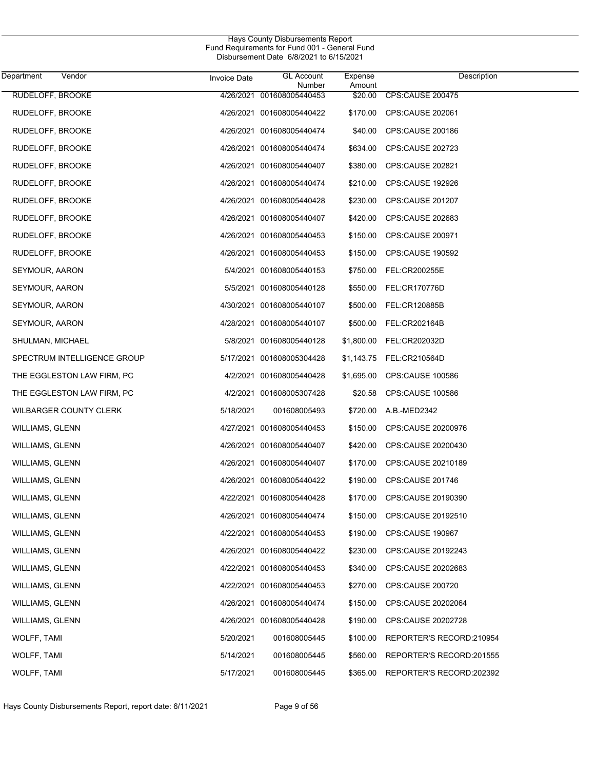| Department             | Vendor                      | <b>Invoice Date</b> | <b>GL Account</b>                   | Expense           | Description                 |
|------------------------|-----------------------------|---------------------|-------------------------------------|-------------------|-----------------------------|
| RUDELOFF, BROOKE       |                             |                     | Number<br>4/26/2021 001608005440453 | Amount<br>\$20.00 | <b>CPS:CAUSE 200475</b>     |
| RUDELOFF, BROOKE       |                             |                     | 4/26/2021 001608005440422           |                   | \$170.00 CPS:CAUSE 202061   |
| RUDELOFF, BROOKE       |                             |                     | 4/26/2021 001608005440474           | \$40.00           | CPS:CAUSE 200186            |
| RUDELOFF, BROOKE       |                             |                     | 4/26/2021 001608005440474           | \$634.00          | CPS:CAUSE 202723            |
| RUDELOFF, BROOKE       |                             |                     | 4/26/2021 001608005440407           | \$380.00          | CPS:CAUSE 202821            |
| RUDELOFF, BROOKE       |                             |                     | 4/26/2021 001608005440474           | \$210.00          | CPS:CAUSE 192926            |
| RUDELOFF, BROOKE       |                             |                     | 4/26/2021 001608005440428           | \$230.00          | CPS:CAUSE 201207            |
| RUDELOFF, BROOKE       |                             |                     | 4/26/2021 001608005440407           | \$420.00          | CPS:CAUSE 202683            |
| RUDELOFF, BROOKE       |                             |                     | 4/26/2021 001608005440453           | \$150.00          | CPS:CAUSE 200971            |
| RUDELOFF, BROOKE       |                             |                     | 4/26/2021 001608005440453           | \$150.00          | <b>CPS:CAUSE 190592</b>     |
| SEYMOUR, AARON         |                             |                     | 5/4/2021 001608005440153            | \$750.00          | FEL:CR200255E               |
| SEYMOUR, AARON         |                             |                     | 5/5/2021 001608005440128            |                   | \$550.00 FEL:CR170776D      |
| SEYMOUR, AARON         |                             |                     | 4/30/2021 001608005440107           | \$500.00          | FEL:CR120885B               |
| SEYMOUR, AARON         |                             |                     | 4/28/2021 001608005440107           |                   | \$500.00 FEL:CR202164B      |
| SHULMAN, MICHAEL       |                             |                     | 5/8/2021 001608005440128            | \$1,800.00        | FEL:CR202032D               |
|                        | SPECTRUM INTELLIGENCE GROUP |                     | 5/17/2021 001608005304428           |                   | \$1,143.75 FEL:CR210564D    |
|                        | THE EGGLESTON LAW FIRM, PC  |                     | 4/2/2021 001608005440428            | \$1,695.00        | CPS:CAUSE 100586            |
|                        | THE EGGLESTON LAW FIRM, PC  |                     | 4/2/2021 001608005307428            | \$20.58           | CPS:CAUSE 100586            |
|                        | WILBARGER COUNTY CLERK      | 5/18/2021           | 001608005493                        | \$720.00          | A.B.-MED2342                |
| WILLIAMS, GLENN        |                             |                     | 4/27/2021 001608005440453           | \$150.00          | CPS:CAUSE 20200976          |
| <b>WILLIAMS, GLENN</b> |                             |                     | 4/26/2021 001608005440407           | \$420.00          | CPS CAUSE 20200430          |
| <b>WILLIAMS, GLENN</b> |                             |                     | 4/26/2021 001608005440407           | \$170.00          | CPS CAUSE 20210189          |
| WILLIAMS, GLENN        |                             |                     | 4/26/2021 001608005440422           | \$190.00          | CPS:CAUSE 201746            |
| WILLIAMS, GLENN        |                             |                     | 4/22/2021 001608005440428           |                   | \$170.00 CPS:CAUSE 20190390 |
| WILLIAMS, GLENN        |                             |                     | 4/26/2021 001608005440474           |                   | \$150.00 CPS:CAUSE 20192510 |
| WILLIAMS, GLENN        |                             |                     | 4/22/2021 001608005440453           | \$190.00          | CPS:CAUSE 190967            |
| WILLIAMS, GLENN        |                             |                     | 4/26/2021 001608005440422           | \$230.00          | CPS:CAUSE 20192243          |
| WILLIAMS, GLENN        |                             |                     | 4/22/2021 001608005440453           | \$340.00          | CPS:CAUSE 20202683          |
| WILLIAMS, GLENN        |                             |                     | 4/22/2021 001608005440453           | \$270.00          | CPS:CAUSE 200720            |
| WILLIAMS, GLENN        |                             |                     | 4/26/2021 001608005440474           | \$150.00          | CPS:CAUSE 20202064          |
| <b>WILLIAMS, GLENN</b> |                             |                     | 4/26/2021 001608005440428           | \$190.00          | CPS:CAUSE 20202728          |
| WOLFF, TAMI            |                             | 5/20/2021           | 001608005445                        | \$100.00          | REPORTER'S RECORD:210954    |
| WOLFF, TAMI            |                             | 5/14/2021           | 001608005445                        | \$560.00          | REPORTER'S RECORD:201555    |
| WOLFF, TAMI            |                             | 5/17/2021           | 001608005445                        | \$365.00          | REPORTER'S RECORD:202392    |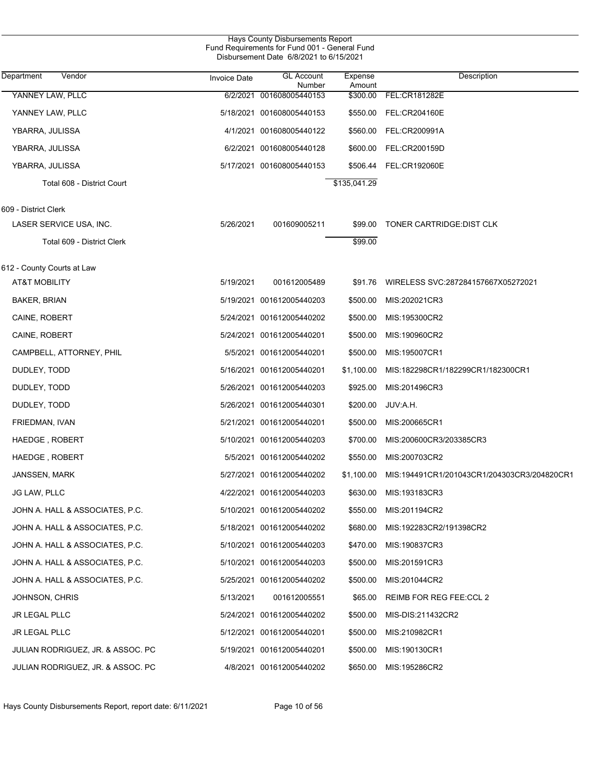| Hays County Disbursements Report<br>Fund Requirements for Fund 001 - General Fund<br>Disbursement Date 6/8/2021 to 6/15/2021 |                     |                             |                   |                                             |  |  |
|------------------------------------------------------------------------------------------------------------------------------|---------------------|-----------------------------|-------------------|---------------------------------------------|--|--|
| Vendor<br>Department                                                                                                         | <b>Invoice Date</b> | <b>GL Account</b><br>Number | Expense<br>Amount | Description                                 |  |  |
| YANNEY LAW, PLLC                                                                                                             | 6/2/2021            | 001608005440153             | \$300.00          | FEL:CR181282E                               |  |  |
| YANNEY LAW, PLLC                                                                                                             |                     | 5/18/2021 001608005440153   | \$550.00          | <b>FEL:CR204160E</b>                        |  |  |
| YBARRA, JULISSA                                                                                                              |                     | 4/1/2021 001608005440122    | \$560.00          | FEL:CR200991A                               |  |  |
| YBARRA, JULISSA                                                                                                              |                     | 6/2/2021 001608005440128    | \$600.00          | FEL:CR200159D                               |  |  |
| YBARRA, JULISSA                                                                                                              |                     | 5/17/2021 001608005440153   | \$506.44          | <b>FEL:CR192060E</b>                        |  |  |
| Total 608 - District Court                                                                                                   |                     |                             | \$135,041.29      |                                             |  |  |
| 609 - District Clerk                                                                                                         |                     |                             |                   |                                             |  |  |
| LASER SERVICE USA, INC.                                                                                                      | 5/26/2021           | 001609005211                | \$99.00           | TONER CARTRIDGE: DIST CLK                   |  |  |
| Total 609 - District Clerk                                                                                                   |                     |                             | \$99.00           |                                             |  |  |
| 612 - County Courts at Law                                                                                                   |                     |                             |                   |                                             |  |  |
| <b>AT&amp;T MOBILITY</b>                                                                                                     | 5/19/2021           | 001612005489                | \$91.76           | WIRELESS SVC:287284157667X05272021          |  |  |
| <b>BAKER, BRIAN</b>                                                                                                          |                     | 5/19/2021 001612005440203   | \$500.00          | MIS:202021CR3                               |  |  |
| CAINE, ROBERT                                                                                                                |                     | 5/24/2021 001612005440202   | \$500.00          | MIS:195300CR2                               |  |  |
| CAINE, ROBERT                                                                                                                |                     | 5/24/2021 001612005440201   | \$500.00          | MIS:190960CR2                               |  |  |
| CAMPBELL, ATTORNEY, PHIL                                                                                                     |                     | 5/5/2021 001612005440201    | \$500.00          | MIS:195007CR1                               |  |  |
| DUDLEY, TODD                                                                                                                 |                     | 5/16/2021 001612005440201   | \$1,100.00        | MIS:182298CR1/182299CR1/182300CR1           |  |  |
| DUDLEY, TODD                                                                                                                 |                     | 5/26/2021 001612005440203   | \$925.00          | MIS:201496CR3                               |  |  |
| DUDLEY, TODD                                                                                                                 |                     | 5/26/2021 001612005440301   | \$200.00          | JUV:A.H.                                    |  |  |
| FRIEDMAN, IVAN                                                                                                               |                     | 5/21/2021 001612005440201   | \$500.00          | MIS:200665CR1                               |  |  |
| HAEDGE, ROBERT                                                                                                               |                     | 5/10/2021 001612005440203   | \$700.00          | MIS:200600CR3/203385CR3                     |  |  |
| HAEDGE, ROBERT                                                                                                               |                     | 5/5/2021 001612005440202    | \$550.00          | MIS:200703CR2                               |  |  |
| JANSSEN, MARK                                                                                                                |                     | 5/27/2021 001612005440202   | \$1,100.00        | MIS:194491CR1/201043CR1/204303CR3/204820CR1 |  |  |
| JG LAW, PLLC                                                                                                                 |                     | 4/22/2021 001612005440203   | \$630.00          | MIS:193183CR3                               |  |  |
| JOHN A. HALL & ASSOCIATES, P.C.                                                                                              |                     | 5/10/2021 001612005440202   | \$550.00          | MIS:201194CR2                               |  |  |
| JOHN A. HALL & ASSOCIATES, P.C.                                                                                              |                     | 5/18/2021 001612005440202   | \$680.00          | MIS:192283CR2/191398CR2                     |  |  |
| JOHN A. HALL & ASSOCIATES, P.C.                                                                                              |                     | 5/10/2021 001612005440203   | \$470.00          | MIS:190837CR3                               |  |  |
| JOHN A. HALL & ASSOCIATES, P.C.                                                                                              |                     | 5/10/2021 001612005440203   | \$500.00          | MIS:201591CR3                               |  |  |
| JOHN A. HALL & ASSOCIATES, P.C.                                                                                              |                     | 5/25/2021 001612005440202   | \$500.00          | MIS:201044CR2                               |  |  |
| JOHNSON, CHRIS                                                                                                               | 5/13/2021           | 001612005551                | \$65.00           | REIMB FOR REG FEE:CCL 2                     |  |  |
| <b>JR LEGAL PLLC</b>                                                                                                         |                     | 5/24/2021 001612005440202   | \$500.00          | MIS-DIS:211432CR2                           |  |  |
| <b>JR LEGAL PLLC</b>                                                                                                         |                     | 5/12/2021 001612005440201   | \$500.00          | MIS:210982CR1                               |  |  |
| JULIAN RODRIGUEZ, JR. & ASSOC. PC                                                                                            |                     | 5/19/2021 001612005440201   | \$500.00          | MIS:190130CR1                               |  |  |
| JULIAN RODRIGUEZ, JR. & ASSOC. PC                                                                                            |                     | 4/8/2021 001612005440202    | \$650.00          | MIS:195286CR2                               |  |  |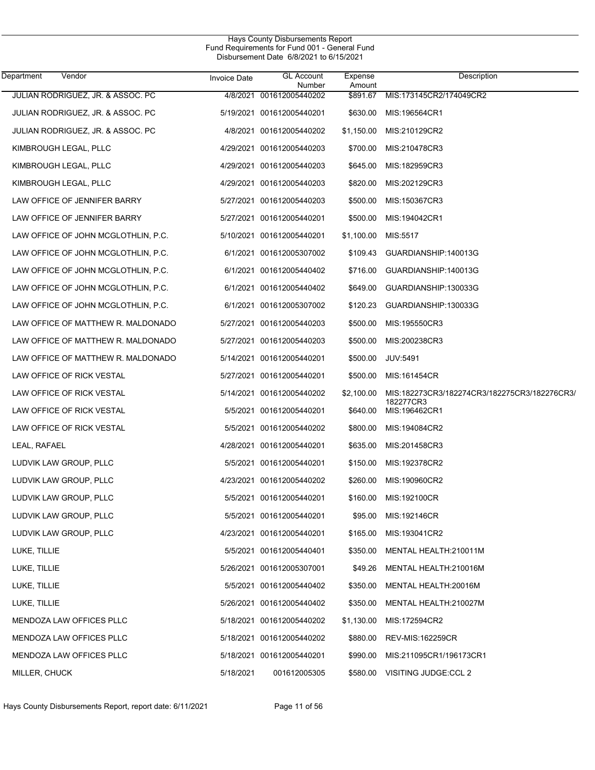| Department<br>Vendor                | Invoice Date | <b>GL Account</b><br>Number | Expense<br>Amount | Description                                  |
|-------------------------------------|--------------|-----------------------------|-------------------|----------------------------------------------|
| JULIAN RODRIGUEZ, JR. & ASSOC. PC   | 4/8/2021     | 001612005440202             | \$891.67          | MIS:173145CR2/174049CR2                      |
| JULIAN RODRIGUEZ, JR. & ASSOC. PC   |              | 5/19/2021 001612005440201   | \$630.00          | MIS:196564CR1                                |
| JULIAN RODRIGUEZ, JR. & ASSOC. PC   |              | 4/8/2021 001612005440202    | \$1,150.00        | MIS:210129CR2                                |
| KIMBROUGH LEGAL, PLLC               |              | 4/29/2021 001612005440203   | \$700.00          | MIS:210478CR3                                |
| KIMBROUGH LEGAL, PLLC               |              | 4/29/2021 001612005440203   | \$645.00          | MIS:182959CR3                                |
| KIMBROUGH LEGAL, PLLC               |              | 4/29/2021 001612005440203   | \$820.00          | MIS:202129CR3                                |
| LAW OFFICE OF JENNIFER BARRY        |              | 5/27/2021 001612005440203   | \$500.00          | MIS:150367CR3                                |
| LAW OFFICE OF JENNIFER BARRY        |              | 5/27/2021 001612005440201   | \$500.00          | MIS:194042CR1                                |
| LAW OFFICE OF JOHN MCGLOTHLIN, P.C. |              | 5/10/2021 001612005440201   | \$1,100.00        | MIS:5517                                     |
| LAW OFFICE OF JOHN MCGLOTHLIN, P.C. |              | 6/1/2021 001612005307002    | \$109.43          | GUARDIANSHIP:140013G                         |
| LAW OFFICE OF JOHN MCGLOTHLIN, P.C. |              | 6/1/2021 001612005440402    | \$716.00          | GUARDIANSHIP:140013G                         |
| LAW OFFICE OF JOHN MCGLOTHLIN, P.C. |              | 6/1/2021 001612005440402    | \$649.00          | GUARDIANSHIP:130033G                         |
| LAW OFFICE OF JOHN MCGLOTHLIN, P.C. |              | 6/1/2021 001612005307002    | \$120.23          | GUARDIANSHIP:130033G                         |
| LAW OFFICE OF MATTHEW R. MALDONADO  |              | 5/27/2021 001612005440203   | \$500.00          | MIS:195550CR3                                |
| LAW OFFICE OF MATTHEW R. MALDONADO  |              | 5/27/2021 001612005440203   | \$500.00          | MIS:200238CR3                                |
| LAW OFFICE OF MATTHEW R. MALDONADO  |              | 5/14/2021 001612005440201   | \$500.00          | <b>JUV:5491</b>                              |
| LAW OFFICE OF RICK VESTAL           |              | 5/27/2021 001612005440201   | \$500.00          | MIS:161454CR                                 |
| LAW OFFICE OF RICK VESTAL           |              | 5/14/2021 001612005440202   | \$2,100.00        | MIS:182273CR3/182274CR3/182275CR3/182276CR3/ |
| LAW OFFICE OF RICK VESTAL           |              | 5/5/2021 001612005440201    | \$640.00          | 182277CR3<br>MIS:196462CR1                   |
| LAW OFFICE OF RICK VESTAL           |              | 5/5/2021 001612005440202    | \$800.00          | MIS:194084CR2                                |
| LEAL, RAFAEL                        |              | 4/28/2021 001612005440201   | \$635.00          | MIS:201458CR3                                |
| LUDVIK LAW GROUP, PLLC              |              | 5/5/2021 001612005440201    | \$150.00          | MIS:192378CR2                                |
| LUDVIK LAW GROUP, PLLC              |              | 4/23/2021 001612005440202   | \$260.00          | MIS:190960CR2                                |
| LUDVIK LAW GROUP, PLLC              |              | 5/5/2021 001612005440201    | \$160.00          | MIS:192100CR                                 |
| LUDVIK LAW GROUP, PLLC              |              | 5/5/2021 001612005440201    | \$95.00           | MIS:192146CR                                 |
| LUDVIK LAW GROUP, PLLC              |              | 4/23/2021 001612005440201   | \$165.00          | MIS:193041CR2                                |
| LUKE, TILLIE                        |              | 5/5/2021 001612005440401    | \$350.00          | MENTAL HEALTH:210011M                        |
| LUKE, TILLIE                        |              | 5/26/2021 001612005307001   | \$49.26           | MENTAL HEALTH:210016M                        |
| LUKE, TILLIE                        |              | 5/5/2021 001612005440402    | \$350.00          | MENTAL HEALTH:20016M                         |
| LUKE, TILLIE                        |              | 5/26/2021 001612005440402   | \$350.00          | MENTAL HEALTH:210027M                        |
| MENDOZA LAW OFFICES PLLC            |              | 5/18/2021 001612005440202   | \$1,130.00        | MIS:172594CR2                                |
| MENDOZA LAW OFFICES PLLC            |              | 5/18/2021 001612005440202   | \$880.00          | REV-MIS:162259CR                             |
| MENDOZA LAW OFFICES PLLC            |              | 5/18/2021 001612005440201   | \$990.00          | MIS:211095CR1/196173CR1                      |
| MILLER, CHUCK                       | 5/18/2021    | 001612005305                | \$580.00          | VISITING JUDGE:CCL 2                         |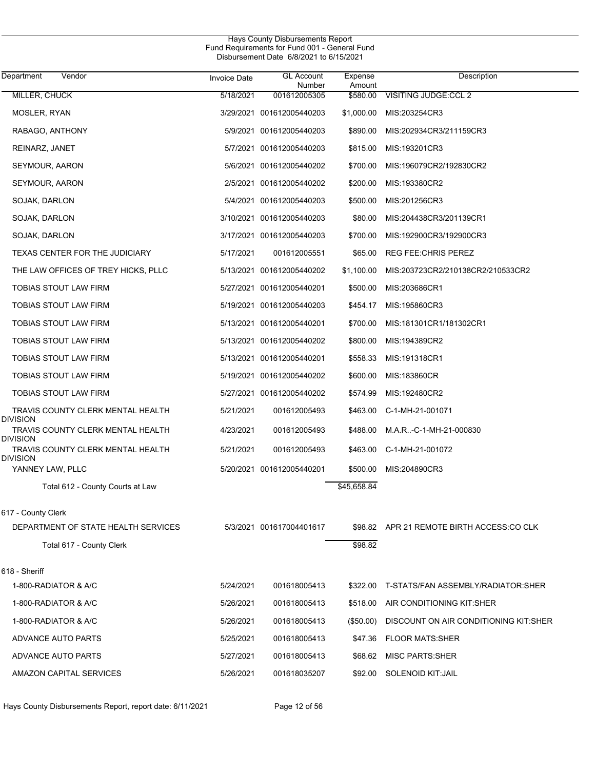| Department<br>Vendor                                 | <b>Invoice Date</b> | <b>GL Account</b><br>Number | Expense<br>Amount | Description                               |
|------------------------------------------------------|---------------------|-----------------------------|-------------------|-------------------------------------------|
| MILLER, CHUCK                                        | 5/18/2021           | 001612005305                | \$580.00          | <b>VISITING JUDGE:CCL 2</b>               |
| MOSLER, RYAN                                         |                     | 3/29/2021 001612005440203   | \$1,000.00        | MIS:203254CR3                             |
| RABAGO, ANTHONY                                      |                     | 5/9/2021 001612005440203    | \$890.00          | MIS:202934CR3/211159CR3                   |
| REINARZ, JANET                                       |                     | 5/7/2021 001612005440203    | \$815.00          | MIS:193201CR3                             |
| SEYMOUR, AARON                                       |                     | 5/6/2021 001612005440202    | \$700.00          | MIS:196079CR2/192830CR2                   |
| SEYMOUR, AARON                                       |                     | 2/5/2021 001612005440202    | \$200.00          | MIS:193380CR2                             |
| SOJAK, DARLON                                        |                     | 5/4/2021 001612005440203    | \$500.00          | MIS:201256CR3                             |
| SOJAK, DARLON                                        |                     | 3/10/2021 001612005440203   | \$80.00           | MIS:204438CR3/201139CR1                   |
| SOJAK, DARLON                                        |                     | 3/17/2021 001612005440203   | \$700.00          | MIS:192900CR3/192900CR3                   |
| TEXAS CENTER FOR THE JUDICIARY                       | 5/17/2021           | 001612005551                | \$65.00           | <b>REG FEE: CHRIS PEREZ</b>               |
| THE LAW OFFICES OF TREY HICKS, PLLC                  |                     | 5/13/2021 001612005440202   | \$1,100.00        | MIS:203723CR2/210138CR2/210533CR2         |
| TOBIAS STOUT LAW FIRM                                |                     | 5/27/2021 001612005440201   | \$500.00          | MIS:203686CR1                             |
| TOBIAS STOUT LAW FIRM                                |                     | 5/19/2021 001612005440203   | \$454.17          | MIS:195860CR3                             |
| TOBIAS STOUT LAW FIRM                                |                     | 5/13/2021 001612005440201   | \$700.00          | MIS:181301CR1/181302CR1                   |
| TOBIAS STOUT LAW FIRM                                |                     | 5/13/2021 001612005440202   | \$800.00          | MIS:194389CR2                             |
| TOBIAS STOUT LAW FIRM                                |                     | 5/13/2021 001612005440201   | \$558.33          | MIS:191318CR1                             |
| TOBIAS STOUT LAW FIRM                                |                     | 5/19/2021 001612005440202   | \$600.00          | MIS:183860CR                              |
| TOBIAS STOUT LAW FIRM                                |                     | 5/27/2021 001612005440202   | \$574.99          | MIS:192480CR2                             |
| TRAVIS COUNTY CLERK MENTAL HEALTH<br><b>DIVISION</b> | 5/21/2021           | 001612005493                | \$463.00          | C-1-MH-21-001071                          |
| TRAVIS COUNTY CLERK MENTAL HEALTH<br>Division        | 4/23/2021           | 001612005493                | \$488.00          | M.A.R-C-1-MH-21-000830                    |
| TRAVIS COUNTY CLERK MENTAL HEALTH<br><b>DIVISION</b> | 5/21/2021           | 001612005493                | \$463.00          | C-1-MH-21-001072                          |
| YANNEY LAW, PLLC                                     |                     | 5/20/2021 001612005440201   | \$500.00          | MIS:204890CR3                             |
| Total 612 - County Courts at Law                     |                     |                             | \$45,658.84       |                                           |
| 617 - County Clerk                                   |                     |                             |                   |                                           |
| DEPARTMENT OF STATE HEALTH SERVICES                  |                     | 5/3/2021 001617004401617    |                   | \$98.82 APR 21 REMOTE BIRTH ACCESS:CO CLK |
| Total 617 - County Clerk                             |                     |                             | \$98.82           |                                           |
| 618 - Sheriff                                        |                     |                             |                   |                                           |
| 1-800-RADIATOR & A/C                                 | 5/24/2021           | 001618005413                | \$322.00          | T-STATS/FAN ASSEMBLY/RADIATOR:SHER        |
| 1-800-RADIATOR & A/C                                 | 5/26/2021           | 001618005413                | \$518.00          | AIR CONDITIONING KIT:SHER                 |
| 1-800-RADIATOR & A/C                                 | 5/26/2021           | 001618005413                | (\$50.00)         | DISCOUNT ON AIR CONDITIONING KIT:SHER     |
| ADVANCE AUTO PARTS                                   | 5/25/2021           | 001618005413                | \$47.36           | <b>FLOOR MATS:SHER</b>                    |
| ADVANCE AUTO PARTS                                   | 5/27/2021           | 001618005413                | \$68.62           | <b>MISC PARTS:SHER</b>                    |
| AMAZON CAPITAL SERVICES                              | 5/26/2021           | 001618035207                | \$92.00           | SOLENOID KIT: JAIL                        |

Hays County Disbursements Report, report date: 6/11/2021 Page 12 of 56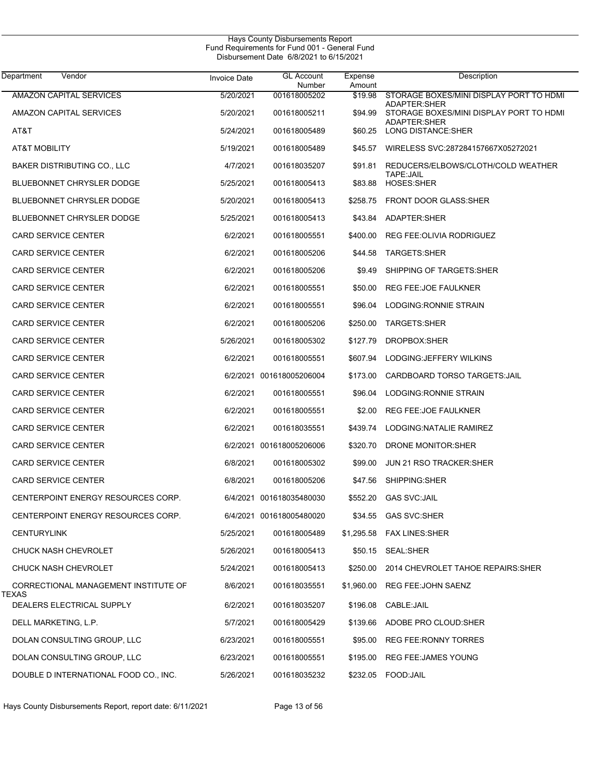| <b>Department</b><br>Vendor           | <b>Invoice Date</b> | GL Account<br>Number     | Expense<br>Amount | Description                                                    |
|---------------------------------------|---------------------|--------------------------|-------------------|----------------------------------------------------------------|
| <b>AMAZON CAPITAL SERVICES</b>        | 5/20/2021           | 001618005202             | \$19.98           | STORAGE BOXES/MINI DISPLAY PORT TO HDMI                        |
| AMAZON CAPITAL SERVICES               | 5/20/2021           | 001618005211             | \$94.99           | <b>ADAPTER:SHER</b><br>STORAGE BOXES/MINI DISPLAY PORT TO HDMI |
| AT&T                                  | 5/24/2021           | 001618005489             | \$60.25           | <b>ADAPTER:SHER</b><br>LONG DISTANCE: SHER                     |
| AT&T MOBILITY                         | 5/19/2021           | 001618005489             | \$45.57           | WIRELESS SVC:287284157667X05272021                             |
| BAKER DISTRIBUTING CO., LLC           | 4/7/2021            | 001618035207             | \$91.81           | REDUCERS/ELBOWS/CLOTH/COLD WEATHER<br>TAPE: JAIL               |
| <b>BLUEBONNET CHRYSLER DODGE</b>      | 5/25/2021           | 001618005413             | \$83.88           | <b>HOSES:SHER</b>                                              |
| <b>BLUEBONNET CHRYSLER DODGE</b>      | 5/20/2021           | 001618005413             | \$258.75          | <b>FRONT DOOR GLASS: SHER</b>                                  |
| <b>BLUEBONNET CHRYSLER DODGE</b>      | 5/25/2021           | 001618005413             | \$43.84           | ADAPTER:SHER                                                   |
| <b>CARD SERVICE CENTER</b>            | 6/2/2021            | 001618005551             | \$400.00          | REG FEE: OLIVIA RODRIGUEZ                                      |
| <b>CARD SERVICE CENTER</b>            | 6/2/2021            | 001618005206             | \$44.58           | TARGETS:SHER                                                   |
| <b>CARD SERVICE CENTER</b>            | 6/2/2021            | 001618005206             | \$9.49            | SHIPPING OF TARGETS: SHER                                      |
| <b>CARD SERVICE CENTER</b>            | 6/2/2021            | 001618005551             | \$50.00           | REG FEE: JOE FAULKNER                                          |
| <b>CARD SERVICE CENTER</b>            | 6/2/2021            | 001618005551             | \$96.04           | LODGING: RONNIE STRAIN                                         |
| <b>CARD SERVICE CENTER</b>            | 6/2/2021            | 001618005206             | \$250.00          | TARGETS:SHER                                                   |
| <b>CARD SERVICE CENTER</b>            | 5/26/2021           | 001618005302             | \$127.79          | DROPBOX:SHER                                                   |
| <b>CARD SERVICE CENTER</b>            | 6/2/2021            | 001618005551             | \$607.94          | LODGING: JEFFERY WILKINS                                       |
| <b>CARD SERVICE CENTER</b>            |                     | 6/2/2021 001618005206004 | \$173.00          | CARDBOARD TORSO TARGETS: JAIL                                  |
| <b>CARD SERVICE CENTER</b>            | 6/2/2021            | 001618005551             | \$96.04           | LODGING: RONNIE STRAIN                                         |
| <b>CARD SERVICE CENTER</b>            | 6/2/2021            | 001618005551             | \$2.00            | REG FEE: JOE FAULKNER                                          |
| <b>CARD SERVICE CENTER</b>            | 6/2/2021            | 001618035551             | \$439.74          | LODGING: NATALIE RAMIREZ                                       |
| <b>CARD SERVICE CENTER</b>            |                     | 6/2/2021 001618005206006 | \$320.70          | DRONE MONITOR: SHER                                            |
| <b>CARD SERVICE CENTER</b>            | 6/8/2021            | 001618005302             | \$99.00           | <b>JUN 21 RSO TRACKER: SHER</b>                                |
| <b>CARD SERVICE CENTER</b>            | 6/8/2021            | 001618005206             | \$47.56           | SHIPPING:SHER                                                  |
| CENTERPOINT ENERGY RESOURCES CORP.    |                     | 6/4/2021 001618035480030 | \$552.20          | <b>GAS SVC:JAIL</b>                                            |
| CENTERPOINT ENERGY RESOURCES CORP.    |                     | 6/4/2021 001618005480020 |                   | \$34.55 GAS SVC:SHER                                           |
| <b>CENTURYLINK</b>                    | 5/25/2021           | 001618005489             |                   | \$1,295.58 FAX LINES:SHER                                      |
| CHUCK NASH CHEVROLET                  | 5/26/2021           | 001618005413             |                   | \$50.15 SEAL:SHER                                              |
| CHUCK NASH CHEVROLET                  | 5/24/2021           | 001618005413             | \$250.00          | 2014 CHEVROLET TAHOE REPAIRS: SHER                             |
| CORRECTIONAL MANAGEMENT INSTITUTE OF  | 8/6/2021            | 001618035551             | \$1,960.00        | REG FEE: JOHN SAENZ                                            |
| TEXAS<br>DEALERS ELECTRICAL SUPPLY    | 6/2/2021            | 001618035207             |                   | \$196.08 CABLE:JAIL                                            |
| DELL MARKETING, L.P.                  | 5/7/2021            | 001618005429             |                   | \$139.66 ADOBE PRO CLOUD:SHER                                  |
| DOLAN CONSULTING GROUP, LLC           | 6/23/2021           | 001618005551             | \$95.00           | REG FEE:RONNY TORRES                                           |
| DOLAN CONSULTING GROUP, LLC           | 6/23/2021           | 001618005551             | \$195.00          | <b>REG FEE: JAMES YOUNG</b>                                    |
| DOUBLE D INTERNATIONAL FOOD CO., INC. | 5/26/2021           | 001618035232             |                   | \$232.05 FOOD:JAIL                                             |

Hays County Disbursements Report, report date: 6/11/2021 Page 13 of 56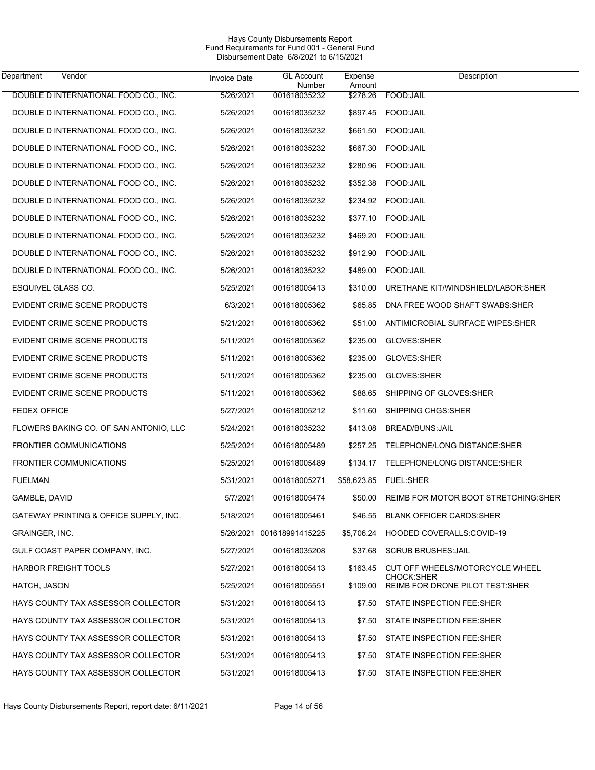| Hays County Disbursements Report<br>Fund Requirements for Fund 001 - General Fund<br>Disbursement Date 6/8/2021 to 6/15/2021 |                     |                             |                   |                                                |  |  |
|------------------------------------------------------------------------------------------------------------------------------|---------------------|-----------------------------|-------------------|------------------------------------------------|--|--|
| Vendor<br>Department                                                                                                         | <b>Invoice Date</b> | <b>GL Account</b><br>Number | Expense<br>Amount | Description                                    |  |  |
| DOUBLE D INTERNATIONAL FOOD CO., INC.                                                                                        | 5/26/2021           | 001618035232                | \$278.26          | FOOD:JAIL                                      |  |  |
| DOUBLE D INTERNATIONAL FOOD CO., INC.                                                                                        | 5/26/2021           | 001618035232                | \$897.45          | FOOD:JAIL                                      |  |  |
| DOUBLE D INTERNATIONAL FOOD CO., INC.                                                                                        | 5/26/2021           | 001618035232                | \$661.50          | FOOD: JAIL                                     |  |  |
| DOUBLE D INTERNATIONAL FOOD CO., INC.                                                                                        | 5/26/2021           | 001618035232                | \$667.30          | FOOD: JAIL                                     |  |  |
| DOUBLE D INTERNATIONAL FOOD CO., INC.                                                                                        | 5/26/2021           | 001618035232                | \$280.96          | FOOD: JAIL                                     |  |  |
| DOUBLE D INTERNATIONAL FOOD CO., INC.                                                                                        | 5/26/2021           | 001618035232                | \$352.38          | FOOD: JAIL                                     |  |  |
| DOUBLE D INTERNATIONAL FOOD CO., INC.                                                                                        | 5/26/2021           | 001618035232                | \$234.92          | FOOD: JAIL                                     |  |  |
| DOUBLE D INTERNATIONAL FOOD CO., INC.                                                                                        | 5/26/2021           | 001618035232                | \$377.10          | FOOD:JAIL                                      |  |  |
| DOUBLE D INTERNATIONAL FOOD CO., INC.                                                                                        | 5/26/2021           | 001618035232                | \$469.20          | FOOD: JAIL                                     |  |  |
| DOUBLE D INTERNATIONAL FOOD CO., INC.                                                                                        | 5/26/2021           | 001618035232                | \$912.90          | FOOD: JAIL                                     |  |  |
| DOUBLE D INTERNATIONAL FOOD CO., INC.                                                                                        | 5/26/2021           | 001618035232                | \$489.00          | FOOD: JAIL                                     |  |  |
| ESQUIVEL GLASS CO.                                                                                                           | 5/25/2021           | 001618005413                | \$310.00          | URETHANE KIT/WINDSHIELD/LABOR:SHER             |  |  |
| EVIDENT CRIME SCENE PRODUCTS                                                                                                 | 6/3/2021            | 001618005362                | \$65.85           | DNA FREE WOOD SHAFT SWABS: SHER                |  |  |
| EVIDENT CRIME SCENE PRODUCTS                                                                                                 | 5/21/2021           | 001618005362                | \$51.00           | ANTIMICROBIAL SURFACE WIPES:SHER               |  |  |
| EVIDENT CRIME SCENE PRODUCTS                                                                                                 | 5/11/2021           | 001618005362                | \$235.00          | GLOVES:SHER                                    |  |  |
| EVIDENT CRIME SCENE PRODUCTS                                                                                                 | 5/11/2021           | 001618005362                | \$235.00          | GLOVES:SHER                                    |  |  |
| EVIDENT CRIME SCENE PRODUCTS                                                                                                 | 5/11/2021           | 001618005362                | \$235.00          | GLOVES:SHER                                    |  |  |
| EVIDENT CRIME SCENE PRODUCTS                                                                                                 | 5/11/2021           | 001618005362                | \$88.65           | SHIPPING OF GLOVES: SHER                       |  |  |
| <b>FEDEX OFFICE</b>                                                                                                          | 5/27/2021           | 001618005212                | \$11.60           | SHIPPING CHGS: SHER                            |  |  |
| FLOWERS BAKING CO. OF SAN ANTONIO, LLC                                                                                       | 5/24/2021           | 001618035232                | \$413.08          | BREAD/BUNS: JAIL                               |  |  |
| <b>FRONTIER COMMUNICATIONS</b>                                                                                               | 5/25/2021           | 001618005489                | \$257.25          | TELEPHONE/LONG DISTANCE: SHER                  |  |  |
| <b>FRONTIER COMMUNICATIONS</b>                                                                                               | 5/25/2021           | 001618005489                | \$134.17          | TELEPHONE/LONG DISTANCE:SHER                   |  |  |
| <b>FUELMAN</b>                                                                                                               | 5/31/2021           | 001618005271                |                   |                                                |  |  |
| GAMBLE, DAVID                                                                                                                | 5/7/2021            | 001618005474                | \$50.00           | REIMB FOR MOTOR BOOT STRETCHING: SHER          |  |  |
| GATEWAY PRINTING & OFFICE SUPPLY, INC.                                                                                       | 5/18/2021           | 001618005461                | \$46.55           | <b>BLANK OFFICER CARDS:SHER</b>                |  |  |
| <b>GRAINGER, INC.</b>                                                                                                        |                     | 5/26/2021 001618991415225   | \$5,706.24        | HOODED COVERALLS:COVID-19                      |  |  |
| GULF COAST PAPER COMPANY, INC.                                                                                               | 5/27/2021           | 001618035208                | \$37.68           | <b>SCRUB BRUSHES: JAIL</b>                     |  |  |
| <b>HARBOR FREIGHT TOOLS</b>                                                                                                  | 5/27/2021           | 001618005413                | \$163.45          | CUT OFF WHEELS/MOTORCYCLE WHEEL                |  |  |
| HATCH, JASON                                                                                                                 | 5/25/2021           | 001618005551                | \$109.00          | CHOCK:SHER<br>REIMB FOR DRONE PILOT TEST: SHER |  |  |
| HAYS COUNTY TAX ASSESSOR COLLECTOR                                                                                           | 5/31/2021           | 001618005413                | \$7.50            | STATE INSPECTION FEE:SHER                      |  |  |
| HAYS COUNTY TAX ASSESSOR COLLECTOR                                                                                           | 5/31/2021           | 001618005413                | \$7.50            | STATE INSPECTION FEE:SHER                      |  |  |
| HAYS COUNTY TAX ASSESSOR COLLECTOR                                                                                           | 5/31/2021           | 001618005413                | \$7.50            | STATE INSPECTION FEE:SHER                      |  |  |
| HAYS COUNTY TAX ASSESSOR COLLECTOR                                                                                           | 5/31/2021           | 001618005413                | \$7.50            | STATE INSPECTION FEE:SHER                      |  |  |
| HAYS COUNTY TAX ASSESSOR COLLECTOR                                                                                           | 5/31/2021           | 001618005413                | \$7.50            | STATE INSPECTION FEE:SHER                      |  |  |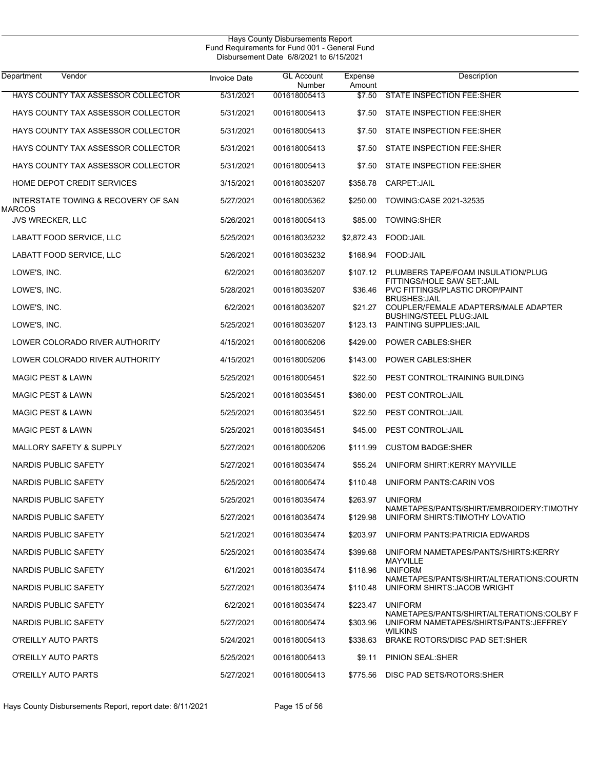| Department<br>Vendor                     | <b>Invoice Date</b> | <b>GL Account</b><br>Number | Expense<br>Amount | Description                                                      |
|------------------------------------------|---------------------|-----------------------------|-------------------|------------------------------------------------------------------|
| HAYS COUNTY TAX ASSESSOR COLLECTOR       | 5/31/2021           | 001618005413                | \$7.50            | <b>STATE INSPECTION FEE:SHER</b>                                 |
| HAYS COUNTY TAX ASSESSOR COLLECTOR       | 5/31/2021           | 001618005413                | \$7.50            | STATE INSPECTION FEE:SHER                                        |
| HAYS COUNTY TAX ASSESSOR COLLECTOR       | 5/31/2021           | 001618005413                | \$7.50            | STATE INSPECTION FEE:SHER                                        |
| HAYS COUNTY TAX ASSESSOR COLLECTOR       | 5/31/2021           | 001618005413                | \$7.50            | STATE INSPECTION FEE:SHER                                        |
| HAYS COUNTY TAX ASSESSOR COLLECTOR       | 5/31/2021           | 001618005413                | \$7.50            | STATE INSPECTION FEE:SHER                                        |
| <b>HOME DEPOT CREDIT SERVICES</b>        | 3/15/2021           | 001618035207                | \$358.78          | CARPET:JAIL                                                      |
| INTERSTATE TOWING & RECOVERY OF SAN      | 5/27/2021           | 001618005362                | \$250.00          | TOWING: CASE 2021-32535                                          |
| <b>MARCOS</b><br><b>JVS WRECKER, LLC</b> | 5/26/2021           | 001618005413                | \$85.00           | <b>TOWING:SHER</b>                                               |
| LABATT FOOD SERVICE, LLC                 | 5/25/2021           | 001618035232                |                   | \$2,872.43 FOOD:JAIL                                             |
| LABATT FOOD SERVICE, LLC                 | 5/26/2021           | 001618035232                |                   | \$168.94 FOOD: JAIL                                              |
| LOWE'S, INC.                             | 6/2/2021            | 001618035207                |                   | \$107.12 PLUMBERS TAPE/FOAM INSULATION/PLUG                      |
| LOWE'S, INC.                             | 5/28/2021           | 001618035207                | \$36.46           | FITTINGS/HOLE SAW SET: JAIL<br>PVC FITTINGS/PLASTIC DROP/PAINT   |
| LOWE'S, INC.                             | 6/2/2021            | 001618035207                | \$21.27           | <b>BRUSHES: JAIL</b><br>COUPLER/FEMALE ADAPTERS/MALE ADAPTER     |
| LOWE'S, INC.                             | 5/25/2021           | 001618035207                | \$123.13          | <b>BUSHING/STEEL PLUG:JAIL</b><br><b>PAINTING SUPPLIES: JAIL</b> |
| LOWER COLORADO RIVER AUTHORITY           | 4/15/2021           | 001618005206                | \$429.00          | POWER CABLES: SHER                                               |
| LOWER COLORADO RIVER AUTHORITY           | 4/15/2021           | 001618005206                | \$143.00          | POWER CABLES: SHER                                               |
| <b>MAGIC PEST &amp; LAWN</b>             | 5/25/2021           | 001618005451                | \$22.50           | PEST CONTROL:TRAINING BUILDING                                   |
| <b>MAGIC PEST &amp; LAWN</b>             | 5/25/2021           | 001618035451                | \$360.00          | PEST CONTROL: JAIL                                               |
| <b>MAGIC PEST &amp; LAWN</b>             | 5/25/2021           | 001618035451                | \$22.50           | PEST CONTROL: JAIL                                               |
| <b>MAGIC PEST &amp; LAWN</b>             | 5/25/2021           | 001618035451                | \$45.00           | PEST CONTROL: JAIL                                               |
| <b>MALLORY SAFETY &amp; SUPPLY</b>       | 5/27/2021           | 001618005206                | \$111.99          | <b>CUSTOM BADGE SHER</b>                                         |
| NARDIS PUBLIC SAFETY                     | 5/27/2021           | 001618035474                | \$55.24           | UNIFORM SHIRT: KERRY MAYVILLE                                    |
| NARDIS PUBLIC SAFETY                     | 5/25/2021           | 001618005474                | \$110.48          | UNIFORM PANTS: CARIN VOS                                         |
| NARDIS PUBLIC SAFETY                     | 5/25/2021           | 001618035474                | \$263.97          | <b>UNIFORM</b><br>NAMETAPES/PANTS/SHIRT/EMBROIDERY:TIMOTHY       |
| NARDIS PUBLIC SAFETY                     | 5/27/2021           | 001618035474                | \$129.98          | UNIFORM SHIRTS: TIMOTHY LOVATIO                                  |
| NARDIS PUBLIC SAFETY                     | 5/21/2021           | 001618035474                |                   | \$203.97 UNIFORM PANTS: PATRICIA EDWARDS                         |
| NARDIS PUBLIC SAFETY                     | 5/25/2021           | 001618035474                | \$399.68          | UNIFORM NAMETAPES/PANTS/SHIRTS:KERRY<br>MAYVILLE                 |
| NARDIS PUBLIC SAFETY                     | 6/1/2021            | 001618035474                | \$118.96          | <b>UNIFORM</b><br>NAMETAPES/PANTS/SHIRT/ALTERATIONS:COURTN       |
| NARDIS PUBLIC SAFETY                     | 5/27/2021           | 001618035474                | \$110.48          | UNIFORM SHIRTS: JACOB WRIGHT                                     |
| NARDIS PUBLIC SAFETY                     | 6/2/2021            | 001618035474                | \$223.47          | <b>UNIFORM</b><br>NAMETAPES/PANTS/SHIRT/ALTERATIONS:COLBY F      |
| NARDIS PUBLIC SAFETY                     | 5/27/2021           | 001618005474                | \$303.96          | UNIFORM NAMETAPES/SHIRTS/PANTS: JEFFREY<br><b>WILKINS</b>        |
| O'REILLY AUTO PARTS                      | 5/24/2021           | 001618005413                | \$338.63          | BRAKE ROTORS/DISC PAD SET:SHER                                   |
| O'REILLY AUTO PARTS                      | 5/25/2021           | 001618005413                | \$9.11            | PINION SEAL:SHER                                                 |
| O'REILLY AUTO PARTS                      | 5/27/2021           | 001618005413                |                   | \$775.56 DISC PAD SETS/ROTORS:SHER                               |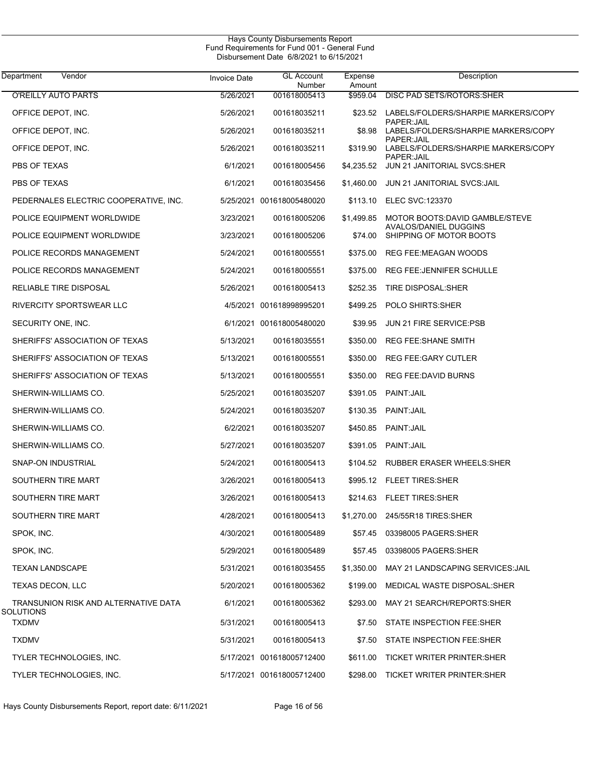$\overline{\phantom{0}}$ 

| Vendor<br>Department                              | <b>Invoice Date</b> | <b>GL Account</b><br>Number | Expense<br>Amount | Description                                                       |
|---------------------------------------------------|---------------------|-----------------------------|-------------------|-------------------------------------------------------------------|
| <b>O'REILLY AUTO PARTS</b>                        | 5/26/2021           | 001618005413                | \$959.04          | DISC PAD SETS/ROTORS: SHER                                        |
| OFFICE DEPOT, INC.                                | 5/26/2021           | 001618035211                | \$23.52           | LABELS/FOLDERS/SHARPIE MARKERS/COPY                               |
| OFFICE DEPOT, INC.                                | 5/26/2021           | 001618035211                | \$8.98            | PAPER: JAIL<br>LABELS/FOLDERS/SHARPIE MARKERS/COPY<br>PAPER: JAIL |
| OFFICE DEPOT, INC.                                | 5/26/2021           | 001618035211                | \$319.90          | LABELS/FOLDERS/SHARPIE MARKERS/COPY<br>PAPER: JAIL                |
| PBS OF TEXAS                                      | 6/1/2021            | 001618005456                | \$4,235.52        | JUN 21 JANITORIAL SVCS: SHER                                      |
| PBS OF TEXAS                                      | 6/1/2021            | 001618035456                | \$1,460.00        | JUN 21 JANITORIAL SVCS: JAIL                                      |
| PEDERNALES ELECTRIC COOPERATIVE, INC.             |                     | 5/25/2021 001618005480020   | \$113.10          | <b>ELEC SVC:123370</b>                                            |
| POLICE EQUIPMENT WORLDWIDE                        | 3/23/2021           | 001618005206                | \$1,499.85        | MOTOR BOOTS: DAVID GAMBLE/STEVE<br>AVALOS/DANIEL DUGGINS          |
| POLICE EQUIPMENT WORLDWIDE                        | 3/23/2021           | 001618005206                | \$74.00           | SHIPPING OF MOTOR BOOTS                                           |
| POLICE RECORDS MANAGEMENT                         | 5/24/2021           | 001618005551                | \$375.00          | REG FEE: MEAGAN WOODS                                             |
| POLICE RECORDS MANAGEMENT                         | 5/24/2021           | 001618005551                | \$375.00          | <b>REG FEE: JENNIFER SCHULLE</b>                                  |
| RELIABLE TIRE DISPOSAL                            | 5/26/2021           | 001618005413                | \$252.35          | TIRE DISPOSAL:SHER                                                |
| RIVERCITY SPORTSWEAR LLC                          |                     | 4/5/2021 001618998995201    | \$499.25          | POLO SHIRTS: SHER                                                 |
| SECURITY ONE, INC.                                |                     | 6/1/2021 001618005480020    | \$39.95           | <b>JUN 21 FIRE SERVICE:PSB</b>                                    |
| SHERIFFS' ASSOCIATION OF TEXAS                    | 5/13/2021           | 001618035551                | \$350.00          | <b>REG FEE: SHANE SMITH</b>                                       |
| SHERIFFS' ASSOCIATION OF TEXAS                    | 5/13/2021           | 001618005551                | \$350.00          | <b>REG FEE: GARY CUTLER</b>                                       |
| SHERIFFS' ASSOCIATION OF TEXAS                    | 5/13/2021           | 001618005551                | \$350.00          | REG FEE:DAVID BURNS                                               |
| SHERWIN-WILLIAMS CO.                              | 5/25/2021           | 001618035207                | \$391.05          | PAINT: JAIL                                                       |
| SHERWIN-WILLIAMS CO.                              | 5/24/2021           | 001618035207                | \$130.35          | PAINT: JAIL                                                       |
| SHERWIN-WILLIAMS CO.                              | 6/2/2021            | 001618035207                | \$450.85          | PAINT: JAIL                                                       |
| SHERWIN-WILLIAMS CO.                              | 5/27/2021           | 001618035207                | \$391.05          | PAINT: JAIL                                                       |
| SNAP-ON INDUSTRIAL                                | 5/24/2021           | 001618005413                |                   | \$104.52 RUBBER ERASER WHEELS: SHER                               |
| SOUTHERN TIRE MART                                | 3/26/2021           | 001618005413                |                   | \$995.12 FLEET TIRES: SHER                                        |
| SOUTHERN TIRE MART                                | 3/26/2021           | 001618005413                |                   | \$214.63 FLEET TIRES: SHER                                        |
| SOUTHERN TIRE MART                                | 4/28/2021           | 001618005413                |                   | \$1,270.00 245/55R18 TIRES:SHER                                   |
| SPOK, INC.                                        | 4/30/2021           | 001618005489                | \$57.45           | 03398005 PAGERS: SHER                                             |
| SPOK, INC.                                        | 5/29/2021           | 001618005489                |                   | \$57.45 03398005 PAGERS: SHER                                     |
| <b>TEXAN LANDSCAPE</b>                            | 5/31/2021           | 001618035455                | \$1,350.00        | MAY 21 LANDSCAPING SERVICES: JAIL                                 |
| TEXAS DECON, LLC                                  | 5/20/2021           | 001618005362                | \$199.00          | MEDICAL WASTE DISPOSAL:SHER                                       |
| TRANSUNION RISK AND ALTERNATIVE DATA<br>SOLUTIONS | 6/1/2021            | 001618005362                | \$293.00          | MAY 21 SEARCH/REPORTS: SHER                                       |
| <b>TXDMV</b>                                      | 5/31/2021           | 001618005413                | \$7.50            | STATE INSPECTION FEE:SHER                                         |
| <b>TXDMV</b>                                      | 5/31/2021           | 001618005413                | \$7.50            | STATE INSPECTION FEE:SHER                                         |
| TYLER TECHNOLOGIES, INC.                          |                     | 5/17/2021 001618005712400   | \$611.00          | TICKET WRITER PRINTER: SHER                                       |
| TYLER TECHNOLOGIES, INC.                          |                     | 5/17/2021 001618005712400   | \$298.00          | TICKET WRITER PRINTER:SHER                                        |

Hays County Disbursements Report, report date: 6/11/2021 Page 16 of 56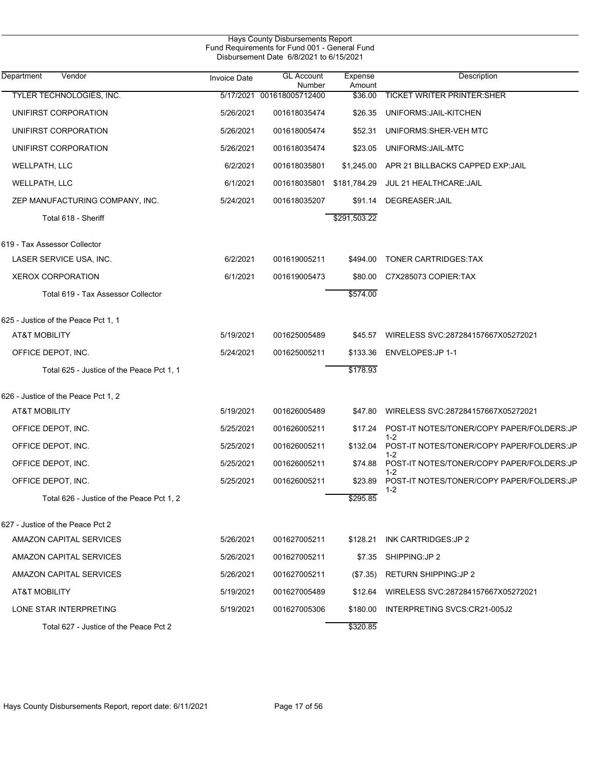|                                           |                     | Hays County Disbursements Report<br>Fund Requirements for Fund 001 - General Fund<br>Disbursement Date 6/8/2021 to 6/15/2021 |                   |                                                      |
|-------------------------------------------|---------------------|------------------------------------------------------------------------------------------------------------------------------|-------------------|------------------------------------------------------|
| Department<br>Vendor                      | <b>Invoice Date</b> | <b>GL Account</b><br>Number                                                                                                  | Expense<br>Amount | Description                                          |
| TYLER TECHNOLOGIES, INC.                  |                     | 5/17/2021 001618005712400                                                                                                    | \$36.00           | <b>TICKET WRITER PRINTER: SHER</b>                   |
| UNIFIRST CORPORATION                      | 5/26/2021           | 001618035474                                                                                                                 | \$26.35           | UNIFORMS: JAIL-KITCHEN                               |
| UNIFIRST CORPORATION                      | 5/26/2021           | 001618005474                                                                                                                 | \$52.31           | UNIFORMS: SHER-VEH MTC                               |
| UNIFIRST CORPORATION                      | 5/26/2021           | 001618035474                                                                                                                 | \$23.05           | UNIFORMS: JAIL-MTC                                   |
| WELLPATH, LLC                             | 6/2/2021            | 001618035801                                                                                                                 | \$1,245.00        | APR 21 BILLBACKS CAPPED EXP.JAIL                     |
| WELLPATH, LLC                             | 6/1/2021            | 001618035801                                                                                                                 | \$181,784.29      | JUL 21 HEALTHCARE: JAIL                              |
| ZEP MANUFACTURING COMPANY, INC.           | 5/24/2021           | 001618035207                                                                                                                 | \$91.14           | DEGREASER: JAIL                                      |
| Total 618 - Sheriff                       |                     |                                                                                                                              | \$291,503.22      |                                                      |
| 619 - Tax Assessor Collector              |                     |                                                                                                                              |                   |                                                      |
| LASER SERVICE USA, INC.                   | 6/2/2021            | 001619005211                                                                                                                 | \$494.00          | TONER CARTRIDGES: TAX                                |
| <b>XEROX CORPORATION</b>                  | 6/1/2021            | 001619005473                                                                                                                 | \$80.00           | C7X285073 COPIER:TAX                                 |
| Total 619 - Tax Assessor Collector        |                     |                                                                                                                              | \$574.00          |                                                      |
| 625 - Justice of the Peace Pct 1, 1       |                     |                                                                                                                              |                   |                                                      |
| AT&T MOBILITY                             | 5/19/2021           | 001625005489                                                                                                                 | \$45.57           | WIRELESS SVC:287284157667X05272021                   |
| OFFICE DEPOT, INC.                        | 5/24/2021           | 001625005211                                                                                                                 | \$133.36          | ENVELOPES: JP 1-1                                    |
| Total 625 - Justice of the Peace Pct 1, 1 |                     |                                                                                                                              | \$178.93          |                                                      |
| 626 - Justice of the Peace Pct 1, 2       |                     |                                                                                                                              |                   |                                                      |
| <b>AT&amp;T MOBILITY</b>                  | 5/19/2021           | 001626005489                                                                                                                 | \$47.80           | WIRELESS SVC:287284157667X05272021                   |
| OFFICE DEPOT, INC.                        | 5/25/2021           | 001626005211                                                                                                                 | \$17.24           | POST-IT NOTES/TONER/COPY PAPER/FOLDERS:JP            |
| OFFICE DEPOT, INC.                        | 5/25/2021           | 001626005211                                                                                                                 | \$132.04          | $1 - 2$<br>POST-IT NOTES/TONER/COPY PAPER/FOLDERS:JP |
| OFFICE DEPOT, INC.                        | 5/25/2021           | 001626005211                                                                                                                 | \$74.88           | 1-2<br>POST-IT NOTES/TONER/COPY PAPER/FOLDERS:JP     |
| OFFICE DEPOT, INC.                        | 5/25/2021           | 001626005211                                                                                                                 |                   | \$23.89 POST-IT NOTES/TONER/COPY PAPER/FOLDERS:JP    |
| Total 626 - Justice of the Peace Pct 1, 2 |                     |                                                                                                                              | \$295.85          | $1 - 2$                                              |
| 627 - Justice of the Peace Pct 2          |                     |                                                                                                                              |                   |                                                      |
| AMAZON CAPITAL SERVICES                   | 5/26/2021           | 001627005211                                                                                                                 | \$128.21          | INK CARTRIDGES: JP 2                                 |
| AMAZON CAPITAL SERVICES                   | 5/26/2021           | 001627005211                                                                                                                 | \$7.35            | SHIPPING: JP 2                                       |
| AMAZON CAPITAL SERVICES                   | 5/26/2021           | 001627005211                                                                                                                 | $(\$7.35)$        | <b>RETURN SHIPPING: JP 2</b>                         |
| AT&T MOBILITY                             | 5/19/2021           | 001627005489                                                                                                                 | \$12.64           | WIRELESS SVC:287284157667X05272021                   |
| LONE STAR INTERPRETING                    | 5/19/2021           | 001627005306                                                                                                                 | \$180.00          | INTERPRETING SVCS:CR21-005J2                         |
| Total 627 - Justice of the Peace Pct 2    |                     |                                                                                                                              | \$320.85          |                                                      |

Hays County Disbursements Report, report date: 6/11/2021 Page 17 of 56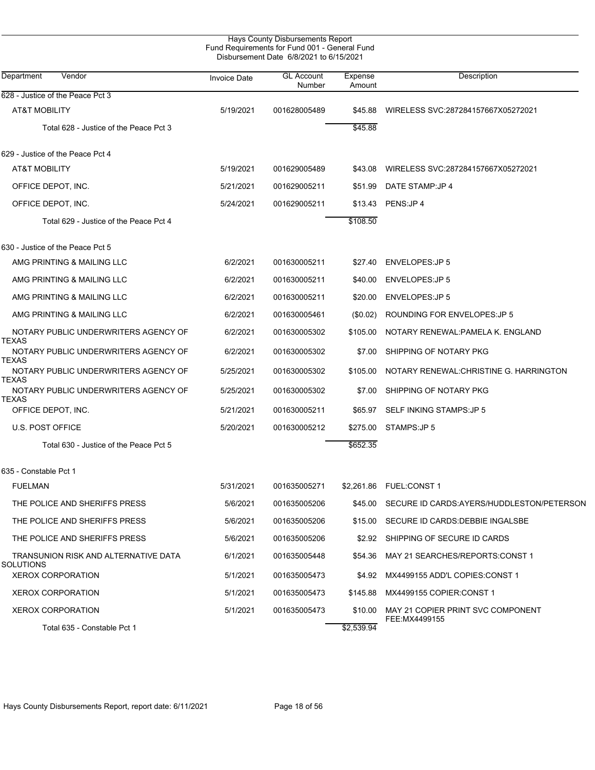| Hays County Disbursements Report<br>Fund Requirements for Fund 001 - General Fund<br>Disbursement Date 6/8/2021 to 6/15/2021 |                     |                             |                   |                                                    |  |  |  |
|------------------------------------------------------------------------------------------------------------------------------|---------------------|-----------------------------|-------------------|----------------------------------------------------|--|--|--|
| Vendor<br>Department                                                                                                         | <b>Invoice Date</b> | <b>GL Account</b><br>Number | Expense<br>Amount | Description                                        |  |  |  |
| 628 - Justice of the Peace Pct 3                                                                                             |                     |                             |                   |                                                    |  |  |  |
| <b>AT&amp;T MOBILITY</b>                                                                                                     | 5/19/2021           | 001628005489                | \$45.88           | WIRELESS SVC:287284157667X05272021                 |  |  |  |
| Total 628 - Justice of the Peace Pct 3                                                                                       |                     |                             | \$45.88           |                                                    |  |  |  |
| 629 - Justice of the Peace Pct 4                                                                                             |                     |                             |                   |                                                    |  |  |  |
| AT&T MOBILITY                                                                                                                | 5/19/2021           | 001629005489                | \$43.08           | WIRELESS SVC:287284157667X05272021                 |  |  |  |
| OFFICE DEPOT, INC.                                                                                                           | 5/21/2021           | 001629005211                | \$51.99           | DATE STAMP: JP 4                                   |  |  |  |
| OFFICE DEPOT, INC.                                                                                                           | 5/24/2021           | 001629005211                |                   | \$13.43 PENS: JP 4                                 |  |  |  |
| Total 629 - Justice of the Peace Pct 4                                                                                       |                     |                             | \$108.50          |                                                    |  |  |  |
| 630 - Justice of the Peace Pct 5                                                                                             |                     |                             |                   |                                                    |  |  |  |
| AMG PRINTING & MAILING LLC                                                                                                   | 6/2/2021            | 001630005211                | \$27.40           | ENVELOPES: JP 5                                    |  |  |  |
| AMG PRINTING & MAILING LLC                                                                                                   | 6/2/2021            | 001630005211                | \$40.00           | <b>ENVELOPES:JP 5</b>                              |  |  |  |
| AMG PRINTING & MAILING LLC                                                                                                   | 6/2/2021            | 001630005211                | \$20.00           | <b>ENVELOPES:JP 5</b>                              |  |  |  |
| AMG PRINTING & MAILING LLC                                                                                                   | 6/2/2021            | 001630005461                | (\$0.02)          | ROUNDING FOR ENVELOPES: JP 5                       |  |  |  |
| NOTARY PUBLIC UNDERWRITERS AGENCY OF<br>TEXAS                                                                                | 6/2/2021            | 001630005302                | \$105.00          | NOTARY RENEWAL: PAMELA K. ENGLAND                  |  |  |  |
| NOTARY PUBLIC UNDERWRITERS AGENCY OF<br>TEXAS                                                                                | 6/2/2021            | 001630005302                | \$7.00            | SHIPPING OF NOTARY PKG                             |  |  |  |
| NOTARY PUBLIC UNDERWRITERS AGENCY OF<br>TEXAS                                                                                | 5/25/2021           | 001630005302                | \$105.00          | NOTARY RENEWAL: CHRISTINE G. HARRINGTON            |  |  |  |
| NOTARY PUBLIC UNDERWRITERS AGENCY OF<br>TEXAS                                                                                | 5/25/2021           | 001630005302                | \$7.00            | SHIPPING OF NOTARY PKG                             |  |  |  |
| OFFICE DEPOT, INC.                                                                                                           | 5/21/2021           | 001630005211                | \$65.97           | SELF INKING STAMPS: JP 5                           |  |  |  |
| <b>U.S. POST OFFICE</b>                                                                                                      | 5/20/2021           | 001630005212                | \$275.00          | STAMPS: JP 5                                       |  |  |  |
| Total 630 - Justice of the Peace Pct 5                                                                                       |                     |                             | \$652.35          |                                                    |  |  |  |
| 635 - Constable Pct 1                                                                                                        |                     |                             |                   |                                                    |  |  |  |
| <b>FUELMAN</b>                                                                                                               | 5/31/2021           | 001635005271                |                   |                                                    |  |  |  |
| THE POLICE AND SHERIFFS PRESS                                                                                                | 5/6/2021            | 001635005206                | \$45.00           | SECURE ID CARDS: AYERS/HUDDLESTON/PETERSON         |  |  |  |
| THE POLICE AND SHERIFFS PRESS                                                                                                | 5/6/2021            | 001635005206                | \$15.00           | SECURE ID CARDS: DEBBIE INGALSBE                   |  |  |  |
| THE POLICE AND SHERIFFS PRESS                                                                                                | 5/6/2021            | 001635005206                | \$2.92            | SHIPPING OF SECURE ID CARDS                        |  |  |  |
| TRANSUNION RISK AND ALTERNATIVE DATA<br>SOLUTIONS                                                                            | 6/1/2021            | 001635005448                | \$54.36           | MAY 21 SEARCHES/REPORTS:CONST 1                    |  |  |  |
| <b>XEROX CORPORATION</b>                                                                                                     | 5/1/2021            | 001635005473                |                   | \$4.92 MX4499155 ADD'L COPIES: CONST 1             |  |  |  |
| <b>XEROX CORPORATION</b>                                                                                                     | 5/1/2021            | 001635005473                |                   | \$145.88 MX4499155 COPIER:CONST 1                  |  |  |  |
| <b>XEROX CORPORATION</b>                                                                                                     | 5/1/2021            | 001635005473                | \$10.00           | MAY 21 COPIER PRINT SVC COMPONENT<br>FEE:MX4499155 |  |  |  |
| Total 635 - Constable Pct 1                                                                                                  |                     |                             | \$2,539.94        |                                                    |  |  |  |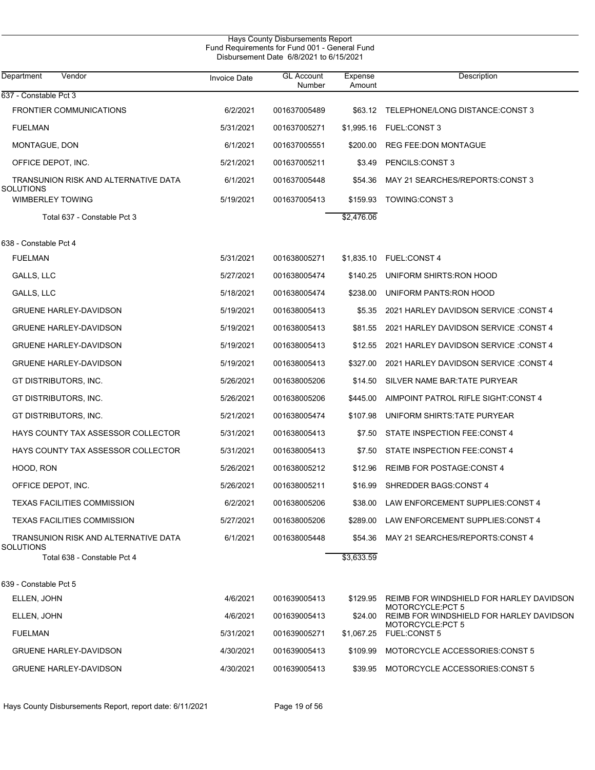|                                                   |                     | Hays County Disbursements Report<br>Fund Requirements for Fund 001 - General Fund<br>Disbursement Date 6/8/2021 to 6/15/2021 |                   |                                                               |
|---------------------------------------------------|---------------------|------------------------------------------------------------------------------------------------------------------------------|-------------------|---------------------------------------------------------------|
| Vendor<br>Department                              | <b>Invoice Date</b> | <b>GL Account</b><br>Number                                                                                                  | Expense<br>Amount | Description                                                   |
| 637 - Constable Pct 3                             |                     |                                                                                                                              |                   |                                                               |
| <b>FRONTIER COMMUNICATIONS</b>                    | 6/2/2021            | 001637005489                                                                                                                 | \$63.12           | TELEPHONE/LONG DISTANCE:CONST 3                               |
| <b>FUELMAN</b>                                    | 5/31/2021           | 001637005271                                                                                                                 | \$1,995.16        | <b>FUEL:CONST 3</b>                                           |
| MONTAGUE, DON                                     | 6/1/2021            | 001637005551                                                                                                                 | \$200.00          | <b>REG FEE:DON MONTAGUE</b>                                   |
| OFFICE DEPOT, INC.                                | 5/21/2021           | 001637005211                                                                                                                 | \$3.49            | PENCILS:CONST 3                                               |
| TRANSUNION RISK AND ALTERNATIVE DATA<br>SOLUTIONS | 6/1/2021            | 001637005448                                                                                                                 | \$54.36           | MAY 21 SEARCHES/REPORTS: CONST 3                              |
| <b>WIMBERLEY TOWING</b>                           | 5/19/2021           | 001637005413                                                                                                                 | \$159.93          | TOWING:CONST 3                                                |
| Total 637 - Constable Pct 3                       |                     |                                                                                                                              | \$2,476.06        |                                                               |
| 638 - Constable Pct 4                             |                     |                                                                                                                              |                   |                                                               |
| <b>FUELMAN</b>                                    | 5/31/2021           | 001638005271                                                                                                                 | \$1,835.10        | <b>FUEL:CONST 4</b>                                           |
| GALLS, LLC                                        | 5/27/2021           | 001638005474                                                                                                                 | \$140.25          | UNIFORM SHIRTS: RON HOOD                                      |
| <b>GALLS, LLC</b>                                 | 5/18/2021           | 001638005474                                                                                                                 | \$238.00          | UNIFORM PANTS: RON HOOD                                       |
| <b>GRUENE HARLEY-DAVIDSON</b>                     | 5/19/2021           | 001638005413                                                                                                                 | \$5.35            | 2021 HARLEY DAVIDSON SERVICE : CONST 4                        |
| <b>GRUENE HARLEY-DAVIDSON</b>                     | 5/19/2021           | 001638005413                                                                                                                 | \$81.55           | 2021 HARLEY DAVIDSON SERVICE : CONST 4                        |
| <b>GRUENE HARLEY-DAVIDSON</b>                     | 5/19/2021           | 001638005413                                                                                                                 | \$12.55           | 2021 HARLEY DAVIDSON SERVICE : CONST 4                        |
| <b>GRUENE HARLEY-DAVIDSON</b>                     | 5/19/2021           | 001638005413                                                                                                                 | \$327.00          | 2021 HARLEY DAVIDSON SERVICE : CONST 4                        |
| GT DISTRIBUTORS, INC.                             | 5/26/2021           | 001638005206                                                                                                                 | \$14.50           | SILVER NAME BAR: TATE PURYEAR                                 |
| GT DISTRIBUTORS, INC.                             | 5/26/2021           | 001638005206                                                                                                                 | \$445.00          | AIMPOINT PATROL RIFLE SIGHT:CONST 4                           |
| GT DISTRIBUTORS, INC.                             | 5/21/2021           | 001638005474                                                                                                                 | \$107.98          | UNIFORM SHIRTS: TATE PURYEAR                                  |
| HAYS COUNTY TAX ASSESSOR COLLECTOR                | 5/31/2021           | 001638005413                                                                                                                 | \$7.50            | STATE INSPECTION FEE.CONST 4                                  |
| HAYS COUNTY TAX ASSESSOR COLLECTOR                | 5/31/2021           | 001638005413                                                                                                                 | \$7.50            | STATE INSPECTION FEE:CONST 4                                  |
| HOOD, RON                                         | 5/26/2021           | 001638005212                                                                                                                 | \$12.96           | <b>REIMB FOR POSTAGE:CONST 4</b>                              |
| OFFICE DEPOT, INC.                                | 5/26/2021           | 001638005211                                                                                                                 | \$16.99           | SHREDDER BAGS:CONST 4                                         |
| TEXAS FACILITIES COMMISSION                       | 6/2/2021            | 001638005206                                                                                                                 | \$38.00           | LAW ENFORCEMENT SUPPLIES: CONST 4                             |
| TEXAS FACILITIES COMMISSION                       | 5/27/2021           | 001638005206                                                                                                                 | \$289.00          | LAW ENFORCEMENT SUPPLIES: CONST 4                             |
| TRANSUNION RISK AND ALTERNATIVE DATA<br>SOLUTIONS | 6/1/2021            | 001638005448                                                                                                                 |                   | \$54.36 MAY 21 SEARCHES/REPORTS:CONST 4                       |
| Total 638 - Constable Pct 4                       |                     |                                                                                                                              | \$3,633.59        |                                                               |
| 639 - Constable Pct 5                             |                     |                                                                                                                              |                   |                                                               |
| ELLEN, JOHN                                       | 4/6/2021            | 001639005413                                                                                                                 | \$129.95          | REIMB FOR WINDSHIELD FOR HARLEY DAVIDSON<br>MOTORCYCLE: PCT 5 |
| ELLEN, JOHN                                       | 4/6/2021            | 001639005413                                                                                                                 | \$24.00           | REIMB FOR WINDSHIELD FOR HARLEY DAVIDSON<br>MOTORCYCLE: PCT 5 |
| <b>FUELMAN</b>                                    | 5/31/2021           | 001639005271                                                                                                                 | \$1,067.25        | <b>FUEL:CONST 5</b>                                           |
| <b>GRUENE HARLEY-DAVIDSON</b>                     | 4/30/2021           | 001639005413                                                                                                                 | \$109.99          | MOTORCYCLE ACCESSORIES: CONST 5                               |
| <b>GRUENE HARLEY-DAVIDSON</b>                     | 4/30/2021           | 001639005413                                                                                                                 | \$39.95           | MOTORCYCLE ACCESSORIES:CONST 5                                |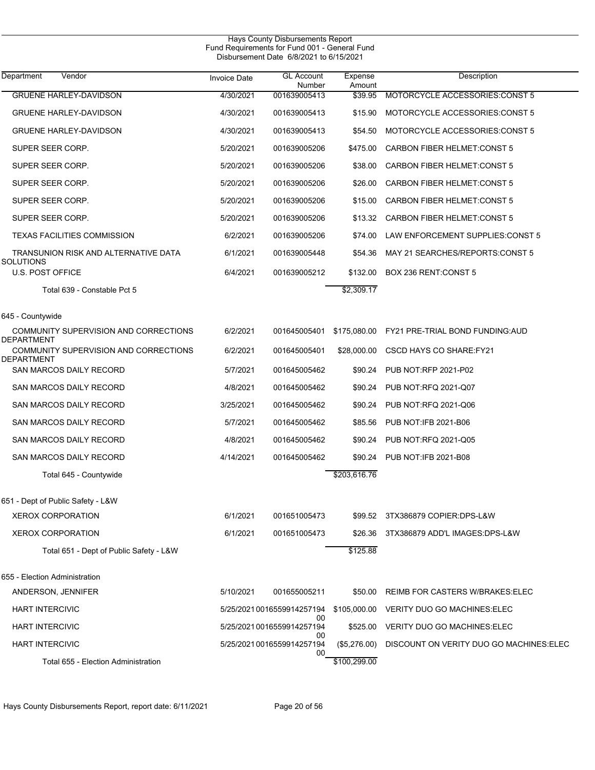|                                                     |                     | Hays County Disbursements Report<br>Fund Requirements for Fund 001 - General Fund<br>Disbursement Date 6/8/2021 to 6/15/2021 |                   |                                           |
|-----------------------------------------------------|---------------------|------------------------------------------------------------------------------------------------------------------------------|-------------------|-------------------------------------------|
| Vendor<br>Department                                | <b>Invoice Date</b> | <b>GL Account</b><br>Number                                                                                                  | Expense<br>Amount | Description                               |
| <b>GRUENE HARLEY-DAVIDSON</b>                       | 4/30/2021           | 001639005413                                                                                                                 | \$39.95           | MOTORCYCLE ACCESSORIES.CONST 5            |
| <b>GRUENE HARLEY-DAVIDSON</b>                       | 4/30/2021           | 001639005413                                                                                                                 | \$15.90           | MOTORCYCLE ACCESSORIES: CONST 5           |
| <b>GRUENE HARLEY-DAVIDSON</b>                       | 4/30/2021           | 001639005413                                                                                                                 | \$54.50           | MOTORCYCLE ACCESSORIES: CONST 5           |
| SUPER SEER CORP.                                    | 5/20/2021           | 001639005206                                                                                                                 | \$475.00          | <b>CARBON FIBER HELMET: CONST 5</b>       |
| SUPER SEER CORP.                                    | 5/20/2021           | 001639005206                                                                                                                 | \$38.00           | <b>CARBON FIBER HELMET CONST 5</b>        |
| SUPER SEER CORP.                                    | 5/20/2021           | 001639005206                                                                                                                 | \$26.00           | <b>CARBON FIBER HELMET:CONST 5</b>        |
| SUPER SEER CORP.                                    | 5/20/2021           | 001639005206                                                                                                                 | \$15.00           | <b>CARBON FIBER HELMET CONST 5</b>        |
| SUPER SEER CORP.                                    | 5/20/2021           | 001639005206                                                                                                                 | \$13.32           | <b>CARBON FIBER HELMET:CONST 5</b>        |
| <b>TEXAS FACILITIES COMMISSION</b>                  | 6/2/2021            | 001639005206                                                                                                                 | \$74.00           | LAW ENFORCEMENT SUPPLIES: CONST 5         |
| TRANSUNION RISK AND ALTERNATIVE DATA<br>SOLUTIONS   | 6/1/2021            | 001639005448                                                                                                                 | \$54.36           | MAY 21 SEARCHES/REPORTS CONST 5           |
| <b>U.S. POST OFFICE</b>                             | 6/4/2021            | 001639005212                                                                                                                 | \$132.00          | BOX 236 RENT: CONST 5                     |
| Total 639 - Constable Pct 5                         |                     |                                                                                                                              | \$2,309.17        |                                           |
| 645 - Countywide                                    |                     |                                                                                                                              |                   |                                           |
| COMMUNITY SUPERVISION AND CORRECTIONS<br>DEPARTMENT | 6/2/2021            | 001645005401                                                                                                                 | \$175,080.00      | FY21 PRE-TRIAL BOND FUNDING: AUD          |
| COMMUNITY SUPERVISION AND CORRECTIONS<br>DEPARTMENT | 6/2/2021            | 001645005401                                                                                                                 | \$28,000.00       | CSCD HAYS CO SHARE: FY21                  |
| SAN MARCOS DAILY RECORD                             | 5/7/2021            | 001645005462                                                                                                                 | \$90.24           | PUB NOT:RFP 2021-P02                      |
| SAN MARCOS DAILY RECORD                             | 4/8/2021            | 001645005462                                                                                                                 | \$90.24           | PUB NOT:RFQ 2021-Q07                      |
| SAN MARCOS DAILY RECORD                             | 3/25/2021           | 001645005462                                                                                                                 | \$90.24           | PUB NOT:RFQ 2021-Q06                      |
| SAN MARCOS DAILY RECORD                             | 5/7/2021            | 001645005462                                                                                                                 | \$85.56           | PUB NOT: IFB 2021-B06                     |
| SAN MARCOS DAILY RECORD                             | 4/8/2021            | 001645005462                                                                                                                 | \$90.24           | PUB NOT:RFQ 2021-Q05                      |
| SAN MARCOS DAILY RECORD                             | 4/14/2021           | 001645005462                                                                                                                 | \$90.24           | PUB NOT IFB 2021-B08                      |
| Total 645 - Countywide                              |                     |                                                                                                                              | \$203,616.76      |                                           |
| 651 - Dept of Public Safety - L&W                   |                     |                                                                                                                              |                   |                                           |
| <b>XEROX CORPORATION</b>                            | 6/1/2021            | 001651005473                                                                                                                 | \$99.52           | 3TX386879 COPIER:DPS-L&W                  |
| <b>XEROX CORPORATION</b>                            | 6/1/2021            | 001651005473                                                                                                                 | \$26.36           | 3TX386879 ADD'L IMAGES:DPS-L&W            |
| Total 651 - Dept of Public Safety - L&W             |                     |                                                                                                                              | \$125.88          |                                           |
| 655 - Election Administration                       |                     |                                                                                                                              |                   |                                           |
| ANDERSON, JENNIFER                                  | 5/10/2021           | 001655005211                                                                                                                 | \$50.00           | REIMB FOR CASTERS W/BRAKES: ELEC          |
| <b>HART INTERCIVIC</b>                              |                     | 5/25/20210016559914257194                                                                                                    |                   | \$105,000.00 VERITY DUO GO MACHINES: ELEC |
| <b>HART INTERCIVIC</b>                              |                     | 00<br>5/25/20210016559914257194                                                                                              | \$525.00          | VERITY DUO GO MACHINES: ELEC              |
| <b>HART INTERCIVIC</b>                              |                     | 00<br>5/25/2021 0016559914257194<br>00                                                                                       | $(\$5,276.00)$    | DISCOUNT ON VERITY DUO GO MACHINES: ELEC  |
| Total 655 - Election Administration                 |                     |                                                                                                                              | \$100,299.00      |                                           |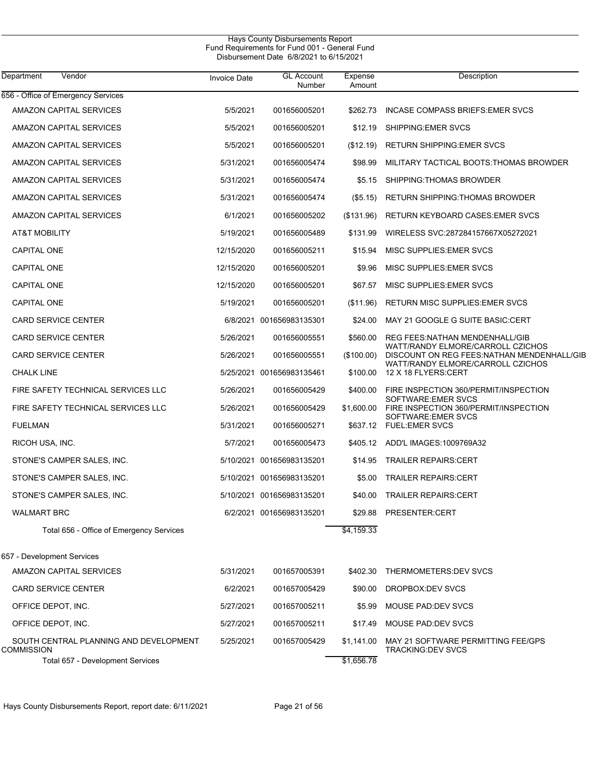|                                                      |                     | Hays County Disbursements Report<br>Fund Requirements for Fund 001 - General Fund<br>Disbursement Date 6/8/2021 to 6/15/2021 |                   |                                                                                  |
|------------------------------------------------------|---------------------|------------------------------------------------------------------------------------------------------------------------------|-------------------|----------------------------------------------------------------------------------|
| Vendor<br>Department                                 | <b>Invoice Date</b> | <b>GL Account</b><br>Number                                                                                                  | Expense<br>Amount | Description                                                                      |
| 656 - Office of Emergency Services                   |                     |                                                                                                                              |                   |                                                                                  |
| AMAZON CAPITAL SERVICES                              | 5/5/2021            | 001656005201                                                                                                                 | \$262.73          | INCASE COMPASS BRIEFS: EMER SVCS                                                 |
| AMAZON CAPITAL SERVICES                              | 5/5/2021            | 001656005201                                                                                                                 | \$12.19           | SHIPPING EMER SVCS                                                               |
| AMAZON CAPITAL SERVICES                              | 5/5/2021            | 001656005201                                                                                                                 | (\$12.19)         | <b>RETURN SHIPPING: EMER SVCS</b>                                                |
| AMAZON CAPITAL SERVICES                              | 5/31/2021           | 001656005474                                                                                                                 | \$98.99           | MILITARY TACTICAL BOOTS: THOMAS BROWDER                                          |
| AMAZON CAPITAL SERVICES                              | 5/31/2021           | 001656005474                                                                                                                 | \$5.15            | SHIPPING: THOMAS BROWDER                                                         |
| AMAZON CAPITAL SERVICES                              | 5/31/2021           | 001656005474                                                                                                                 | (\$5.15)          | <b>RETURN SHIPPING: THOMAS BROWDER</b>                                           |
| AMAZON CAPITAL SERVICES                              | 6/1/2021            | 001656005202                                                                                                                 | (\$131.96)        | RETURN KEYBOARD CASES: EMER SVCS                                                 |
| <b>AT&amp;T MOBILITY</b>                             | 5/19/2021           | 001656005489                                                                                                                 | \$131.99          | WIRELESS SVC:287284157667X05272021                                               |
| <b>CAPITAL ONE</b>                                   | 12/15/2020          | 001656005211                                                                                                                 | \$15.94           | MISC SUPPLIES: EMER SVCS                                                         |
| <b>CAPITAL ONE</b>                                   | 12/15/2020          | 001656005201                                                                                                                 | \$9.96            | MISC SUPPLIES: EMER SVCS                                                         |
| <b>CAPITAL ONE</b>                                   | 12/15/2020          | 001656005201                                                                                                                 | \$67.57           | MISC SUPPLIES: EMER SVCS                                                         |
| <b>CAPITAL ONE</b>                                   | 5/19/2021           | 001656005201                                                                                                                 | (\$11.96)         | <b>RETURN MISC SUPPLIES: EMER SVCS</b>                                           |
| <b>CARD SERVICE CENTER</b>                           |                     | 6/8/2021 001656983135301                                                                                                     | \$24.00           | MAY 21 GOOGLE G SUITE BASIC:CERT                                                 |
| <b>CARD SERVICE CENTER</b>                           | 5/26/2021           | 001656005551                                                                                                                 | \$560.00          | REG FEES NATHAN MENDENHALL/GIB                                                   |
| <b>CARD SERVICE CENTER</b>                           | 5/26/2021           | 001656005551                                                                                                                 | (\$100.00)        | WATT/RANDY ELMORE/CARROLL CZICHOS<br>DISCOUNT ON REG FEES: NATHAN MENDENHALL/GIB |
| <b>CHALK LINE</b>                                    |                     | 5/25/2021 001656983135461                                                                                                    | \$100.00          | WATT/RANDY ELMORE/CARROLL CZICHOS<br>12 X 18 FLYERS: CERT                        |
| FIRE SAFETY TECHNICAL SERVICES LLC                   | 5/26/2021           | 001656005429                                                                                                                 | \$400.00          | FIRE INSPECTION 360/PERMIT/INSPECTION                                            |
| FIRE SAFETY TECHNICAL SERVICES LLC                   | 5/26/2021           | 001656005429                                                                                                                 | \$1,600.00        | SOFTWARE: EMER SVCS<br>FIRE INSPECTION 360/PERMIT/INSPECTION                     |
| <b>FUELMAN</b>                                       | 5/31/2021           | 001656005271                                                                                                                 | \$637.12          | SOFTWARE: EMER SVCS<br><b>FUEL:EMER SVCS</b>                                     |
| RICOH USA, INC.                                      | 5/7/2021            | 001656005473                                                                                                                 | \$405.12          | ADD'L IMAGES: 1009769A32                                                         |
| STONE'S CAMPER SALES, INC.                           |                     | 5/10/2021 001656983135201                                                                                                    | \$14.95           | <b>TRAILER REPAIRS:CERT</b>                                                      |
| STONE'S CAMPER SALES, INC.                           |                     | 5/10/2021 001656983135201                                                                                                    | \$5.00            | <b>TRAILER REPAIRS:CERT</b>                                                      |
| STONE'S CAMPER SALES, INC.                           |                     | 5/10/2021 001656983135201                                                                                                    | \$40.00           | <b>TRAILER REPAIRS:CERT</b>                                                      |
| <b>WALMART BRC</b>                                   |                     | 6/2/2021 001656983135201                                                                                                     | \$29.88           | PRESENTER:CERT                                                                   |
| Total 656 - Office of Emergency Services             |                     |                                                                                                                              | \$4,159.33        |                                                                                  |
| 657 - Development Services                           |                     |                                                                                                                              |                   |                                                                                  |
| AMAZON CAPITAL SERVICES                              | 5/31/2021           | 001657005391                                                                                                                 | \$402.30          | THERMOMETERS: DEV SVCS                                                           |
| CARD SERVICE CENTER                                  | 6/2/2021            | 001657005429                                                                                                                 | \$90.00           | DROPBOX:DEV SVCS                                                                 |
| OFFICE DEPOT, INC.                                   | 5/27/2021           | 001657005211                                                                                                                 | \$5.99            | MOUSE PAD: DEV SVCS                                                              |
| OFFICE DEPOT, INC.                                   | 5/27/2021           | 001657005211                                                                                                                 | \$17.49           | MOUSE PAD: DEV SVCS                                                              |
| SOUTH CENTRAL PLANNING AND DEVELOPMENT<br>COMMISSION | 5/25/2021           | 001657005429                                                                                                                 | \$1,141.00        | MAY 21 SOFTWARE PERMITTING FEE/GPS<br><b>TRACKING:DEV SVCS</b>                   |
| Total 657 - Development Services                     |                     |                                                                                                                              | \$1,656.78        |                                                                                  |

Hays County Disbursements Report, report date: 6/11/2021 Page 21 of 56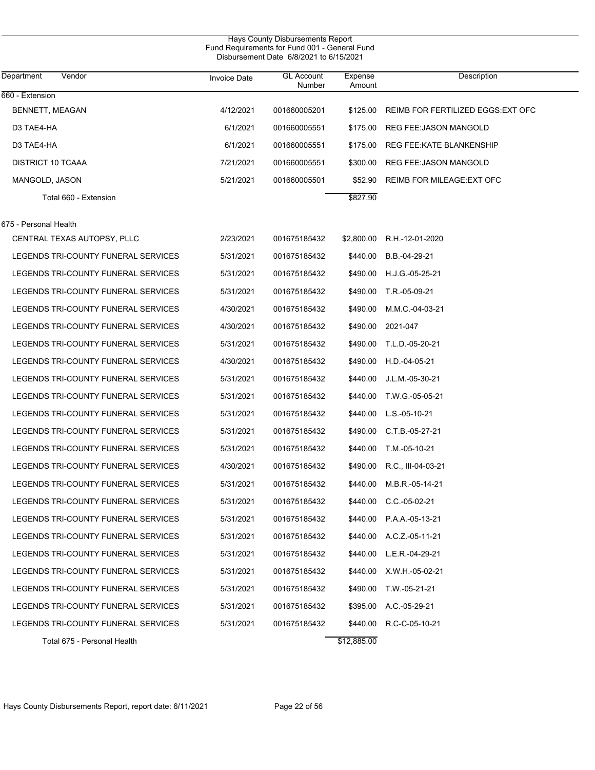| Hays County Disbursements Report<br>Fund Requirements for Fund 001 - General Fund<br>Disbursement Date 6/8/2021 to 6/15/2021 |                     |                             |                   |                                    |  |  |  |
|------------------------------------------------------------------------------------------------------------------------------|---------------------|-----------------------------|-------------------|------------------------------------|--|--|--|
| Vendor<br>Department                                                                                                         | <b>Invoice Date</b> | <b>GL Account</b><br>Number | Expense<br>Amount | Description                        |  |  |  |
| 660 - Extension                                                                                                              |                     |                             |                   |                                    |  |  |  |
| BENNETT, MEAGAN                                                                                                              | 4/12/2021           | 001660005201                | \$125.00          | REIMB FOR FERTILIZED EGGS: EXT OFC |  |  |  |
| D3 TAE4-HA                                                                                                                   | 6/1/2021            | 001660005551                | \$175.00          | <b>REG FEE: JASON MANGOLD</b>      |  |  |  |
| D3 TAE4-HA                                                                                                                   | 6/1/2021            | 001660005551                | \$175.00          | REG FEE KATE BLANKENSHIP           |  |  |  |
| <b>DISTRICT 10 TCAAA</b>                                                                                                     | 7/21/2021           | 001660005551                | \$300.00          | <b>REG FEE: JASON MANGOLD</b>      |  |  |  |
| MANGOLD, JASON                                                                                                               | 5/21/2021           | 001660005501                | \$52.90           | REIMB FOR MILEAGE: EXT OFC         |  |  |  |
| Total 660 - Extension                                                                                                        |                     |                             | \$827.90          |                                    |  |  |  |
| 675 - Personal Health                                                                                                        |                     |                             |                   |                                    |  |  |  |
| CENTRAL TEXAS AUTOPSY, PLLC                                                                                                  | 2/23/2021           | 001675185432                | \$2,800.00        | R.H.-12-01-2020                    |  |  |  |
| LEGENDS TRI-COUNTY FUNERAL SERVICES                                                                                          | 5/31/2021           | 001675185432                | \$440.00          | B.B.-04-29-21                      |  |  |  |
| LEGENDS TRI-COUNTY FUNERAL SERVICES                                                                                          | 5/31/2021           | 001675185432                | \$490.00          | H.J.G.-05-25-21                    |  |  |  |
| LEGENDS TRI-COUNTY FUNERAL SERVICES                                                                                          | 5/31/2021           | 001675185432                | \$490.00          | T.R.-05-09-21                      |  |  |  |
| LEGENDS TRI-COUNTY FUNERAL SERVICES                                                                                          | 4/30/2021           | 001675185432                | \$490.00          | M.M.C.-04-03-21                    |  |  |  |
| LEGENDS TRI-COUNTY FUNERAL SERVICES                                                                                          | 4/30/2021           | 001675185432                | \$490.00          | 2021-047                           |  |  |  |
| LEGENDS TRI-COUNTY FUNERAL SERVICES                                                                                          | 5/31/2021           | 001675185432                | \$490.00          | T.L.D.-05-20-21                    |  |  |  |
| LEGENDS TRI-COUNTY FUNERAL SERVICES                                                                                          | 4/30/2021           | 001675185432                | \$490.00          | H.D.-04-05-21                      |  |  |  |
| LEGENDS TRI-COUNTY FUNERAL SERVICES                                                                                          | 5/31/2021           | 001675185432                | \$440.00          | J.L.M.-05-30-21                    |  |  |  |
| LEGENDS TRI-COUNTY FUNERAL SERVICES                                                                                          | 5/31/2021           | 001675185432                | \$440.00          | T.W.G.-05-05-21                    |  |  |  |
| LEGENDS TRI-COUNTY FUNERAL SERVICES                                                                                          | 5/31/2021           | 001675185432                | \$440.00          | L.S.-05-10-21                      |  |  |  |
| LEGENDS TRI-COUNTY FUNERAL SERVICES                                                                                          | 5/31/2021           | 001675185432                | \$490.00          | $C.T.B.-05-27-21$                  |  |  |  |
| LEGENDS TRI-COUNTY FUNERAL SERVICES                                                                                          | 5/31/2021           | 001675185432                | \$440.00          | T.M.-05-10-21                      |  |  |  |
| LEGENDS TRI-COUNTY FUNERAL SERVICES                                                                                          | 4/30/2021           | 001675185432                | \$490.00          | R.C., III-04-03-21                 |  |  |  |
| LEGENDS TRI-COUNTY FUNERAL SERVICES                                                                                          | 5/31/2021           | 001675185432                | \$440.00          | M.B.R.-05-14-21                    |  |  |  |
| LEGENDS TRI-COUNTY FUNERAL SERVICES                                                                                          | 5/31/2021           | 001675185432                | \$440.00          | $C.C. -05-02-21$                   |  |  |  |
| LEGENDS TRI-COUNTY FUNERAL SERVICES                                                                                          | 5/31/2021           | 001675185432                | \$440.00          | P.A.A.-05-13-21                    |  |  |  |
| LEGENDS TRI-COUNTY FUNERAL SERVICES                                                                                          | 5/31/2021           | 001675185432                | \$440.00          | A.C.Z.-05-11-21                    |  |  |  |
| LEGENDS TRI-COUNTY FUNERAL SERVICES                                                                                          | 5/31/2021           | 001675185432                | \$440.00          | L.E.R.-04-29-21                    |  |  |  |
| LEGENDS TRI-COUNTY FUNERAL SERVICES                                                                                          | 5/31/2021           | 001675185432                | \$440.00          | X.W.H.-05-02-21                    |  |  |  |
| LEGENDS TRI-COUNTY FUNERAL SERVICES                                                                                          | 5/31/2021           | 001675185432                | \$490.00          | T.W.-05-21-21                      |  |  |  |
| LEGENDS TRI-COUNTY FUNERAL SERVICES                                                                                          | 5/31/2021           | 001675185432                | \$395.00          | A.C.-05-29-21                      |  |  |  |
| LEGENDS TRI-COUNTY FUNERAL SERVICES                                                                                          | 5/31/2021           | 001675185432                | \$440.00          | R.C-C-05-10-21                     |  |  |  |
| Total 675 - Personal Health                                                                                                  |                     |                             | \$12,885.00       |                                    |  |  |  |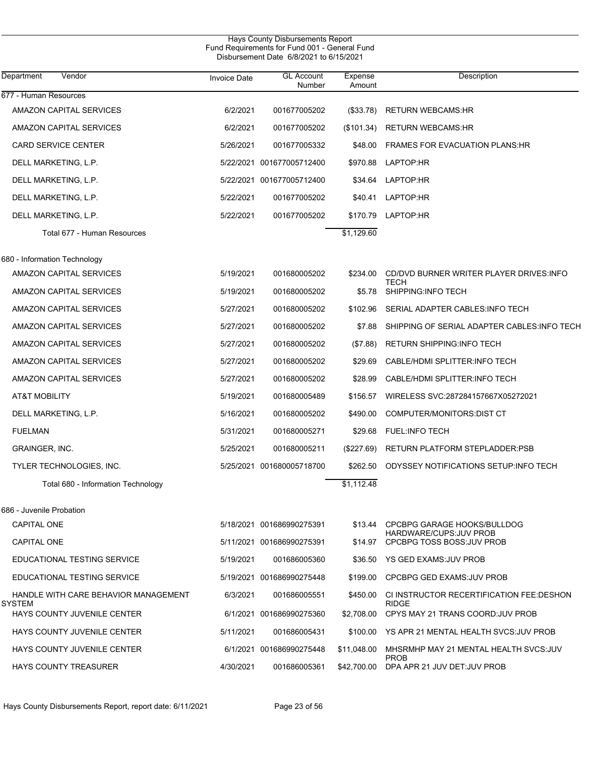|                                                |                     | Hays County Disbursements Report<br>Fund Requirements for Fund 001 - General Fund<br>Disbursement Date 6/8/2021 to 6/15/2021 |                   |                                                          |
|------------------------------------------------|---------------------|------------------------------------------------------------------------------------------------------------------------------|-------------------|----------------------------------------------------------|
| Vendor<br>Department                           | <b>Invoice Date</b> | <b>GL Account</b><br>Number                                                                                                  | Expense<br>Amount | Description                                              |
| 677 - Human Resources                          |                     |                                                                                                                              |                   |                                                          |
| AMAZON CAPITAL SERVICES                        | 6/2/2021            | 001677005202                                                                                                                 | (\$33.78)         | <b>RETURN WEBCAMS:HR</b>                                 |
| AMAZON CAPITAL SERVICES                        | 6/2/2021            | 001677005202                                                                                                                 | (\$101.34)        | <b>RETURN WEBCAMS:HR</b>                                 |
| CARD SERVICE CENTER                            | 5/26/2021           | 001677005332                                                                                                                 | \$48.00           | <b>FRAMES FOR EVACUATION PLANS HR</b>                    |
| DELL MARKETING, L.P.                           |                     | 5/22/2021 001677005712400                                                                                                    | \$970.88          | LAPTOP:HR                                                |
| DELL MARKETING, L.P.                           | 5/22/2021           | 001677005712400                                                                                                              | \$34.64           | LAPTOP:HR                                                |
| DELL MARKETING, L.P.                           | 5/22/2021           | 001677005202                                                                                                                 | \$40.41           | LAPTOP:HR                                                |
| DELL MARKETING, L.P.                           | 5/22/2021           | 001677005202                                                                                                                 | \$170.79          | LAPTOP:HR                                                |
| Total 677 - Human Resources                    |                     |                                                                                                                              | \$1,129.60        |                                                          |
| 680 - Information Technology                   |                     |                                                                                                                              |                   |                                                          |
| AMAZON CAPITAL SERVICES                        | 5/19/2021           | 001680005202                                                                                                                 | \$234.00          | CD/DVD BURNER WRITER PLAYER DRIVES: INFO                 |
| AMAZON CAPITAL SERVICES                        | 5/19/2021           | 001680005202                                                                                                                 | \$5.78            | <b>TECH</b><br>SHIPPING:INFO TECH                        |
| AMAZON CAPITAL SERVICES                        | 5/27/2021           | 001680005202                                                                                                                 | \$102.96          | SERIAL ADAPTER CABLES: INFO TECH                         |
| AMAZON CAPITAL SERVICES                        | 5/27/2021           | 001680005202                                                                                                                 | \$7.88            | SHIPPING OF SERIAL ADAPTER CABLES: INFO TECH             |
| AMAZON CAPITAL SERVICES                        | 5/27/2021           | 001680005202                                                                                                                 | (\$7.88)          | <b>RETURN SHIPPING: INFO TECH</b>                        |
| AMAZON CAPITAL SERVICES                        | 5/27/2021           | 001680005202                                                                                                                 | \$29.69           | CABLE/HDMI SPLITTER: INFO TECH                           |
| AMAZON CAPITAL SERVICES                        | 5/27/2021           | 001680005202                                                                                                                 | \$28.99           | CABLE/HDMI SPLITTER: INFO TECH                           |
| AT&T MOBILITY                                  | 5/19/2021           | 001680005489                                                                                                                 | \$156.57          | WIRELESS SVC:287284157667X05272021                       |
| DELL MARKETING, L.P.                           | 5/16/2021           | 001680005202                                                                                                                 | \$490.00          | COMPUTER/MONITORS:DIST CT                                |
| <b>FUELMAN</b>                                 | 5/31/2021           | 001680005271                                                                                                                 | \$29.68           | <b>FUEL:INFO TECH</b>                                    |
| <b>GRAINGER, INC.</b>                          | 5/25/2021           | 001680005211                                                                                                                 | (\$227.69)        | RETURN PLATFORM STEPLADDER PSB                           |
| TYLER TECHNOLOGIES, INC.                       |                     | 5/25/2021 001680005718700                                                                                                    | \$262.50          | ODYSSEY NOTIFICATIONS SETUP: INFO TECH                   |
| Total 680 - Information Technology             |                     |                                                                                                                              | \$1,112.48        |                                                          |
| 686 - Juvenile Probation                       |                     |                                                                                                                              |                   |                                                          |
| <b>CAPITAL ONE</b>                             |                     | 5/18/2021 001686990275391                                                                                                    | \$13.44           | CPCBPG GARAGE HOOKS/BULLDOG                              |
| CAPITAL ONE                                    |                     | 5/11/2021 001686990275391                                                                                                    | \$14.97           | HARDWARE/CUPS: JUV PROB<br>CPCBPG TOSS BOSS.JUV PROB     |
| EDUCATIONAL TESTING SERVICE                    | 5/19/2021           | 001686005360                                                                                                                 |                   | \$36.50 YS GED EXAMS: JUV PROB                           |
| EDUCATIONAL TESTING SERVICE                    |                     | 5/19/2021 001686990275448                                                                                                    | \$199.00          | CPCBPG GED EXAMS: JUV PROB                               |
| HANDLE WITH CARE BEHAVIOR MANAGEMENT<br>SYSTEM | 6/3/2021            | 001686005551                                                                                                                 | \$450.00          | CI INSTRUCTOR RECERTIFICATION FEE:DESHON<br><b>RIDGE</b> |
| HAYS COUNTY JUVENILE CENTER                    |                     | 6/1/2021 001686990275360                                                                                                     | \$2,708.00        | CPYS MAY 21 TRANS COORD: JUV PROB                        |
| HAYS COUNTY JUVENILE CENTER                    | 5/11/2021           | 001686005431                                                                                                                 |                   | \$100.00 YS APR 21 MENTAL HEALTH SVCS: JUV PROB          |
| HAYS COUNTY JUVENILE CENTER                    |                     | 6/1/2021 001686990275448                                                                                                     | \$11,048.00       | MHSRMHP MAY 21 MENTAL HEALTH SVCS: JUV<br><b>PROB</b>    |
| <b>HAYS COUNTY TREASURER</b>                   | 4/30/2021           | 001686005361                                                                                                                 | \$42,700.00       | DPA APR 21 JUV DET: JUV PROB                             |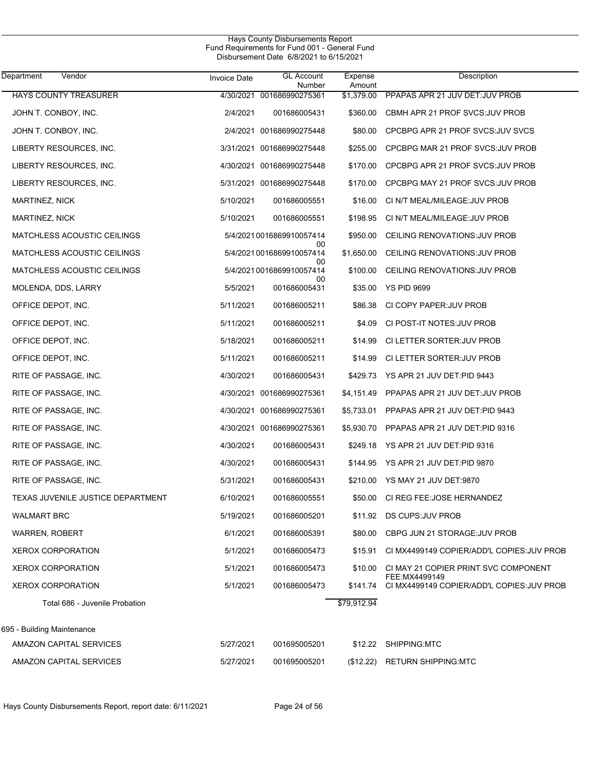| Department<br>Vendor              | <b>Invoice Date</b> | <b>GL Account</b><br>Number     | Expense<br>Amount | Description                                            |
|-----------------------------------|---------------------|---------------------------------|-------------------|--------------------------------------------------------|
| HAYS COUNTY TREASURER             |                     | 4/30/2021 001686990275361       | \$1,379.00        | PPAPAS APR 21 JUV DET.JUV PROB                         |
| JOHN T. CONBOY, INC.              | 2/4/2021            | 001686005431                    | \$360.00          | CBMH APR 21 PROF SVCS: JUV PROB                        |
| JOHN T. CONBOY, INC.              |                     | 2/4/2021 001686990275448        | \$80.00           | CPCBPG APR 21 PROF SVCS: JUV SVCS                      |
| LIBERTY RESOURCES, INC.           |                     | 3/31/2021 001686990275448       | \$255.00          | CPCBPG MAR 21 PROF SVCS: JUV PROB                      |
| LIBERTY RESOURCES, INC.           |                     | 4/30/2021 001686990275448       | \$170.00          | CPCBPG APR 21 PROF SVCS: JUV PROB                      |
| LIBERTY RESOURCES, INC.           |                     | 5/31/2021 001686990275448       | \$170.00          | CPCBPG MAY 21 PROF SVCS: JUV PROB                      |
| MARTINEZ, NICK                    | 5/10/2021           | 001686005551                    | \$16.00           | CI N/T MEAL/MILEAGE: JUV PROB                          |
| <b>MARTINEZ, NICK</b>             | 5/10/2021           | 001686005551                    | \$198.95          | CI N/T MEAL/MILEAGE: JUV PROB                          |
| MATCHLESS ACOUSTIC CEILINGS       |                     | 5/4/2021 0016869910057414       | \$950.00          | CEILING RENOVATIONS: JUV PROB                          |
| MATCHLESS ACOUSTIC CEILINGS       |                     | 00<br>5/4/2021 0016869910057414 | \$1,650.00        | CEILING RENOVATIONS: JUV PROB                          |
| MATCHLESS ACOUSTIC CEILINGS       |                     | 00<br>5/4/2021 0016869910057414 | \$100.00          | CEILING RENOVATIONS: JUV PROB                          |
| MOLENDA, DDS, LARRY               | 5/5/2021            | 00<br>001686005431              | \$35.00           | <b>YS PID 9699</b>                                     |
| OFFICE DEPOT, INC.                | 5/11/2021           | 001686005211                    | \$86.38           | CI COPY PAPER: JUV PROB                                |
| OFFICE DEPOT, INC.                | 5/11/2021           | 001686005211                    | \$4.09            | CI POST-IT NOTES: JUV PROB                             |
| OFFICE DEPOT, INC.                | 5/18/2021           | 001686005211                    | \$14.99           | CI LETTER SORTER: JUV PROB                             |
| OFFICE DEPOT, INC.                | 5/11/2021           | 001686005211                    | \$14.99           | CI LETTER SORTER: JUV PROB                             |
| RITE OF PASSAGE, INC.             | 4/30/2021           | 001686005431                    | \$429.73          | YS APR 21 JUV DET: PID 9443                            |
| RITE OF PASSAGE, INC.             |                     | 4/30/2021 001686990275361       | \$4,151.49        | PPAPAS APR 21 JUV DET: JUV PROB                        |
| RITE OF PASSAGE, INC.             |                     | 4/30/2021 001686990275361       | \$5,733.01        | PPAPAS APR 21 JUV DET:PID 9443                         |
| RITE OF PASSAGE, INC.             |                     | 4/30/2021 001686990275361       | \$5,930.70        | PPAPAS APR 21 JUV DET:PID 9316                         |
| RITE OF PASSAGE, INC.             | 4/30/2021           | 001686005431                    | \$249.18          | YS APR 21 JUV DET:PID 9316                             |
| RITE OF PASSAGE, INC.             | 4/30/2021           | 001686005431                    | \$144.95          | YS APR 21 JUV DET:PID 9870                             |
| RITE OF PASSAGE, INC.             | 5/31/2021           | 001686005431                    | \$210.00          | YS MAY 21 JUV DET:9870                                 |
| TEXAS JUVENILE JUSTICE DEPARTMENT | 6/10/2021           | 001686005551                    | \$50.00           | CI REG FEE: JOSE HERNANDEZ                             |
| <b>WALMART BRC</b>                | 5/19/2021           | 001686005201                    |                   | \$11.92 DS CUPS: JUV PROB                              |
| <b>WARREN, ROBERT</b>             | 6/1/2021            | 001686005391                    | \$80.00           | CBPG JUN 21 STORAGE: JUV PROB                          |
| <b>XEROX CORPORATION</b>          | 5/1/2021            | 001686005473                    | \$15.91           | CI MX4499149 COPIER/ADD'L COPIES: JUV PROB             |
| <b>XEROX CORPORATION</b>          | 5/1/2021            | 001686005473                    | \$10.00           | CI MAY 21 COPIER PRINT SVC COMPONENT<br>FEE: MX4499149 |
| <b>XEROX CORPORATION</b>          | 5/1/2021            | 001686005473                    | \$141.74          | CI MX4499149 COPIER/ADD'L COPIES: JUV PROB             |
| Total 686 - Juvenile Probation    |                     |                                 | \$79,912.94       |                                                        |
| 695 - Building Maintenance        |                     |                                 |                   |                                                        |
| AMAZON CAPITAL SERVICES           | 5/27/2021           | 001695005201                    |                   | \$12.22 SHIPPING MTC                                   |
| AMAZON CAPITAL SERVICES           | 5/27/2021           | 001695005201                    | (\$12.22)         | <b>RETURN SHIPPING:MTC</b>                             |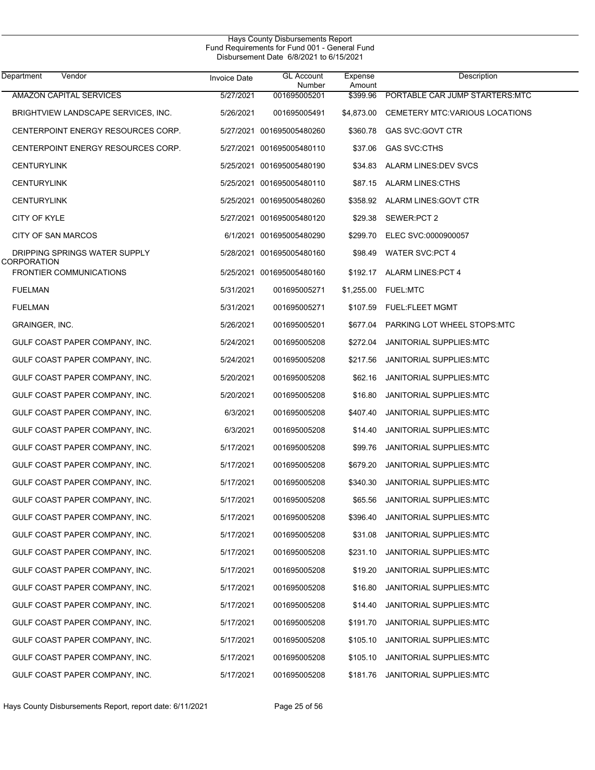| Department<br>Vendor                         | <b>Invoice Date</b> | <b>GL Account</b><br>Number | Expense<br>Amount | Description                     |
|----------------------------------------------|---------------------|-----------------------------|-------------------|---------------------------------|
| <b>AMAZON CAPITAL SERVICES</b>               | 5/27/2021           | 001695005201                | \$399.96          | PORTABLE CAR JUMP STARTERS MTC  |
| BRIGHTVIEW LANDSCAPE SERVICES, INC.          | 5/26/2021           | 001695005491                | \$4,873.00        | CEMETERY MTC: VARIOUS LOCATIONS |
| CENTERPOINT ENERGY RESOURCES CORP.           |                     | 5/27/2021 001695005480260   | \$360.78          | GAS SVC: GOVT CTR               |
| CENTERPOINT ENERGY RESOURCES CORP.           |                     | 5/27/2021 001695005480110   | \$37.06           | <b>GAS SVC:CTHS</b>             |
| <b>CENTURYLINK</b>                           |                     | 5/25/2021 001695005480190   | \$34.83           | ALARM LINES: DEV SVCS           |
| <b>CENTURYLINK</b>                           |                     | 5/25/2021 001695005480110   | \$87.15           | <b>ALARM LINES:CTHS</b>         |
| <b>CENTURYLINK</b>                           |                     | 5/25/2021 001695005480260   | \$358.92          | ALARM LINES: GOVT CTR           |
| CITY OF KYLE                                 |                     | 5/27/2021 001695005480120   | \$29.38           | SEWER:PCT 2                     |
| CITY OF SAN MARCOS                           |                     | 6/1/2021 001695005480290    | \$299.70          | ELEC SVC:0000900057             |
| DRIPPING SPRINGS WATER SUPPLY<br>CORPORATION |                     | 5/28/2021 001695005480160   | \$98.49           | WATER SVC:PCT 4                 |
| <b>FRONTIER COMMUNICATIONS</b>               |                     | 5/25/2021 001695005480160   |                   | \$192.17 ALARM LINES: PCT 4     |
| <b>FUELMAN</b>                               | 5/31/2021           | 001695005271                |                   | \$1,255.00 FUEL:MTC             |
| <b>FUELMAN</b>                               | 5/31/2021           | 001695005271                |                   | \$107.59 FUEL:FLEET MGMT        |
| GRAINGER, INC.                               | 5/26/2021           | 001695005201                | \$677.04          | PARKING LOT WHEEL STOPS:MTC     |
| GULF COAST PAPER COMPANY, INC.               | 5/24/2021           | 001695005208                | \$272.04          | JANITORIAL SUPPLIES:MTC         |
| GULF COAST PAPER COMPANY, INC.               | 5/24/2021           | 001695005208                | \$217.56          | JANITORIAL SUPPLIES:MTC         |
| GULF COAST PAPER COMPANY, INC.               | 5/20/2021           | 001695005208                | \$62.16           | JANITORIAL SUPPLIES:MTC         |
| GULF COAST PAPER COMPANY, INC.               | 5/20/2021           | 001695005208                | \$16.80           | JANITORIAL SUPPLIES:MTC         |
| GULF COAST PAPER COMPANY, INC.               | 6/3/2021            | 001695005208                | \$407.40          | JANITORIAL SUPPLIES:MTC         |
| GULF COAST PAPER COMPANY, INC.               | 6/3/2021            | 001695005208                | \$14.40           | JANITORIAL SUPPLIES:MTC         |
| GULF COAST PAPER COMPANY, INC.               | 5/17/2021           | 001695005208                | \$99.76           | JANITORIAL SUPPLIES:MTC         |
| GULF COAST PAPER COMPANY, INC.               | 5/17/2021           | 001695005208                | \$679.20          | <b>JANITORIAL SUPPLIES:MTC</b>  |
| GULF COAST PAPER COMPANY, INC.               | 5/17/2021           | 001695005208                | \$340.30          | JANITORIAL SUPPLIES:MTC         |
| GULF COAST PAPER COMPANY, INC.               | 5/17/2021           | 001695005208                | \$65.56           | JANITORIAL SUPPLIES:MTC         |
| GULF COAST PAPER COMPANY, INC.               | 5/17/2021           | 001695005208                | \$396.40          | JANITORIAL SUPPLIES:MTC         |
| GULF COAST PAPER COMPANY, INC.               | 5/17/2021           | 001695005208                | \$31.08           | JANITORIAL SUPPLIES: MTC        |
| GULF COAST PAPER COMPANY, INC.               | 5/17/2021           | 001695005208                | \$231.10          | JANITORIAL SUPPLIES: MTC        |
| GULF COAST PAPER COMPANY, INC.               | 5/17/2021           | 001695005208                | \$19.20           | JANITORIAL SUPPLIES: MTC        |
| GULF COAST PAPER COMPANY, INC.               | 5/17/2021           | 001695005208                | \$16.80           | JANITORIAL SUPPLIES: MTC        |
| GULF COAST PAPER COMPANY, INC.               | 5/17/2021           | 001695005208                | \$14.40           | JANITORIAL SUPPLIES: MTC        |
| GULF COAST PAPER COMPANY, INC.               | 5/17/2021           | 001695005208                | \$191.70          | JANITORIAL SUPPLIES: MTC        |
| GULF COAST PAPER COMPANY, INC.               | 5/17/2021           | 001695005208                | \$105.10          | JANITORIAL SUPPLIES: MTC        |
| GULF COAST PAPER COMPANY, INC.               | 5/17/2021           | 001695005208                | \$105.10          | JANITORIAL SUPPLIES: MTC        |
| GULF COAST PAPER COMPANY, INC.               | 5/17/2021           | 001695005208                | \$181.76          | JANITORIAL SUPPLIES:MTC         |
|                                              |                     |                             |                   |                                 |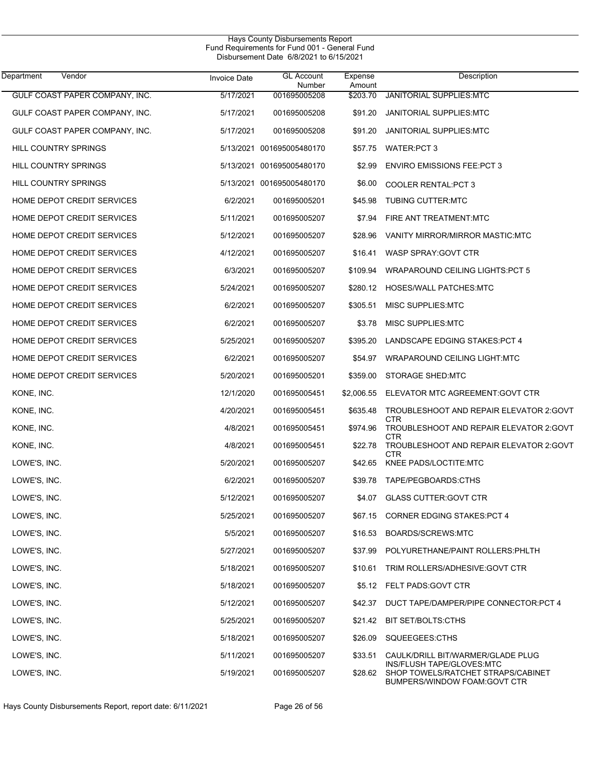| Department<br>Vendor           | <b>Invoice Date</b> | <b>GL Account</b><br>Number | Expense<br>Amount | Description                                                                                      |
|--------------------------------|---------------------|-----------------------------|-------------------|--------------------------------------------------------------------------------------------------|
| GULF COAST PAPER COMPANY, INC. | 5/17/2021           | 001695005208                | \$203.70          | JANITORIAL SUPPLIES: MTC                                                                         |
| GULF COAST PAPER COMPANY, INC. | 5/17/2021           | 001695005208                | \$91.20           | JANITORIAL SUPPLIES MTC                                                                          |
| GULF COAST PAPER COMPANY, INC. | 5/17/2021           | 001695005208                | \$91.20           | JANITORIAL SUPPLIES MTC                                                                          |
| HILL COUNTRY SPRINGS           |                     | 5/13/2021 001695005480170   | \$57.75           | WATER:PCT 3                                                                                      |
| HILL COUNTRY SPRINGS           |                     | 5/13/2021 001695005480170   | \$2.99            | <b>ENVIRO EMISSIONS FEE: PCT 3</b>                                                               |
| <b>HILL COUNTRY SPRINGS</b>    |                     | 5/13/2021 001695005480170   | \$6.00            | <b>COOLER RENTAL: PCT 3</b>                                                                      |
| HOME DEPOT CREDIT SERVICES     | 6/2/2021            | 001695005201                | \$45.98           | <b>TUBING CUTTER MTC</b>                                                                         |
| HOME DEPOT CREDIT SERVICES     | 5/11/2021           | 001695005207                | \$7.94            | FIRE ANT TREATMENT:MTC                                                                           |
| HOME DEPOT CREDIT SERVICES     | 5/12/2021           | 001695005207                | \$28.96           | VANITY MIRROR/MIRROR MASTIC:MTC                                                                  |
| HOME DEPOT CREDIT SERVICES     | 4/12/2021           | 001695005207                | \$16.41           | WASP SPRAY: GOVT CTR                                                                             |
| HOME DEPOT CREDIT SERVICES     | 6/3/2021            | 001695005207                | \$109.94          | WRAPAROUND CEILING LIGHTS: PCT 5                                                                 |
| HOME DEPOT CREDIT SERVICES     | 5/24/2021           | 001695005207                | \$280.12          | HOSES/WALL PATCHES:MTC                                                                           |
| HOME DEPOT CREDIT SERVICES     | 6/2/2021            | 001695005207                | \$305.51          | <b>MISC SUPPLIES MTC</b>                                                                         |
| HOME DEPOT CREDIT SERVICES     | 6/2/2021            | 001695005207                | \$3.78            | MISC SUPPLIES:MTC                                                                                |
| HOME DEPOT CREDIT SERVICES     | 5/25/2021           | 001695005207                | \$395.20          | LANDSCAPE EDGING STAKES: PCT 4                                                                   |
| HOME DEPOT CREDIT SERVICES     | 6/2/2021            | 001695005207                | \$54.97           | WRAPAROUND CEILING LIGHT:MTC                                                                     |
| HOME DEPOT CREDIT SERVICES     | 5/20/2021           | 001695005201                | \$359.00          | STORAGE SHED:MTC                                                                                 |
| KONE, INC.                     | 12/1/2020           | 001695005451                | \$2,006.55        | ELEVATOR MTC AGREEMENT: GOVT CTR                                                                 |
| KONE, INC.                     | 4/20/2021           | 001695005451                | \$635.48          | TROUBLESHOOT AND REPAIR ELEVATOR 2:GOVT<br>CTR                                                   |
| KONE, INC.                     | 4/8/2021            | 001695005451                | \$974.96          | TROUBLESHOOT AND REPAIR ELEVATOR 2:GOVT<br>CTR                                                   |
| KONE, INC.                     | 4/8/2021            | 001695005451                | \$22.78           | TROUBLESHOOT AND REPAIR ELEVATOR 2:GOVT<br>CTR                                                   |
| LOWE'S, INC.                   | 5/20/2021           | 001695005207                | \$42.65           | KNEE PADS/LOCTITE: MTC                                                                           |
| LOWE'S, INC.                   | 6/2/2021            | 001695005207                | \$39.78           | TAPE/PEGBOARDS:CTHS                                                                              |
| LOWE'S, INC.                   | 5/12/2021           | 001695005207                | \$4.07            | <b>GLASS CUTTER: GOVT CTR</b>                                                                    |
| LOWE'S, INC.                   | 5/25/2021           | 001695005207                | \$67.15           | <b>CORNER EDGING STAKES: PCT 4</b>                                                               |
| LOWE'S, INC.                   | 5/5/2021            | 001695005207                | \$16.53           | BOARDS/SCREWS:MTC                                                                                |
| LOWE'S, INC.                   | 5/27/2021           | 001695005207                | \$37.99           | POLYURETHANE/PAINT ROLLERS: PHLTH                                                                |
| LOWE'S, INC.                   | 5/18/2021           | 001695005207                | \$10.61           | TRIM ROLLERS/ADHESIVE: GOVT CTR                                                                  |
| LOWE'S, INC.                   | 5/18/2021           | 001695005207                | \$5.12            | FELT PADS:GOVT CTR                                                                               |
| LOWE'S, INC.                   | 5/12/2021           | 001695005207                | \$42.37           | DUCT TAPE/DAMPER/PIPE CONNECTOR:PCT 4                                                            |
| LOWE'S, INC.                   | 5/25/2021           | 001695005207                | \$21.42           | <b>BIT SET/BOLTS:CTHS</b>                                                                        |
| LOWE'S, INC.                   | 5/18/2021           | 001695005207                | \$26.09           | SQUEEGEES:CTHS                                                                                   |
| LOWE'S, INC.                   | 5/11/2021           | 001695005207                | \$33.51           | CAULK/DRILL BIT/WARMER/GLADE PLUG                                                                |
| LOWE'S, INC.                   | 5/19/2021           | 001695005207                | \$28.62           | INS/FLUSH TAPE/GLOVES: MTC<br>SHOP TOWELS/RATCHET STRAPS/CABINET<br>BUMPERS/WINDOW FOAM:GOVT CTR |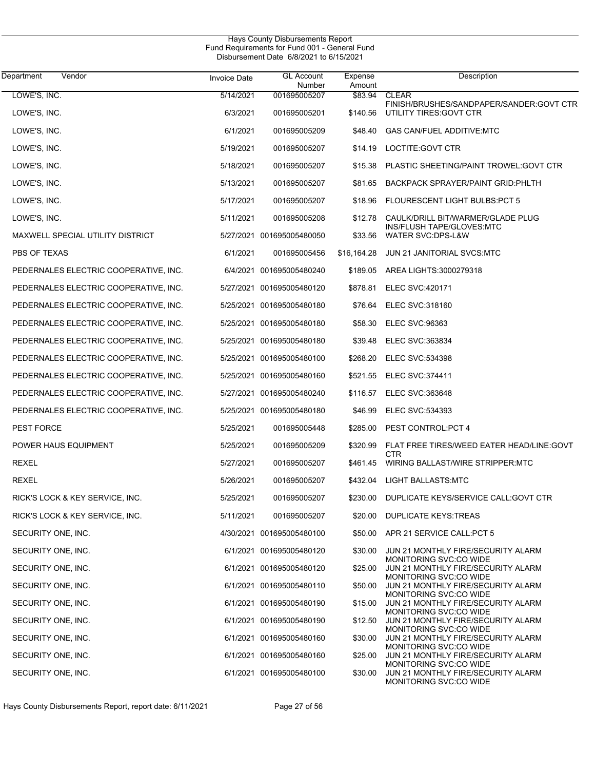| Vendor<br>Department                  | <b>Invoice Date</b> | <b>GL Account</b><br>Number | Expense<br>Amount | Description                                                    |
|---------------------------------------|---------------------|-----------------------------|-------------------|----------------------------------------------------------------|
| LOWE'S, INC.                          | 5/14/2021           | 001695005207                | \$83.94           | <b>CLEAR</b><br>FINISH/BRUSHES/SANDPAPER/SANDER:GOVT CTR       |
| LOWE'S, INC.                          | 6/3/2021            | 001695005201                | \$140.56          | UTILITY TIRES: GOVT CTR                                        |
| LOWE'S, INC.                          | 6/1/2021            | 001695005209                | \$48.40           | <b>GAS CAN/FUEL ADDITIVE:MTC</b>                               |
| LOWE'S, INC.                          | 5/19/2021           | 001695005207                | \$14.19           | LOCTITE: GOVT CTR                                              |
| LOWE'S, INC.                          | 5/18/2021           | 001695005207                | \$15.38           | PLASTIC SHEETING/PAINT TROWEL:GOVT CTR                         |
| LOWE'S, INC.                          | 5/13/2021           | 001695005207                | \$81.65           | <b>BACKPACK SPRAYER/PAINT GRID: PHLTH</b>                      |
| LOWE'S, INC.                          | 5/17/2021           | 001695005207                | \$18.96           | FLOURESCENT LIGHT BULBS: PCT 5                                 |
| LOWE'S, INC.                          | 5/11/2021           | 001695005208                | \$12.78           | CAULK/DRILL BIT/WARMER/GLADE PLUG<br>INS/FLUSH TAPE/GLOVES.MTC |
| MAXWELL SPECIAL UTILITY DISTRICT      |                     | 5/27/2021 001695005480050   | \$33.56           | WATER SVC:DPS-L&W                                              |
| PBS OF TEXAS                          | 6/1/2021            | 001695005456                |                   | \$16,164.28 JUN 21 JANITORIAL SVCS MTC                         |
| PEDERNALES ELECTRIC COOPERATIVE, INC. |                     | 6/4/2021 001695005480240    |                   | \$189.05 AREA LIGHTS:3000279318                                |
| PEDERNALES ELECTRIC COOPERATIVE, INC. |                     | 5/27/2021 001695005480120   | \$878.81          | <b>ELEC SVC:420171</b>                                         |
| PEDERNALES ELECTRIC COOPERATIVE, INC. |                     | 5/25/2021 001695005480180   | \$76.64           | ELEC SVC:318160                                                |
| PEDERNALES ELECTRIC COOPERATIVE, INC. |                     | 5/25/2021 001695005480180   | \$58.30           | <b>ELEC SVC:96363</b>                                          |
| PEDERNALES ELECTRIC COOPERATIVE, INC. |                     | 5/25/2021 001695005480180   | \$39.48           | ELEC SVC:363834                                                |
| PEDERNALES ELECTRIC COOPERATIVE, INC. |                     | 5/25/2021 001695005480100   | \$268.20          | <b>ELEC SVC:534398</b>                                         |
| PEDERNALES ELECTRIC COOPERATIVE, INC. |                     | 5/25/2021 001695005480160   | \$521.55          | <b>ELEC SVC:374411</b>                                         |
| PEDERNALES ELECTRIC COOPERATIVE, INC. |                     | 5/27/2021 001695005480240   | \$116.57          | <b>ELEC SVC:363648</b>                                         |
| PEDERNALES ELECTRIC COOPERATIVE, INC. |                     | 5/25/2021 001695005480180   | \$46.99           | <b>ELEC SVC:534393</b>                                         |
| PEST FORCE                            | 5/25/2021           | 001695005448                | \$285.00          | PEST CONTROL: PCT 4                                            |
| POWER HAUS EQUIPMENT                  | 5/25/2021           | 001695005209                | \$320.99          | FLAT FREE TIRES/WEED EATER HEAD/LINE:GOVT<br><b>CTR</b>        |
| REXEL                                 | 5/27/2021           | 001695005207                | \$461.45          | WIRING BALLAST/WIRE STRIPPER:MTC                               |
| <b>REXEL</b>                          | 5/26/2021           | 001695005207                | \$432.04          | LIGHT BALLASTS:MTC                                             |
| RICK'S LOCK & KEY SERVICE, INC.       | 5/25/2021           | 001695005207                | \$230.00          | DUPLICATE KEYS/SERVICE CALL:GOVT CTR                           |
| RICK'S LOCK & KEY SERVICE, INC.       | 5/11/2021           | 001695005207                |                   | \$20.00 DUPLICATE KEYS:TREAS                                   |
| SECURITY ONE, INC.                    |                     | 4/30/2021 001695005480100   |                   | \$50.00 APR 21 SERVICE CALL:PCT 5                              |
| SECURITY ONE, INC.                    |                     | 6/1/2021 001695005480120    | \$30.00           | JUN 21 MONTHLY FIRE/SECURITY ALARM<br>MONITORING SVC:CO WIDE   |
| SECURITY ONE, INC.                    |                     | 6/1/2021 001695005480120    | \$25.00           | JUN 21 MONTHLY FIRE/SECURITY ALARM<br>MONITORING SVC:CO WIDE   |
| SECURITY ONE, INC.                    |                     | 6/1/2021 001695005480110    | \$50.00           | JUN 21 MONTHLY FIRE/SECURITY ALARM<br>MONITORING SVC:CO WIDE   |
| SECURITY ONE, INC.                    |                     | 6/1/2021 001695005480190    | \$15.00           | JUN 21 MONTHLY FIRE/SECURITY ALARM<br>MONITORING SVC:CO WIDE   |
| SECURITY ONE, INC.                    |                     | 6/1/2021 001695005480190    | \$12.50           | JUN 21 MONTHLY FIRE/SECURITY ALARM<br>MONITORING SVC:CO WIDE   |
| SECURITY ONE, INC.                    |                     | 6/1/2021 001695005480160    | \$30.00           | JUN 21 MONTHLY FIRE/SECURITY ALARM<br>MONITORING SVC:CO WIDE   |
| SECURITY ONE, INC.                    |                     | 6/1/2021 001695005480160    | \$25.00           | JUN 21 MONTHLY FIRE/SECURITY ALARM<br>MONITORING SVC:CO WIDE   |
| SECURITY ONE, INC.                    |                     | 6/1/2021 001695005480100    | \$30.00           | JUN 21 MONTHLY FIRE/SECURITY ALARM<br>MONITORING SVC:CO WIDE   |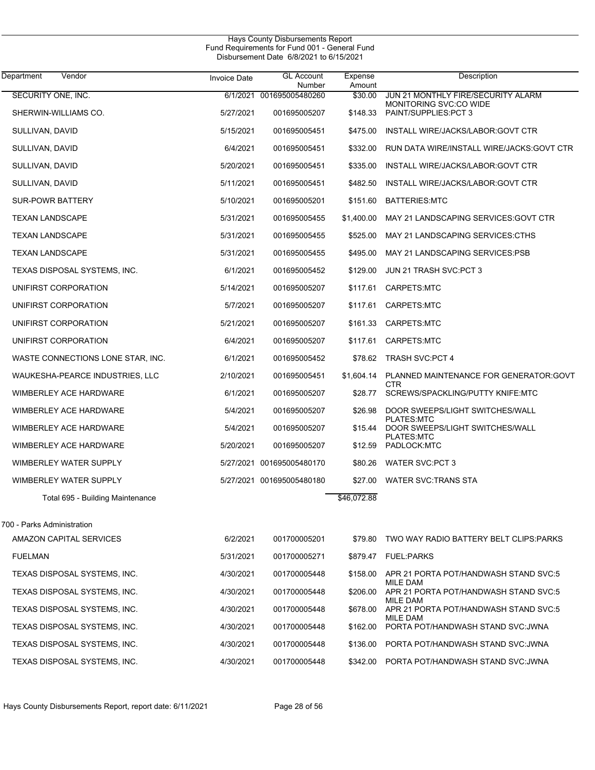| Department<br>Vendor              | <b>Invoice Date</b> | <b>GL Account</b><br>Number | Expense<br>Amount | Description                                                  |
|-----------------------------------|---------------------|-----------------------------|-------------------|--------------------------------------------------------------|
| SECURITY ONE, INC.                |                     | 6/1/2021 001695005480260    | \$30.00           | JUN 21 MONTHLY FIRE/SECURITY ALARM<br>MONITORING SVC:CO WIDE |
| SHERWIN-WILLIAMS CO.              | 5/27/2021           | 001695005207                | \$148.33          | PAINT/SUPPLIES: PCT 3                                        |
| SULLIVAN, DAVID                   | 5/15/2021           | 001695005451                | \$475.00          | INSTALL WIRE/JACKS/LABOR: GOVT CTR                           |
| SULLIVAN, DAVID                   | 6/4/2021            | 001695005451                | \$332.00          | RUN DATA WIRE/INSTALL WIRE/JACKS: GOVT CTR                   |
| SULLIVAN, DAVID                   | 5/20/2021           | 001695005451                | \$335.00          | INSTALL WIRE/JACKS/LABOR: GOVT CTR                           |
| SULLIVAN, DAVID                   | 5/11/2021           | 001695005451                | \$482.50          | INSTALL WIRE/JACKS/LABOR: GOVT CTR                           |
| <b>SUR-POWR BATTERY</b>           | 5/10/2021           | 001695005201                | \$151.60          | <b>BATTERIES:MTC</b>                                         |
| <b>TEXAN LANDSCAPE</b>            | 5/31/2021           | 001695005455                | \$1,400.00        | MAY 21 LANDSCAPING SERVICES: GOVT CTR                        |
| <b>TEXAN LANDSCAPE</b>            | 5/31/2021           | 001695005455                | \$525.00          | MAY 21 LANDSCAPING SERVICES: CTHS                            |
| <b>TEXAN LANDSCAPE</b>            | 5/31/2021           | 001695005455                | \$495.00          | MAY 21 LANDSCAPING SERVICES:PSB                              |
| TEXAS DISPOSAL SYSTEMS, INC.      | 6/1/2021            | 001695005452                | \$129.00          | JUN 21 TRASH SVC:PCT 3                                       |
| UNIFIRST CORPORATION              | 5/14/2021           | 001695005207                | \$117.61          | CARPETS:MTC                                                  |
| UNIFIRST CORPORATION              | 5/7/2021            | 001695005207                | \$117.61          | CARPETS:MTC                                                  |
| UNIFIRST CORPORATION              | 5/21/2021           | 001695005207                | \$161.33          | CARPETS:MTC                                                  |
| UNIFIRST CORPORATION              | 6/4/2021            | 001695005207                | \$117.61          | CARPETS:MTC                                                  |
| WASTE CONNECTIONS LONE STAR, INC. | 6/1/2021            | 001695005452                |                   | \$78.62 TRASH SVC:PCT 4                                      |
| WAUKESHA-PEARCE INDUSTRIES, LLC   | 2/10/2021           | 001695005451                | \$1,604.14        | PLANNED MAINTENANCE FOR GENERATOR:GOVT<br><b>CTR</b>         |
| WIMBERLEY ACE HARDWARE            | 6/1/2021            | 001695005207                | \$28.77           | SCREWS/SPACKLING/PUTTY KNIFE:MTC                             |
| WIMBERLEY ACE HARDWARE            | 5/4/2021            | 001695005207                | \$26.98           | DOOR SWEEPS/LIGHT SWITCHES/WALL<br><b>PLATES:MTC</b>         |
| WIMBERLEY ACE HARDWARE            | 5/4/2021            | 001695005207                | \$15.44           | DOOR SWEEPS/LIGHT SWITCHES/WALL<br>PLATES:MTC                |
| WIMBERLEY ACE HARDWARE            | 5/20/2021           | 001695005207                | \$12.59           | PADLOCK:MTC                                                  |
| WIMBERLEY WATER SUPPLY            |                     | 5/27/2021 001695005480170   | \$80.26           | <b>WATER SVC:PCT 3</b>                                       |
| WIMBERLEY WATER SUPPLY            |                     | 5/27/2021 001695005480180   | \$27.00           | WATER SVC:TRANS STA                                          |
| Total 695 - Building Maintenance  |                     |                             | \$46,072.88       |                                                              |
| 700 - Parks Administration        |                     |                             |                   |                                                              |
| AMAZON CAPITAL SERVICES           | 6/2/2021            | 001700005201                |                   | \$79.80 TWO WAY RADIO BATTERY BELT CLIPS:PARKS               |
| <b>FUELMAN</b>                    | 5/31/2021           | 001700005271                |                   | \$879.47 FUEL:PARKS                                          |
| TEXAS DISPOSAL SYSTEMS, INC.      | 4/30/2021           | 001700005448                | \$158.00          | APR 21 PORTA POT/HANDWASH STAND SVC:5                        |
| TEXAS DISPOSAL SYSTEMS, INC.      | 4/30/2021           | 001700005448                | \$206.00          | MILE DAM<br>APR 21 PORTA POT/HANDWASH STAND SVC:5            |
| TEXAS DISPOSAL SYSTEMS, INC.      | 4/30/2021           | 001700005448                | \$678.00          | MILE DAM<br>APR 21 PORTA POT/HANDWASH STAND SVC:5            |
| TEXAS DISPOSAL SYSTEMS, INC.      | 4/30/2021           | 001700005448                | \$162.00          | MILE DAM<br>PORTA POT/HANDWASH STAND SVC: JWNA               |
| TEXAS DISPOSAL SYSTEMS, INC.      | 4/30/2021           | 001700005448                | \$136.00          | PORTA POT/HANDWASH STAND SVC: JWNA                           |
| TEXAS DISPOSAL SYSTEMS, INC.      | 4/30/2021           | 001700005448                | \$342.00          | PORTA POT/HANDWASH STAND SVC: JWNA                           |
|                                   |                     |                             |                   |                                                              |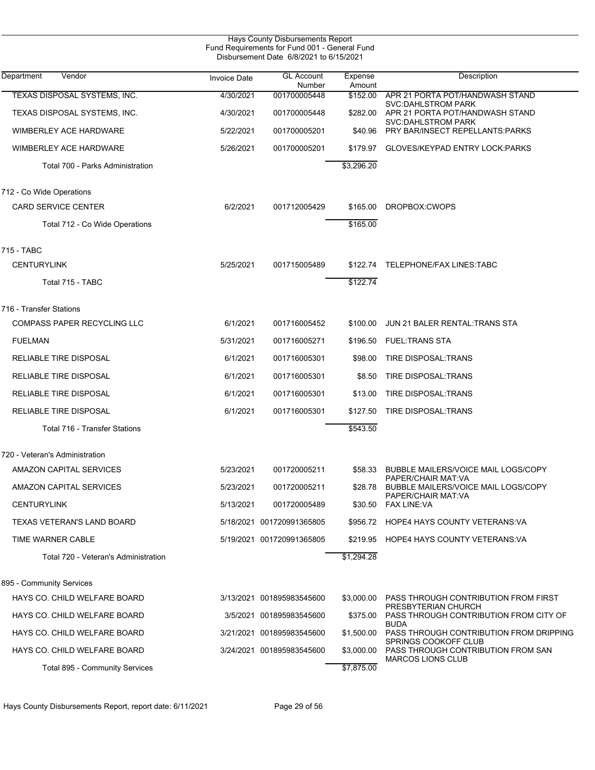| Hays County Disbursements Report<br>Fund Requirements for Fund 001 - General Fund<br>Disbursement Date 6/8/2021 to 6/15/2021 |                     |                             |                   |                                                                                           |  |  |  |
|------------------------------------------------------------------------------------------------------------------------------|---------------------|-----------------------------|-------------------|-------------------------------------------------------------------------------------------|--|--|--|
| Department<br>Vendor                                                                                                         | <b>Invoice Date</b> | <b>GL Account</b><br>Number | Expense<br>Amount | Description                                                                               |  |  |  |
| TEXAS DISPOSAL SYSTEMS, INC.                                                                                                 | 4/30/2021           | 001700005448                | \$152.00          | APR 21 PORTA POT/HANDWASH STAND                                                           |  |  |  |
| TEXAS DISPOSAL SYSTEMS, INC.                                                                                                 | 4/30/2021           | 001700005448                | \$282.00          | <b>SVC:DAHLSTROM PARK</b><br>APR 21 PORTA POT/HANDWASH STAND<br><b>SVC:DAHLSTROM PARK</b> |  |  |  |
| <b>WIMBERLEY ACE HARDWARE</b>                                                                                                | 5/22/2021           | 001700005201                | \$40.96           | PRY BAR/INSECT REPELLANTS: PARKS                                                          |  |  |  |
| <b>WIMBERLEY ACE HARDWARE</b>                                                                                                | 5/26/2021           | 001700005201                | \$179.97          | GLOVES/KEYPAD ENTRY LOCK: PARKS                                                           |  |  |  |
| Total 700 - Parks Administration                                                                                             |                     |                             | \$3,296.20        |                                                                                           |  |  |  |
| 712 - Co Wide Operations                                                                                                     |                     |                             |                   |                                                                                           |  |  |  |
| <b>CARD SERVICE CENTER</b>                                                                                                   | 6/2/2021            | 001712005429                | \$165.00          | DROPBOX:CWOPS                                                                             |  |  |  |
| Total 712 - Co Wide Operations                                                                                               |                     |                             | \$165.00          |                                                                                           |  |  |  |
| 715 - TABC                                                                                                                   |                     |                             |                   |                                                                                           |  |  |  |
| <b>CENTURYLINK</b>                                                                                                           | 5/25/2021           | 001715005489                |                   | \$122.74 TELEPHONE/FAX LINES:TABC                                                         |  |  |  |
| Total 715 - TABC                                                                                                             |                     |                             | \$122.74          |                                                                                           |  |  |  |
| 716 - Transfer Stations                                                                                                      |                     |                             |                   |                                                                                           |  |  |  |
| COMPASS PAPER RECYCLING LLC                                                                                                  | 6/1/2021            | 001716005452                | \$100.00          | JUN 21 BALER RENTAL: TRANS STA                                                            |  |  |  |
| <b>FUELMAN</b>                                                                                                               | 5/31/2021           | 001716005271                | \$196.50          | <b>FUEL:TRANS STA</b>                                                                     |  |  |  |
| RELIABLE TIRE DISPOSAL                                                                                                       | 6/1/2021            | 001716005301                | \$98.00           | <b>TIRE DISPOSAL:TRANS</b>                                                                |  |  |  |
| RELIABLE TIRE DISPOSAL                                                                                                       | 6/1/2021            | 001716005301                | \$8.50            | <b>TIRE DISPOSAL:TRANS</b>                                                                |  |  |  |
| RELIABLE TIRE DISPOSAL                                                                                                       | 6/1/2021            | 001716005301                | \$13.00           | TIRE DISPOSAL: TRANS                                                                      |  |  |  |
| RELIABLE TIRE DISPOSAL                                                                                                       | 6/1/2021            | 001716005301                | \$127.50          | <b>TIRE DISPOSAL: TRANS</b>                                                               |  |  |  |
| Total 716 - Transfer Stations                                                                                                |                     |                             | \$543.50          |                                                                                           |  |  |  |
| 720 - Veteran's Administration                                                                                               |                     |                             |                   |                                                                                           |  |  |  |
| AMAZON CAPITAL SERVICES                                                                                                      | 5/23/2021           | 001720005211                |                   | \$58.33 BUBBLE MAILERS/VOICE MAIL LOGS/COPY<br>PAPER/CHAIR MAT:VA                         |  |  |  |
| AMAZON CAPITAL SERVICES                                                                                                      | 5/23/2021           | 001720005211                |                   | \$28.78 BUBBLE MAILERS/VOICE MAIL LOGS/COPY<br>PAPER/CHAIR MAT VA                         |  |  |  |
| <b>CENTURYLINK</b>                                                                                                           | 5/13/2021           | 001720005489                |                   | \$30.50 FAX LINE:VA                                                                       |  |  |  |
| TEXAS VETERAN'S LAND BOARD                                                                                                   |                     | 5/18/2021 001720991365805   |                   | \$956.72 HOPE4 HAYS COUNTY VETERANS:VA                                                    |  |  |  |
| TIME WARNER CABLE                                                                                                            |                     | 5/19/2021 001720991365805   |                   | \$219.95 HOPE4 HAYS COUNTY VETERANS: VA                                                   |  |  |  |
| Total 720 - Veteran's Administration                                                                                         |                     |                             | \$1,294.28        |                                                                                           |  |  |  |
| 895 - Community Services                                                                                                     |                     |                             |                   |                                                                                           |  |  |  |
| HAYS CO. CHILD WELFARE BOARD                                                                                                 |                     | 3/13/2021 001895983545600   | \$3,000.00        | PASS THROUGH CONTRIBUTION FROM FIRST                                                      |  |  |  |
| HAYS CO. CHILD WELFARE BOARD                                                                                                 |                     | 3/5/2021 001895983545600    | \$375.00          | PRESBYTERIAN CHURCH<br>PASS THROUGH CONTRIBUTION FROM CITY OF                             |  |  |  |
| HAYS CO. CHILD WELFARE BOARD                                                                                                 |                     | 3/21/2021 001895983545600   | \$1,500.00        | <b>BUDA</b><br>PASS THROUGH CONTRIBUTION FROM DRIPPING                                    |  |  |  |
| HAYS CO. CHILD WELFARE BOARD                                                                                                 |                     | 3/24/2021 001895983545600   | \$3,000.00        | SPRINGS COOKOFF CLUB<br>PASS THROUGH CONTRIBUTION FROM SAN<br><b>MARCOS LIONS CLUB</b>    |  |  |  |
| Total 895 - Community Services                                                                                               |                     |                             | \$7,875.00        |                                                                                           |  |  |  |

Hays County Disbursements Report, report date: 6/11/2021 Page 29 of 56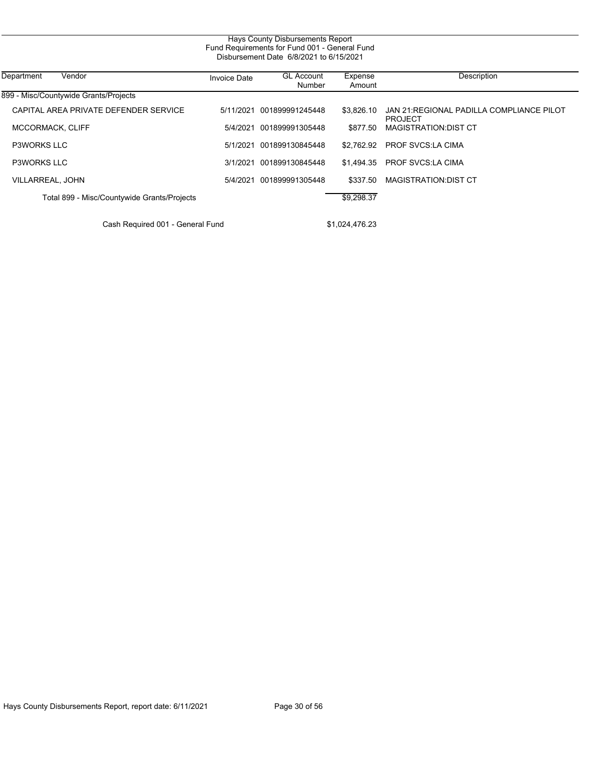| Fund Requirements for Fund 001 - General Fund |                     |                             |                   |                                                             |
|-----------------------------------------------|---------------------|-----------------------------|-------------------|-------------------------------------------------------------|
| Department<br>Vendor                          | <b>Invoice Date</b> | <b>GL Account</b><br>Number | Expense<br>Amount | Description                                                 |
| 899 - Misc/Countywide Grants/Projects         |                     |                             |                   |                                                             |
| CAPITAL AREA PRIVATE DEFENDER SERVICE         | 5/11/2021           | 001899991245448             | \$3,826.10        | JAN 21: REGIONAL PADILLA COMPLIANCE PILOT<br><b>PROJECT</b> |
| MCCORMACK, CLIFF                              | 5/4/2021            | 001899991305448             | \$877.50          | <b>MAGISTRATION:DIST CT</b>                                 |
| <b>P3WORKS LLC</b>                            | 5/1/2021            | 001899130845448             | \$2.762.92        | <b>PROF SVCS LA CIMA</b>                                    |
| <b>P3WORKS LLC</b>                            | 3/1/2021            | 001899130845448             | \$1.494.35        | <b>PROF SVCS:LA CIMA</b>                                    |
| VILLARREAL, JOHN                              | 5/4/2021            | 001899991305448             | \$337.50          | <b>MAGISTRATION:DIST CT</b>                                 |
| Total 899 - Misc/Countywide Grants/Projects   |                     |                             | \$9,298.37        |                                                             |
| Cash Required 001 - General Fund              |                     |                             | \$1,024,476.23    |                                                             |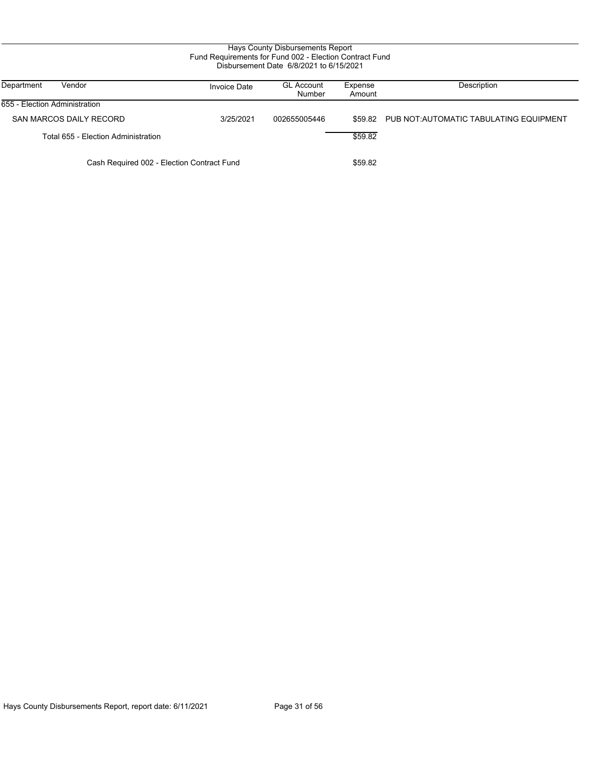| Department<br>Vendor                       | Invoice Date | <b>GL Account</b><br>Number | Expense<br>Amount | Description                                     |
|--------------------------------------------|--------------|-----------------------------|-------------------|-------------------------------------------------|
| 655 - Election Administration              |              |                             |                   |                                                 |
| SAN MARCOS DAILY RECORD                    | 3/25/2021    | 002655005446                |                   | \$59.82 PUB NOT: AUTOMATIC TABULATING EQUIPMENT |
| Total 655 - Election Administration        |              |                             | \$59.82           |                                                 |
| Cash Required 002 - Election Contract Fund |              |                             | \$59.82           |                                                 |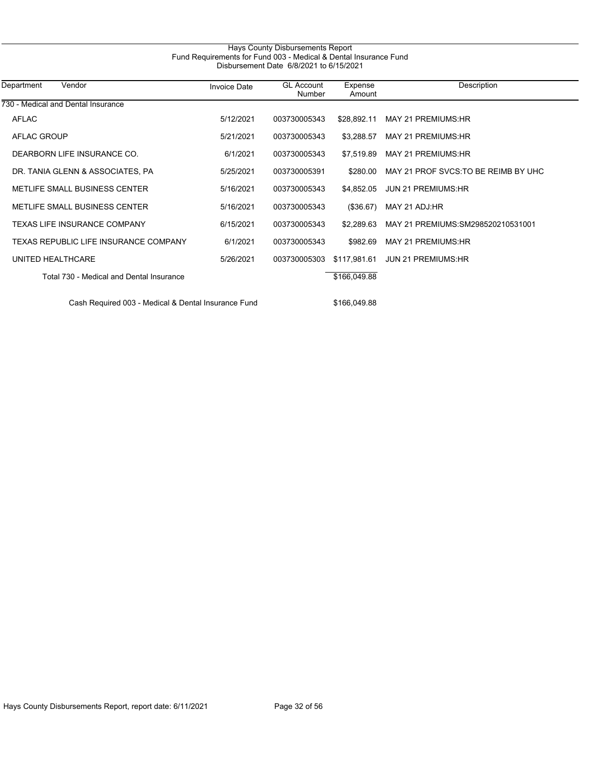| Hays County Disbursements Report                                 |  |  |  |  |  |
|------------------------------------------------------------------|--|--|--|--|--|
| Fund Requirements for Fund 003 - Medical & Dental Insurance Fund |  |  |  |  |  |
| Disbursement Date 6/8/2021 to 6/15/2021                          |  |  |  |  |  |
|                                                                  |  |  |  |  |  |

| Department<br>Vendor                     | <b>Invoice Date</b> | <b>GL Account</b><br>Number | Expense<br>Amount | Description                          |
|------------------------------------------|---------------------|-----------------------------|-------------------|--------------------------------------|
| 730 - Medical and Dental Insurance       |                     |                             |                   |                                      |
| <b>AFLAC</b>                             | 5/12/2021           | 003730005343                | \$28.892.11       | MAY 21 PREMIUMS: HR                  |
| AFLAC GROUP                              | 5/21/2021           | 003730005343                | \$3,288.57        | MAY 21 PREMIUMS: HR                  |
| DEARBORN LIFE INSURANCE CO.              | 6/1/2021            | 003730005343                | \$7.519.89        | MAY 21 PREMIUMS: HR                  |
| DR. TANIA GLENN & ASSOCIATES, PA         | 5/25/2021           | 003730005391                | \$280.00          | MAY 21 PROF SVCS. TO BE REIMB BY UHC |
| <b>METLIFE SMALL BUSINESS CENTER</b>     | 5/16/2021           | 003730005343                | \$4.852.05        | <b>JUN 21 PREMIUMS:HR</b>            |
| <b>METLIFE SMALL BUSINESS CENTER</b>     | 5/16/2021           | 003730005343                | (\$36.67)         | MAY 21 ADJ:HR                        |
| TEXAS LIFE INSURANCE COMPANY             | 6/15/2021           | 003730005343                | \$2.289.63        | MAY 21 PREMIUMS: SM298520210531001   |
| TEXAS REPUBLIC LIFE INSURANCE COMPANY    | 6/1/2021            | 003730005343                | \$982.69          | MAY 21 PREMIUMS: HR                  |
| UNITED HEALTHCARE                        | 5/26/2021           | 003730005303                | \$117,981.61      | <b>JUN 21 PREMIUMS:HR</b>            |
| Total 730 - Medical and Dental Insurance |                     |                             | \$166,049.88      |                                      |
|                                          |                     |                             |                   |                                      |

Cash Required 003 - Medical & Dental Insurance Fund \$166,049.88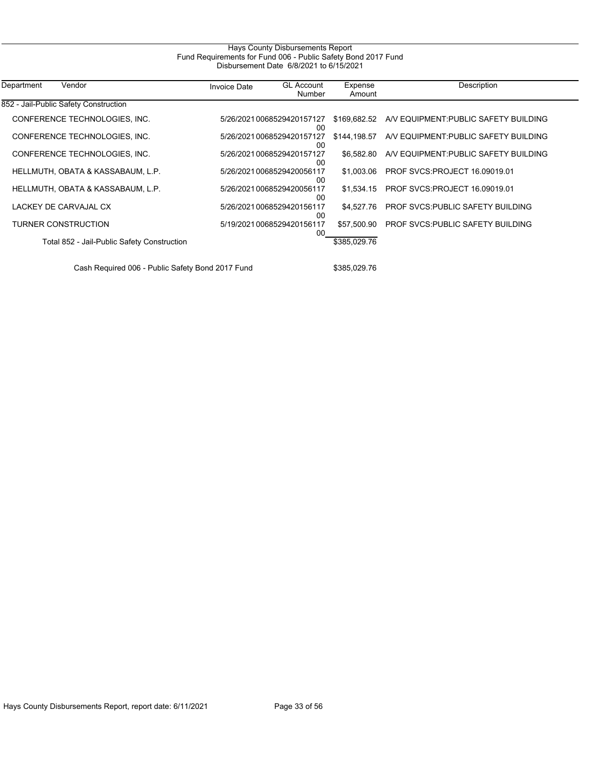| Department<br>Vendor                        | <b>Invoice Date</b> | <b>GL Account</b><br>Number      | Expense<br>Amount | Description                              |
|---------------------------------------------|---------------------|----------------------------------|-------------------|------------------------------------------|
| 852 - Jail-Public Safety Construction       |                     |                                  |                   |                                          |
| CONFERENCE TECHNOLOGIES, INC.               |                     | 5/26/2021 0068529420157127<br>00 | \$169,682.52      | AV EQUIPMENT PUBLIC SAFETY BUILDING      |
| CONFERENCE TECHNOLOGIES, INC.               |                     | 5/26/2021 0068529420157127<br>00 | \$144,198.57      | A/V EQUIPMENT: PUBLIC SAFETY BUILDING    |
| CONFERENCE TECHNOLOGIES, INC.               |                     | 5/26/20210068529420157127<br>00  | \$6.582.80        | AV EQUIPMENT PUBLIC SAFETY BUILDING      |
| HELLMUTH, OBATA & KASSABAUM, L.P.           |                     | 5/26/2021 0068529420056117<br>00 | \$1.003.06        | <b>PROF SVCS:PROJECT 16.09019.01</b>     |
| HELLMUTH, OBATA & KASSABAUM, L.P.           |                     | 5/26/20210068529420056117<br>00  | \$1.534.15        | <b>PROF SVCS:PROJECT 16.09019.01</b>     |
| LACKEY DE CARVAJAL CX                       |                     | 5/26/20210068529420156117<br>00  | \$4,527.76        | <b>PROF SVCS: PUBLIC SAFETY BUILDING</b> |
| <b>TURNER CONSTRUCTION</b>                  |                     | 5/19/20210068529420156117<br>00  | \$57,500.90       | <b>PROF SVCS PUBLIC SAFETY BUILDING</b>  |
| Total 852 - Jail-Public Safety Construction |                     |                                  | \$385,029.76      |                                          |

Cash Required 006 - Public Safety Bond 2017 Fund \$385,029.76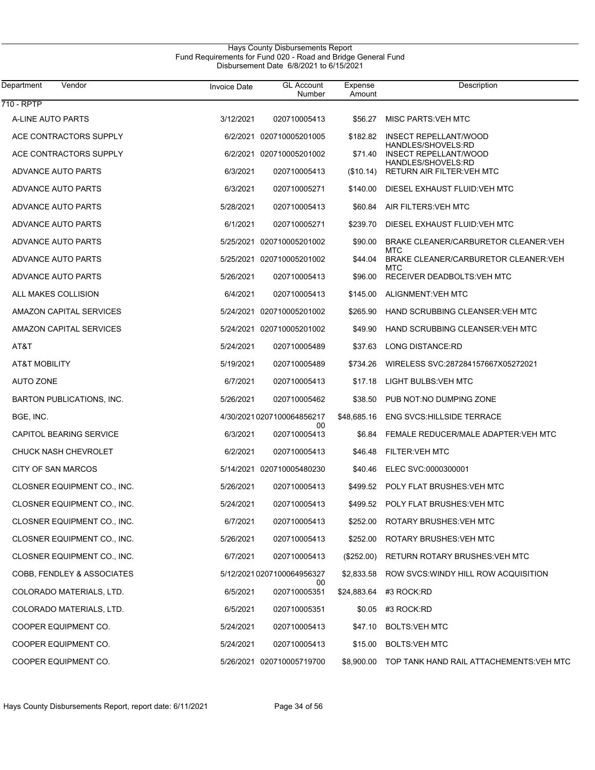| <b>Department</b><br>Vendor        | <b>Invoice Date</b> | <b>GL Account</b><br>Number | Expense<br>Amount | Description                                         |
|------------------------------------|---------------------|-----------------------------|-------------------|-----------------------------------------------------|
| 710 - RPTP                         |                     |                             |                   |                                                     |
| A-LINE AUTO PARTS                  | 3/12/2021           | 020710005413                | \$56.27           | MISC PARTS: VEH MTC                                 |
| ACE CONTRACTORS SUPPLY             |                     | 6/2/2021 020710005201005    | \$182.82          | INSECT REPELLANT/WOOD<br>HANDLES/SHOVELS:RD         |
| ACE CONTRACTORS SUPPLY             |                     | 6/2/2021 020710005201002    | \$71.40           | INSECT REPELLANT/WOOD<br>HANDLES/SHOVELS:RD         |
| ADVANCE AUTO PARTS                 | 6/3/2021            | 020710005413                | (\$10.14)         | <b>RETURN AIR FILTER: VEH MTC</b>                   |
| ADVANCE AUTO PARTS                 | 6/3/2021            | 020710005271                | \$140.00          | DIESEL EXHAUST FLUID: VEH MTC                       |
| ADVANCE AUTO PARTS                 | 5/28/2021           | 020710005413                | \$60.84           | AIR FILTERS: VEH MTC                                |
| ADVANCE AUTO PARTS                 | 6/1/2021            | 020710005271                | \$239.70          | DIESEL EXHAUST FLUID: VEH MTC                       |
| ADVANCE AUTO PARTS                 |                     | 5/25/2021 020710005201002   | \$90.00           | BRAKE CLEANER/CARBURETOR CLEANER: VEH               |
| ADVANCE AUTO PARTS                 |                     | 5/25/2021 020710005201002   | \$44.04           | MTC<br>BRAKE CLEANER/CARBURETOR CLEANER: VEH        |
| ADVANCE AUTO PARTS                 | 5/26/2021           | 020710005413                | \$96.00           | <b>MTC</b><br>RECEIVER DEADBOLTS: VEH MTC           |
| ALL MAKES COLLISION                | 6/4/2021            | 020710005413                | \$145.00          | ALIGNMENT: VEH MTC                                  |
| AMAZON CAPITAL SERVICES            |                     | 5/24/2021 020710005201002   | \$265.90          | HAND SCRUBBING CLEANSER: VEH MTC                    |
| AMAZON CAPITAL SERVICES            |                     | 5/24/2021 020710005201002   | \$49.90           | HAND SCRUBBING CLEANSER: VEH MTC                    |
| AT&T                               | 5/24/2021           | 020710005489                | \$37.63           | LONG DISTANCE:RD                                    |
| AT&T MOBILITY                      | 5/19/2021           | 020710005489                | \$734.26          | WIRELESS SVC:287284157667X05272021                  |
| AUTO ZONE                          | 6/7/2021            | 020710005413                | \$17.18           | LIGHT BULBS: VEH MTC                                |
| BARTON PUBLICATIONS, INC.          | 5/26/2021           | 020710005462                | \$38.50           | PUB NOT:NO DUMPING ZONE                             |
| BGE, INC.                          |                     | 4/30/2021 0207100064856217  | \$48,685.16       | <b>ENG SVCS: HILLSIDE TERRACE</b>                   |
| CAPITOL BEARING SERVICE            | 6/3/2021            | 00<br>020710005413          | \$6.84            | FEMALE REDUCER/MALE ADAPTER: VEH MTC                |
| <b>CHUCK NASH CHEVROLET</b>        | 6/2/2021            | 020710005413                | \$46.48           | <b>FILTER: VEH MTC</b>                              |
| CITY OF SAN MARCOS                 |                     | 5/14/2021 020710005480230   | \$40.46           | ELEC SVC:0000300001                                 |
| CLOSNER EQUIPMENT CO., INC.        | 5/26/2021           | 020710005413                | \$499.52          | POLY FLAT BRUSHES: VEH MTC                          |
| <b>CLOSNER EQUIPMENT CO., INC.</b> | 5/24/2021           | 020710005413                |                   | \$499.52 POLY FLAT BRUSHES: VEH MTC                 |
| <b>CLOSNER EQUIPMENT CO., INC.</b> | 6/7/2021            | 020710005413                | \$252.00          | ROTARY BRUSHES: VEH MTC                             |
| CLOSNER EQUIPMENT CO., INC.        | 5/26/2021           | 020710005413                | \$252.00          | ROTARY BRUSHES: VEH MTC                             |
| CLOSNER EQUIPMENT CO., INC.        | 6/7/2021            | 020710005413                | $(\$252.00)$      | RETURN ROTARY BRUSHES: VEH MTC                      |
| COBB, FENDLEY & ASSOCIATES         |                     | 5/12/20210207100064956327   | \$2,833.58        | ROW SVCS: WINDY HILL ROW ACQUISITION                |
| COLORADO MATERIALS, LTD.           | 6/5/2021            | 00<br>020710005351          |                   | \$24,883.64 #3 ROCK:RD                              |
| COLORADO MATERIALS, LTD.           | 6/5/2021            | 020710005351                | \$0.05            | #3 ROCK:RD                                          |
| COOPER EQUIPMENT CO.               | 5/24/2021           | 020710005413                | \$47.10           | <b>BOLTS:VEH MTC</b>                                |
| COOPER EQUIPMENT CO.               | 5/24/2021           | 020710005413                | \$15.00           | <b>BOLTS:VEH MTC</b>                                |
| COOPER EQUIPMENT CO.               |                     | 5/26/2021 020710005719700   |                   | \$8,900.00 TOP TANK HAND RAIL ATTACHEMENTS: VEH MTC |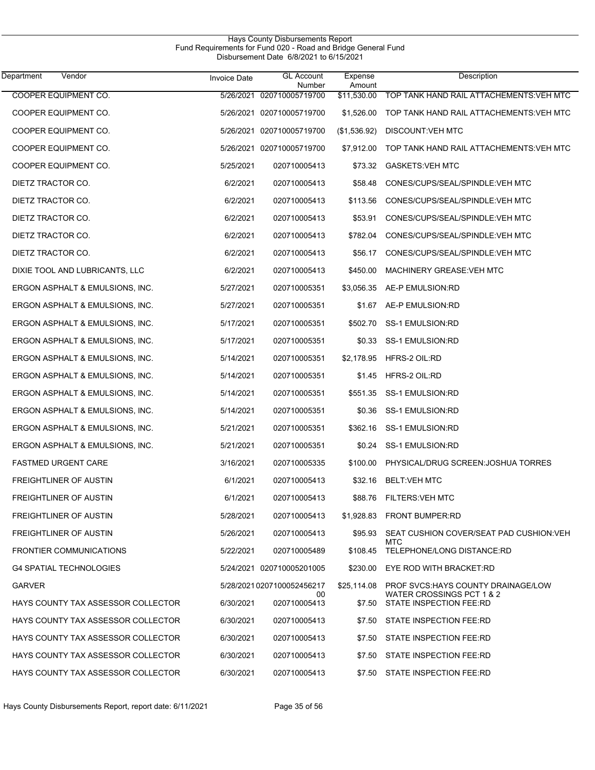| Hays County Disbursements Report<br>Fund Requirements for Fund 020 - Road and Bridge General Fund<br>Disbursement Date 6/8/2021 to 6/15/2021 |                     |                             |                   |                                                      |  |
|----------------------------------------------------------------------------------------------------------------------------------------------|---------------------|-----------------------------|-------------------|------------------------------------------------------|--|
| Vendor<br>Department                                                                                                                         | <b>Invoice Date</b> | <b>GL Account</b><br>Number | Expense<br>Amount | Description                                          |  |
| <b>COOPER EQUIPMENT CO.</b>                                                                                                                  | 5/26/2021           | 020710005719700             | \$11.530.00       | TOP TANK HAND RAIL ATTACHEMENTS VEH MTC              |  |
| COOPER EQUIPMENT CO.                                                                                                                         |                     | 5/26/2021 020710005719700   | \$1,526.00        | TOP TANK HAND RAIL ATTACHEMENTS: VEH MTC             |  |
| COOPER EQUIPMENT CO.                                                                                                                         |                     | 5/26/2021 020710005719700   | (\$1,536.92)      | DISCOUNT: VEH MTC                                    |  |
| COOPER EQUIPMENT CO.                                                                                                                         |                     | 5/26/2021 020710005719700   | \$7,912.00        | TOP TANK HAND RAIL ATTACHEMENTS: VEH MTC             |  |
| COOPER EQUIPMENT CO.                                                                                                                         | 5/25/2021           | 020710005413                | \$73.32           | <b>GASKETS: VEH MTC</b>                              |  |
| DIETZ TRACTOR CO.                                                                                                                            | 6/2/2021            | 020710005413                | \$58.48           | CONES/CUPS/SEAL/SPINDLE: VEH MTC                     |  |
| DIETZ TRACTOR CO.                                                                                                                            | 6/2/2021            | 020710005413                | \$113.56          | CONES/CUPS/SEAL/SPINDLE: VEH MTC                     |  |
| DIETZ TRACTOR CO.                                                                                                                            | 6/2/2021            | 020710005413                | \$53.91           | CONES/CUPS/SEAL/SPINDLE: VEH MTC                     |  |
| DIETZ TRACTOR CO.                                                                                                                            | 6/2/2021            | 020710005413                | \$782.04          | CONES/CUPS/SEAL/SPINDLE: VEH MTC                     |  |
| DIETZ TRACTOR CO.                                                                                                                            | 6/2/2021            | 020710005413                | \$56.17           | CONES/CUPS/SEAL/SPINDLE: VEH MTC                     |  |
| DIXIE TOOL AND LUBRICANTS, LLC                                                                                                               | 6/2/2021            | 020710005413                | \$450.00          | MACHINERY GREASE VEH MTC                             |  |
| ERGON ASPHALT & EMULSIONS, INC.                                                                                                              | 5/27/2021           | 020710005351                | \$3,056.35        | AE-P EMULSION:RD                                     |  |
| ERGON ASPHALT & EMULSIONS, INC.                                                                                                              | 5/27/2021           | 020710005351                | \$1.67            | AE-P EMULSION:RD                                     |  |
| ERGON ASPHALT & EMULSIONS, INC.                                                                                                              | 5/17/2021           | 020710005351                | \$502.70          | SS-1 EMULSION:RD                                     |  |
| ERGON ASPHALT & EMULSIONS, INC.                                                                                                              | 5/17/2021           | 020710005351                | \$0.33            | SS-1 EMULSION:RD                                     |  |
| ERGON ASPHALT & EMULSIONS, INC.                                                                                                              | 5/14/2021           | 020710005351                | \$2,178.95        | HFRS-2 OIL:RD                                        |  |
| ERGON ASPHALT & EMULSIONS, INC.                                                                                                              | 5/14/2021           | 020710005351                | \$1.45            | HFRS-2 OIL:RD                                        |  |
| ERGON ASPHALT & EMULSIONS, INC.                                                                                                              | 5/14/2021           | 020710005351                | \$551.35          | SS-1 EMULSION:RD                                     |  |
| ERGON ASPHALT & EMULSIONS, INC.                                                                                                              | 5/14/2021           | 020710005351                | \$0.36            | <b>SS-1 EMULSION:RD</b>                              |  |
| ERGON ASPHALT & EMULSIONS, INC.                                                                                                              | 5/21/2021           | 020710005351                | \$362.16          | <b>SS-1 EMULSION:RD</b>                              |  |
| ERGON ASPHALT & EMULSIONS, INC.                                                                                                              | 5/21/2021           | 020710005351                | \$0.24            | SS-1 EMULSION:RD                                     |  |
| <b>FASTMED URGENT CARE</b>                                                                                                                   | 3/16/2021           | 020710005335                | \$100.00          | PHYSICAL/DRUG SCREEN: JOSHUA TORRES                  |  |
| FREIGHTLINER OF AUSTIN                                                                                                                       | 6/1/2021            | 020710005413                |                   | \$32.16 BELT: VEH MTC                                |  |
| FREIGHTLINER OF AUSTIN                                                                                                                       | 6/1/2021            | 020710005413                | \$88.76           | FILTERS:VEH MTC                                      |  |
| <b>FREIGHTLINER OF AUSTIN</b>                                                                                                                | 5/28/2021           | 020710005413                |                   | \$1,928.83 FRONT BUMPER:RD                           |  |
| <b>FREIGHTLINER OF AUSTIN</b>                                                                                                                | 5/26/2021           | 020710005413                | \$95.93           | SEAT CUSHION COVER/SEAT PAD CUSHION: VEH             |  |
| <b>FRONTIER COMMUNICATIONS</b>                                                                                                               | 5/22/2021           | 020710005489                | \$108.45          | MTC<br>TELEPHONE/LONG DISTANCE:RD                    |  |
| <b>G4 SPATIAL TECHNOLOGIES</b>                                                                                                               |                     | 5/24/2021 020710005201005   | \$230.00          | EYE ROD WITH BRACKET:RD                              |  |
| <b>GARVER</b>                                                                                                                                |                     | 5/28/20210207100052456217   | \$25,114.08       | PROF SVCS: HAYS COUNTY DRAINAGE/LOW                  |  |
| HAYS COUNTY TAX ASSESSOR COLLECTOR                                                                                                           | 6/30/2021           | 00<br>020710005413          | \$7.50            | WATER CROSSINGS PCT 1 & 2<br>STATE INSPECTION FEE:RD |  |
| HAYS COUNTY TAX ASSESSOR COLLECTOR                                                                                                           | 6/30/2021           | 020710005413                | \$7.50            | STATE INSPECTION FEE:RD                              |  |
| HAYS COUNTY TAX ASSESSOR COLLECTOR                                                                                                           | 6/30/2021           | 020710005413                | \$7.50            | STATE INSPECTION FEE:RD                              |  |
| HAYS COUNTY TAX ASSESSOR COLLECTOR                                                                                                           | 6/30/2021           | 020710005413                | \$7.50            | STATE INSPECTION FEE:RD                              |  |
| HAYS COUNTY TAX ASSESSOR COLLECTOR                                                                                                           | 6/30/2021           | 020710005413                |                   | \$7.50 STATE INSPECTION FEE:RD                       |  |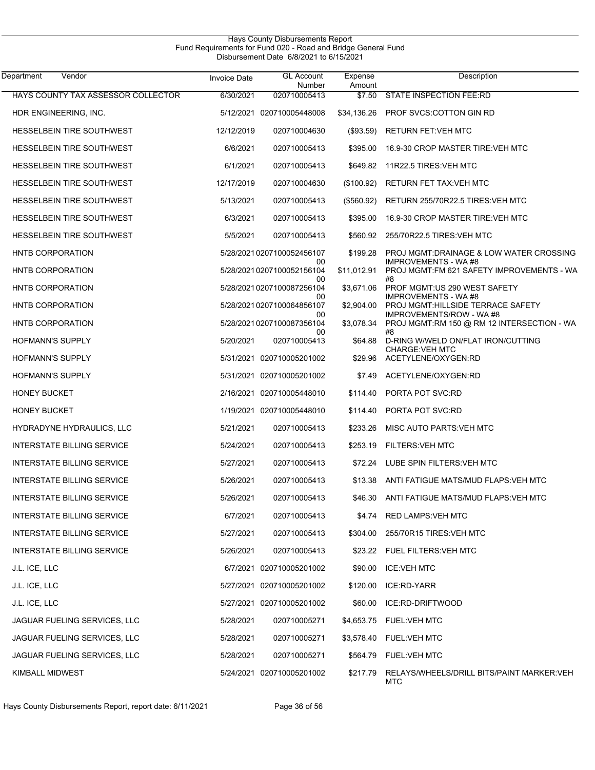| Vendor<br>Department               | <b>Invoice Date</b> | <b>GL Account</b><br>Number     | Expense<br>Amount | Description                                                                  |
|------------------------------------|---------------------|---------------------------------|-------------------|------------------------------------------------------------------------------|
| HAYS COUNTY TAX ASSESSOR COLLECTOR | 6/30/2021           | 020710005413                    | \$7.50            | <b>STATE INSPECTION FEE:RD</b>                                               |
| HDR ENGINEERING, INC.              |                     | 5/12/2021 020710005448008       | \$34,136.26       | PROF SVCS:COTTON GIN RD                                                      |
| <b>HESSELBEIN TIRE SOUTHWEST</b>   | 12/12/2019          | 020710004630                    | (\$93.59)         | <b>RETURN FET:VEH MTC</b>                                                    |
| <b>HESSELBEIN TIRE SOUTHWEST</b>   | 6/6/2021            | 020710005413                    | \$395.00          | 16.9-30 CROP MASTER TIRE: VEH MTC                                            |
| <b>HESSELBEIN TIRE SOUTHWEST</b>   | 6/1/2021            | 020710005413                    | \$649.82          | 11R22.5 TIRES: VEH MTC                                                       |
| <b>HESSELBEIN TIRE SOUTHWEST</b>   | 12/17/2019          | 020710004630                    | (\$100.92)        | <b>RETURN FET TAX: VEH MTC</b>                                               |
| <b>HESSELBEIN TIRE SOUTHWEST</b>   | 5/13/2021           | 020710005413                    | (\$560.92)        | RETURN 255/70R22.5 TIRES: VEH MTC                                            |
| <b>HESSELBEIN TIRE SOUTHWEST</b>   | 6/3/2021            | 020710005413                    | \$395.00          | 16.9-30 CROP MASTER TIRE VEH MTC                                             |
| <b>HESSELBEIN TIRE SOUTHWEST</b>   | 5/5/2021            | 020710005413                    | \$560.92          | 255/70R22.5 TIRES VEH MTC                                                    |
| <b>HNTB CORPORATION</b>            |                     | 5/28/20210207100052456107       | \$199.28          | PROJ MGMT:DRAINAGE & LOW WATER CROSSING                                      |
| <b>HNTB CORPORATION</b>            |                     | 00<br>5/28/20210207100052156104 | \$11,012.91       | <b>IMPROVEMENTS - WA#8</b><br>PROJ MGMT:FM 621 SAFETY IMPROVEMENTS - WA      |
| HNTB CORPORATION                   |                     | 00<br>5/28/20210207100087256104 | \$3,671.06        | #8<br>PROF MGMT: US 290 WEST SAFETY                                          |
| HNTB CORPORATION                   |                     | 00<br>5/28/20210207100064856107 | \$2,904.00        | <b>IMPROVEMENTS - WA#8</b><br>PROJ MGMT: HILLSIDE TERRACE SAFETY             |
| HNTB CORPORATION                   |                     | 00<br>5/28/20210207100087356104 | \$3,078.34        | <b>IMPROVEMENTS/ROW - WA#8</b><br>PROJ MGMT:RM 150 @ RM 12 INTERSECTION - WA |
| <b>HOFMANN'S SUPPLY</b>            | 5/20/2021           | 00<br>020710005413              | \$64.88           | #8<br>D-RING W/WELD ON/FLAT IRON/CUTTING                                     |
| <b>HOFMANN'S SUPPLY</b>            |                     | 5/31/2021 020710005201002       | \$29.96           | <b>CHARGE:VEH MTC</b><br>ACETYLENE/OXYGEN:RD                                 |
| <b>HOFMANN'S SUPPLY</b>            |                     | 5/31/2021 020710005201002       | \$7.49            | ACETYLENE/OXYGEN:RD                                                          |
| <b>HONEY BUCKET</b>                |                     | 2/16/2021 020710005448010       | \$114.40          | PORTA POT SVC:RD                                                             |
| <b>HONEY BUCKET</b>                |                     | 1/19/2021 020710005448010       | \$114.40          | PORTA POT SVC:RD                                                             |
| HYDRADYNE HYDRAULICS, LLC          | 5/21/2021           | 020710005413                    | \$233.26          | MISC AUTO PARTS: VEH MTC                                                     |
| <b>INTERSTATE BILLING SERVICE</b>  | 5/24/2021           | 020710005413                    | \$253.19          | <b>FILTERS: VEH MTC</b>                                                      |
| <b>INTERSTATE BILLING SERVICE</b>  | 5/27/2021           | 020710005413                    | \$72.24           | LUBE SPIN FILTERS: VEH MTC                                                   |
| INTERSTATE BILLING SERVICE         | 5/26/2021           | 020710005413                    |                   | \$13.38 ANTI FATIGUE MATS/MUD FLAPS: VEH MTC                                 |
| <b>INTERSTATE BILLING SERVICE</b>  | 5/26/2021           | 020710005413                    |                   | \$46.30 ANTI FATIGUE MATS/MUD FLAPS VEH MTC                                  |
| INTERSTATE BILLING SERVICE         | 6/7/2021            | 020710005413                    | \$4.74            | RED LAMPS: VEH MTC                                                           |
| <b>INTERSTATE BILLING SERVICE</b>  | 5/27/2021           | 020710005413                    | \$304.00          | 255/70R15 TIRES: VEH MTC                                                     |
| INTERSTATE BILLING SERVICE         | 5/26/2021           | 020710005413                    |                   | \$23.22 FUEL FILTERS: VEH MTC                                                |
| J.L. ICE, LLC                      |                     | 6/7/2021 020710005201002        | \$90.00           | <b>ICE:VEH MTC</b>                                                           |
| J.L. ICE, LLC                      |                     | 5/27/2021 020710005201002       | \$120.00          | ICE:RD-YARR                                                                  |
| J.L. ICE, LLC                      |                     | 5/27/2021 020710005201002       | \$60.00           | ICE:RD-DRIFTWOOD                                                             |
| JAGUAR FUELING SERVICES, LLC       | 5/28/2021           | 020710005271                    |                   | \$4,653.75 FUEL: VEH MTC                                                     |
| JAGUAR FUELING SERVICES, LLC       | 5/28/2021           | 020710005271                    |                   | \$3,578.40 FUEL: VEH MTC                                                     |
| JAGUAR FUELING SERVICES, LLC       | 5/28/2021           | 020710005271                    |                   | \$564.79 FUEL: VEH MTC                                                       |
| <b>KIMBALL MIDWEST</b>             |                     | 5/24/2021 020710005201002       | \$217.79          | RELAYS/WHEELS/DRILL BITS/PAINT MARKER: VEH<br>MTC                            |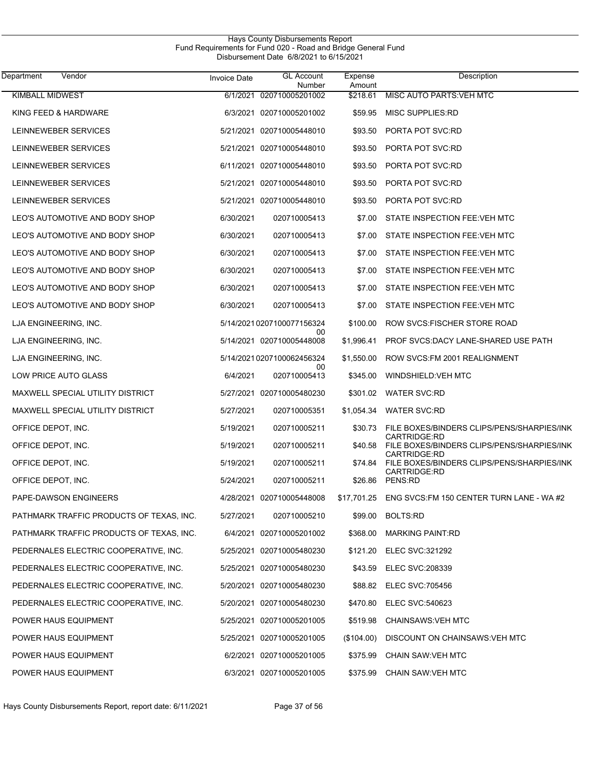| Vendor<br>Department                     | <b>Invoice Date</b> | <b>GL Account</b><br>Number     | Expense<br>Amount | Description                                                |
|------------------------------------------|---------------------|---------------------------------|-------------------|------------------------------------------------------------|
| <b>KIMBALL MIDWEST</b>                   |                     | 6/1/2021 020710005201002        | \$218.61          | MISC AUTO PARTS VEH MTC                                    |
| KING FEED & HARDWARE                     |                     | 6/3/2021 020710005201002        | \$59.95           | <b>MISC SUPPLIES RD</b>                                    |
| LEINNEWEBER SERVICES                     |                     | 5/21/2021 020710005448010       | \$93.50           | PORTA POT SVC:RD                                           |
| LEINNEWEBER SERVICES                     |                     | 5/21/2021 020710005448010       | \$93.50           | PORTA POT SVC:RD                                           |
| LEINNEWEBER SERVICES                     |                     | 6/11/2021 020710005448010       | \$93.50           | PORTA POT SVC:RD                                           |
| LEINNEWEBER SERVICES                     |                     | 5/21/2021 020710005448010       | \$93.50           | PORTA POT SVC:RD                                           |
| LEINNEWEBER SERVICES                     |                     | 5/21/2021 020710005448010       | \$93.50           | PORTA POT SVC:RD                                           |
| LEO'S AUTOMOTIVE AND BODY SHOP           | 6/30/2021           | 020710005413                    | \$7.00            | STATE INSPECTION FEE: VEH MTC                              |
| LEO'S AUTOMOTIVE AND BODY SHOP           | 6/30/2021           | 020710005413                    | \$7.00            | STATE INSPECTION FEE: VEH MTC                              |
| LEO'S AUTOMOTIVE AND BODY SHOP           | 6/30/2021           | 020710005413                    | \$7.00            | STATE INSPECTION FEE: VEH MTC                              |
| LEO'S AUTOMOTIVE AND BODY SHOP           | 6/30/2021           | 020710005413                    | \$7.00            | STATE INSPECTION FEE: VEH MTC                              |
| LEO'S AUTOMOTIVE AND BODY SHOP           | 6/30/2021           | 020710005413                    | \$7.00            | STATE INSPECTION FEE: VEH MTC                              |
| LEO'S AUTOMOTIVE AND BODY SHOP           | 6/30/2021           | 020710005413                    | \$7.00            | STATE INSPECTION FEE: VEH MTC                              |
| LJA ENGINEERING, INC.                    |                     | 5/14/20210207100077156324       | \$100.00          | ROW SVCS. FISCHER STORE ROAD                               |
| LJA ENGINEERING, INC.                    |                     | 00<br>5/14/2021 020710005448008 | \$1,996.41        | PROF SVCS:DACY LANE-SHARED USE PATH                        |
| LJA ENGINEERING, INC.                    |                     | 5/14/20210207100062456324       | \$1,550.00        | ROW SVCS: FM 2001 REALIGNMENT                              |
| LOW PRICE AUTO GLASS                     | 6/4/2021            | 00<br>020710005413              | \$345.00          | WINDSHIELD:VEH MTC                                         |
| MAXWELL SPECIAL UTILITY DISTRICT         |                     | 5/27/2021 020710005480230       | \$301.02          | <b>WATER SVC:RD</b>                                        |
| MAXWELL SPECIAL UTILITY DISTRICT         | 5/27/2021           | 020710005351                    | \$1,054.34        | <b>WATER SVC:RD</b>                                        |
| OFFICE DEPOT, INC.                       | 5/19/2021           | 020710005211                    | \$30.73           | FILE BOXES/BINDERS CLIPS/PENS/SHARPIES/INK                 |
| OFFICE DEPOT, INC.                       | 5/19/2021           | 020710005211                    | \$40.58           | CARTRIDGE:RD<br>FILE BOXES/BINDERS CLIPS/PENS/SHARPIES/INK |
| OFFICE DEPOT, INC.                       | 5/19/2021           | 020710005211                    | \$74.84           | CARTRIDGE:RD<br>FILE BOXES/BINDERS CLIPS/PENS/SHARPIES/INK |
| OFFICE DEPOT, INC.                       | 5/24/2021           | 020710005211                    | \$26.86           | CARTRIDGE:RD<br>PENS:RD                                    |
| PAPE-DAWSON ENGINEERS                    |                     | 4/28/2021 020710005448008       |                   | \$17,701.25 ENG SVCS:FM 150 CENTER TURN LANE - WA #2       |
| PATHMARK TRAFFIC PRODUCTS OF TEXAS, INC. | 5/27/2021           | 020710005210                    |                   | \$99.00 BOLTS:RD                                           |
| PATHMARK TRAFFIC PRODUCTS OF TEXAS, INC. |                     | 6/4/2021 020710005201002        | \$368.00          | <b>MARKING PAINT:RD</b>                                    |
| PEDERNALES ELECTRIC COOPERATIVE, INC.    |                     | 5/25/2021 020710005480230       |                   | \$121.20 ELEC SVC:321292                                   |
| PEDERNALES ELECTRIC COOPERATIVE, INC.    |                     | 5/25/2021 020710005480230       |                   | \$43.59 ELEC SVC:208339                                    |
| PEDERNALES ELECTRIC COOPERATIVE, INC.    |                     | 5/20/2021 020710005480230       |                   | \$88.82 ELEC SVC:705456                                    |
| PEDERNALES ELECTRIC COOPERATIVE, INC.    |                     | 5/20/2021 020710005480230       | \$470.80          | <b>ELEC SVC:540623</b>                                     |
| POWER HAUS EQUIPMENT                     |                     | 5/25/2021 020710005201005       |                   | \$519.98 CHAINSAWS: VEH MTC                                |
| POWER HAUS EQUIPMENT                     |                     | 5/25/2021 020710005201005       | $(\$104.00)$      | DISCOUNT ON CHAINSAWS VEH MTC                              |
| POWER HAUS EQUIPMENT                     |                     | 6/2/2021 020710005201005        | \$375.99          | CHAIN SAW VEH MTC                                          |
| POWER HAUS EQUIPMENT                     |                     | 6/3/2021 020710005201005        | \$375.99          | CHAIN SAW VEH MTC                                          |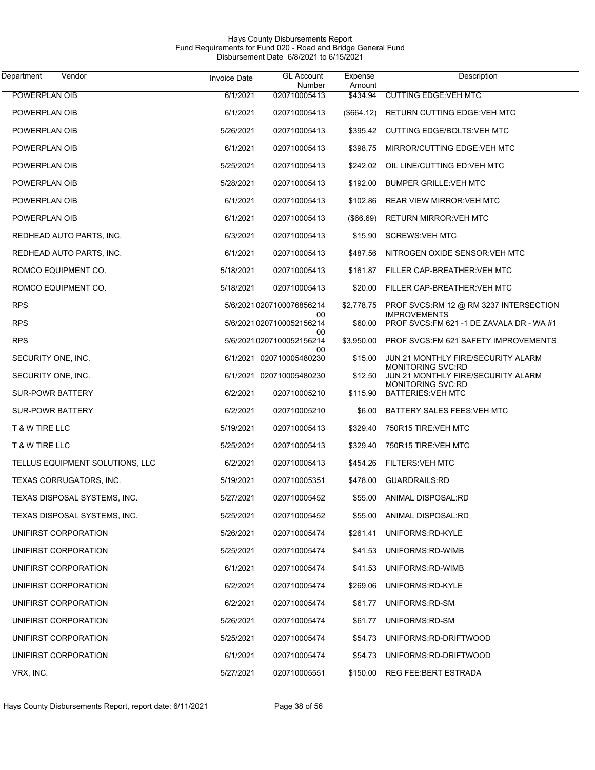| Vendor<br>Department            | <b>Invoice Date</b> | <b>GL Account</b><br>Number     | Expense<br>Amount | Description                                                     |
|---------------------------------|---------------------|---------------------------------|-------------------|-----------------------------------------------------------------|
| POWERPLAN OIB                   | 6/1/2021            | 020710005413                    | \$434.94          | <b>CUTTING EDGE: VEH MTC</b>                                    |
| POWERPLAN OIB                   | 6/1/2021            | 020710005413                    | (\$664.12)        | RETURN CUTTING EDGE: VEH MTC                                    |
| POWERPLAN OIB                   | 5/26/2021           | 020710005413                    | \$395.42          | CUTTING EDGE/BOLTS: VEH MTC                                     |
| POWERPLAN OIB                   | 6/1/2021            | 020710005413                    | \$398.75          | MIRROR/CUTTING EDGE: VEH MTC                                    |
| POWERPLAN OIB                   | 5/25/2021           | 020710005413                    | \$242.02          | OIL LINE/CUTTING ED: VEH MTC                                    |
| POWERPLAN OIB                   | 5/28/2021           | 020710005413                    | \$192.00          | <b>BUMPER GRILLE: VEH MTC</b>                                   |
| POWERPLAN OIB                   | 6/1/2021            | 020710005413                    | \$102.86          | <b>REAR VIEW MIRROR VEH MTC</b>                                 |
| POWERPLAN OIB                   | 6/1/2021            | 020710005413                    | $($ \$66.69)      | <b>RETURN MIRROR: VEH MTC</b>                                   |
| REDHEAD AUTO PARTS, INC.        | 6/3/2021            | 020710005413                    | \$15.90           | <b>SCREWS VEH MTC</b>                                           |
| REDHEAD AUTO PARTS, INC.        | 6/1/2021            | 020710005413                    | \$487.56          | NITROGEN OXIDE SENSOR: VEH MTC                                  |
| ROMCO EQUIPMENT CO.             | 5/18/2021           | 020710005413                    | \$161.87          | FILLER CAP-BREATHER: VEH MTC                                    |
| ROMCO EQUIPMENT CO.             | 5/18/2021           | 020710005413                    | \$20.00           | FILLER CAP-BREATHER: VEH MTC                                    |
| <b>RPS</b>                      |                     | 5/6/2021 0207100076856214       | \$2,778.75        | PROF SVCS:RM 12 @ RM 3237 INTERSECTION                          |
| <b>RPS</b>                      |                     | 00<br>5/6/2021 0207100052156214 | \$60.00           | <b>IMPROVEMENTS</b><br>PROF SVCS:FM 621 -1 DE ZAVALA DR - WA #1 |
| <b>RPS</b>                      |                     | 00<br>5/6/2021 0207100052156214 | \$3,950.00        | PROF SVCS: FM 621 SAFETY IMPROVEMENTS                           |
| SECURITY ONE, INC.              |                     | 00<br>6/1/2021 020710005480230  | \$15.00           | JUN 21 MONTHLY FIRE/SECURITY ALARM                              |
| SECURITY ONE, INC.              |                     | 6/1/2021 020710005480230        | \$12.50           | <b>MONITORING SVC:RD</b><br>JUN 21 MONTHLY FIRE/SECURITY ALARM  |
| <b>SUR-POWR BATTERY</b>         | 6/2/2021            | 020710005210                    | \$115.90          | <b>MONITORING SVC:RD</b><br><b>BATTERIES: VEH MTC</b>           |
| <b>SUR-POWR BATTERY</b>         | 6/2/2021            | 020710005210                    | \$6.00            | BATTERY SALES FEES VEH MTC                                      |
| T & W TIRE LLC                  | 5/19/2021           | 020710005413                    | \$329.40          | 750R15 TIRE: VEH MTC                                            |
| T & W TIRE LLC                  | 5/25/2021           | 020710005413                    | \$329.40          | 750R15 TIRE: VEH MTC                                            |
| TELLUS EQUIPMENT SOLUTIONS, LLC | 6/2/2021            | 020710005413                    | \$454.26          | <b>FILTERS: VEH MTC</b>                                         |
| TEXAS CORRUGATORS, INC.         | 5/19/2021           | 020710005351                    |                   | \$478.00 GUARDRAILS:RD                                          |
| TEXAS DISPOSAL SYSTEMS, INC.    | 5/27/2021           | 020710005452                    | \$55.00           | ANIMAL DISPOSAL:RD                                              |
| TEXAS DISPOSAL SYSTEMS, INC.    | 5/25/2021           | 020710005452                    | \$55.00           | ANIMAL DISPOSAL:RD                                              |
| UNIFIRST CORPORATION            | 5/26/2021           | 020710005474                    | \$261.41          | UNIFORMS:RD-KYLE                                                |
| UNIFIRST CORPORATION            | 5/25/2021           | 020710005474                    | \$41.53           | UNIFORMS:RD-WIMB                                                |
| UNIFIRST CORPORATION            | 6/1/2021            | 020710005474                    | \$41.53           | UNIFORMS:RD-WIMB                                                |
| UNIFIRST CORPORATION            | 6/2/2021            | 020710005474                    | \$269.06          | UNIFORMS:RD-KYLE                                                |
| UNIFIRST CORPORATION            | 6/2/2021            | 020710005474                    | \$61.77           | UNIFORMS:RD-SM                                                  |
| UNIFIRST CORPORATION            | 5/26/2021           | 020710005474                    | \$61.77           | UNIFORMS:RD-SM                                                  |
| UNIFIRST CORPORATION            | 5/25/2021           | 020710005474                    | \$54.73           | UNIFORMS:RD-DRIFTWOOD                                           |
| UNIFIRST CORPORATION            | 6/1/2021            | 020710005474                    | \$54.73           | UNIFORMS:RD-DRIFTWOOD                                           |
| VRX, INC.                       | 5/27/2021           | 020710005551                    |                   | \$150.00 REG FEE: BERT ESTRADA                                  |
|                                 |                     |                                 |                   |                                                                 |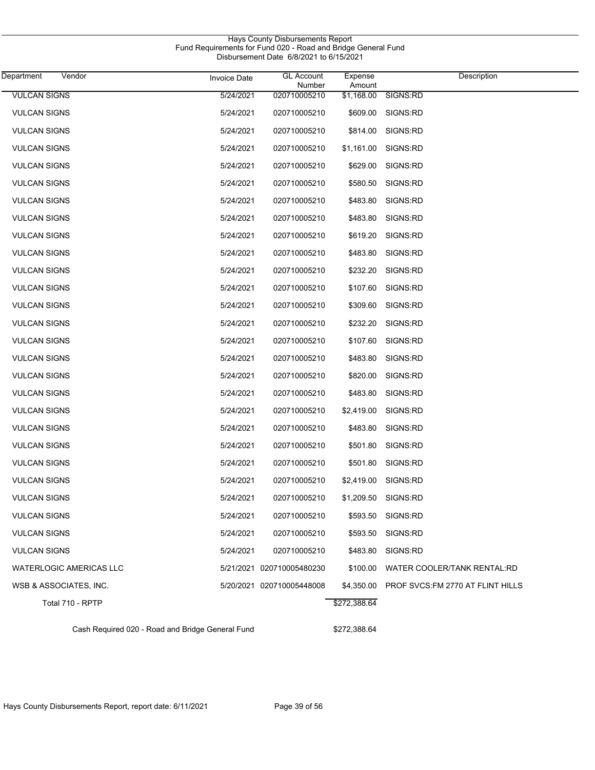| Department                     | Vendor           | <b>Invoice Date</b> | <b>GL Account</b><br>Number | Expense<br>Amount | Description                        |
|--------------------------------|------------------|---------------------|-----------------------------|-------------------|------------------------------------|
| <b>VULCAN SIGNS</b>            |                  | 5/24/2021           | 020710005210                | \$1,168.00        | SIGNS:RD                           |
| <b>VULCAN SIGNS</b>            |                  | 5/24/2021           | 020710005210                | \$609.00          | SIGNS:RD                           |
| <b>VULCAN SIGNS</b>            |                  | 5/24/2021           | 020710005210                | \$814.00          | SIGNS:RD                           |
| <b>VULCAN SIGNS</b>            |                  | 5/24/2021           | 020710005210                | \$1,161.00        | SIGNS:RD                           |
| <b>VULCAN SIGNS</b>            |                  | 5/24/2021           | 020710005210                | \$629.00          | SIGNS:RD                           |
| <b>VULCAN SIGNS</b>            |                  | 5/24/2021           | 020710005210                | \$580.50          | SIGNS:RD                           |
| <b>VULCAN SIGNS</b>            |                  | 5/24/2021           | 020710005210                | \$483.80          | SIGNS:RD                           |
| <b>VULCAN SIGNS</b>            |                  | 5/24/2021           | 020710005210                | \$483.80          | SIGNS:RD                           |
| <b>VULCAN SIGNS</b>            |                  | 5/24/2021           | 020710005210                | \$619.20          | SIGNS:RD                           |
| <b>VULCAN SIGNS</b>            |                  | 5/24/2021           | 020710005210                | \$483.80          | SIGNS:RD                           |
| <b>VULCAN SIGNS</b>            |                  | 5/24/2021           | 020710005210                | \$232.20          | SIGNS:RD                           |
| <b>VULCAN SIGNS</b>            |                  | 5/24/2021           | 020710005210                | \$107.60          | SIGNS:RD                           |
| <b>VULCAN SIGNS</b>            |                  | 5/24/2021           | 020710005210                | \$309.60          | SIGNS:RD                           |
| <b>VULCAN SIGNS</b>            |                  | 5/24/2021           | 020710005210                | \$232.20          | SIGNS:RD                           |
| <b>VULCAN SIGNS</b>            |                  | 5/24/2021           | 020710005210                | \$107.60          | SIGNS:RD                           |
| <b>VULCAN SIGNS</b>            |                  | 5/24/2021           | 020710005210                | \$483.80          | SIGNS:RD                           |
| <b>VULCAN SIGNS</b>            |                  | 5/24/2021           | 020710005210                | \$820.00          | SIGNS:RD                           |
| <b>VULCAN SIGNS</b>            |                  | 5/24/2021           | 020710005210                | \$483.80          | SIGNS:RD                           |
| <b>VULCAN SIGNS</b>            |                  | 5/24/2021           | 020710005210                | \$2,419.00        | SIGNS:RD                           |
| <b>VULCAN SIGNS</b>            |                  | 5/24/2021           | 020710005210                | \$483.80          | SIGNS:RD                           |
| <b>VULCAN SIGNS</b>            |                  | 5/24/2021           | 020710005210                | \$501.80          | SIGNS:RD                           |
| <b>VULCAN SIGNS</b>            |                  | 5/24/2021           | 020710005210                | \$501.80          | SIGNS:RD                           |
| <b>VULCAN SIGNS</b>            |                  | 5/24/2021           | 020710005210                |                   | \$2,419.00 SIGNS:RD                |
| <b>VULCAN SIGNS</b>            |                  | 5/24/2021           | 020710005210                |                   | \$1,209.50 SIGNS:RD                |
| <b>VULCAN SIGNS</b>            |                  | 5/24/2021           | 020710005210                |                   | \$593.50 SIGNS:RD                  |
| <b>VULCAN SIGNS</b>            |                  | 5/24/2021           | 020710005210                | \$593.50          | SIGNS:RD                           |
| <b>VULCAN SIGNS</b>            |                  | 5/24/2021           | 020710005210                | \$483.80          | SIGNS:RD                           |
| <b>WATERLOGIC AMERICAS LLC</b> |                  |                     | 5/21/2021 020710005480230   | \$100.00          | <b>WATER COOLER/TANK RENTAL:RD</b> |
| WSB & ASSOCIATES, INC.         |                  |                     | 5/20/2021 020710005448008   | \$4,350.00        | PROF SVCS: FM 2770 AT FLINT HILLS  |
|                                | Total 710 - RPTP |                     |                             | \$272,388.64      |                                    |

Cash Required 020 - Road and Bridge General Fund \$272,388.64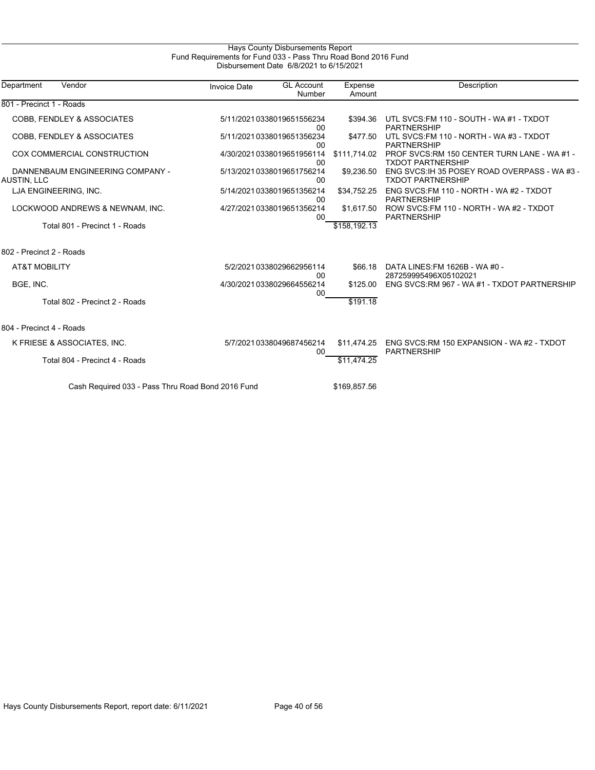## Hays County Disbursements Report Fund Requirements for Fund 033 - Pass Thru Road Bond 2016 Fund Disbursement Date 6/8/2021 to 6/15/2021

| Department<br>Vendor                              | <b>Invoice Date</b> | <b>GL Account</b><br>Number         | Expense<br>Amount | Description                                                               |
|---------------------------------------------------|---------------------|-------------------------------------|-------------------|---------------------------------------------------------------------------|
| 801 - Precinct 1 - Roads                          |                     |                                     |                   |                                                                           |
| <b>COBB, FENDLEY &amp; ASSOCIATES</b>             |                     | 5/11/20210338019651556234<br>00     | \$394.36          | UTL SVCS: FM 110 - SOUTH - WA #1 - TXDOT<br><b>PARTNERSHIP</b>            |
| <b>COBB, FENDLEY &amp; ASSOCIATES</b>             |                     | 5/11/20210338019651356234<br>00     | \$477.50          | UTL SVCS: FM 110 - NORTH - WA #3 - TXDOT<br><b>PARTNERSHIP</b>            |
| COX COMMERCIAL CONSTRUCTION                       |                     | 4/30/20210338019651956114<br>00     | \$111.714.02      | PROF SVCS:RM 150 CENTER TURN LANE - WA #1 -<br><b>TXDOT PARTNERSHIP</b>   |
| DANNENBAUM ENGINEERING COMPANY -<br>AUSTIN, LLC   |                     | 5/13/20210338019651756214<br>00     | \$9,236.50        | ENG SVCS: IH 35 POSEY ROAD OVERPASS - WA #3 -<br><b>TXDOT PARTNERSHIP</b> |
| LJA ENGINEERING, INC.                             |                     | 5/14/20210338019651356214<br>$00\,$ | \$34,752.25       | ENG SVCS: FM 110 - NORTH - WA #2 - TXDOT<br><b>PARTNERSHIP</b>            |
| LOCKWOOD ANDREWS & NEWNAM, INC.                   |                     | 4/27/20210338019651356214<br>00     | \$1,617.50        | ROW SVCS.FM 110 - NORTH - WA #2 - TXDOT<br><b>PARTNERSHIP</b>             |
| Total 801 - Precinct 1 - Roads                    |                     |                                     | \$158.192.13      |                                                                           |
| 802 - Precinct 2 - Roads                          |                     |                                     |                   |                                                                           |
| <b>AT&amp;T MOBILITY</b>                          |                     | 5/2/20210338029662956114<br>$00\,$  | \$66.18           | DATA LINES: FM 1626B - WA #0 -<br>287259995496X05102021                   |
| BGE, INC.                                         |                     | 4/30/20210338029664556214<br>$00\,$ | \$125.00          | ENG SVCS: RM 967 - WA #1 - TXDOT PARTNERSHIP                              |
| Total 802 - Precinct 2 - Roads                    |                     |                                     | \$191.18          |                                                                           |
| 804 - Precinct 4 - Roads                          |                     |                                     |                   |                                                                           |
| K FRIESE & ASSOCIATES, INC.                       |                     | 5/7/2021 0338049687456214<br>00     | \$11,474.25       | ENG SVCS:RM 150 EXPANSION - WA #2 - TXDOT<br><b>PARTNERSHIP</b>           |
| Total 804 - Precinct 4 - Roads                    |                     |                                     | \$11,474.25       |                                                                           |
| Cash Required 033 - Pass Thru Road Bond 2016 Fund |                     |                                     | \$169,857.56      |                                                                           |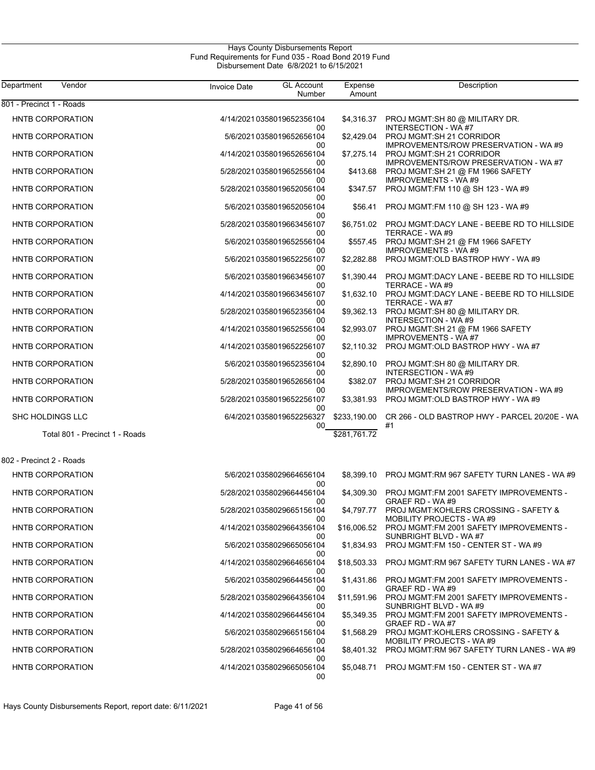| Department<br>Vendor           | <b>Invoice Date</b> | <b>GL Account</b><br>Number     | Expense<br>Amount | Description                                                                  |
|--------------------------------|---------------------|---------------------------------|-------------------|------------------------------------------------------------------------------|
| 801 - Precinct 1 - Roads       |                     |                                 |                   |                                                                              |
| HNTB CORPORATION               |                     | 4/14/20210358019652356104<br>00 |                   | \$4,316.37 PROJ MGMT:SH 80 @ MILITARY DR.<br><b>INTERSECTION - WA#7</b>      |
| HNTB CORPORATION               |                     | 5/6/2021 0358019652656104<br>00 | \$2,429.04        | PROJ MGMT:SH 21 CORRIDOR<br>IMPROVEMENTS/ROW PRESERVATION - WA #9            |
| HNTB CORPORATION               |                     | 4/14/20210358019652656104<br>00 | \$7,275.14        | PROJ MGMT:SH 21 CORRIDOR<br>IMPROVEMENTS/ROW PRESERVATION - WA #7            |
| HNTB CORPORATION               |                     | 5/28/20210358019652556104<br>00 | \$413.68          | PROJ MGMT:SH 21 @ FM 1966 SAFETY<br><b>IMPROVEMENTS - WA#9</b>               |
| HNTB CORPORATION               |                     | 5/28/20210358019652056104<br>00 |                   | \$347.57 PROJ MGMT:FM 110 @ SH 123 - WA #9                                   |
| <b>HNTB CORPORATION</b>        |                     | 5/6/2021 0358019652056104<br>00 | \$56.41           | PROJ MGMT:FM 110 @ SH 123 - WA #9                                            |
| HNTB CORPORATION               |                     | 5/28/20210358019663456107<br>00 |                   | \$6,751.02 PROJ MGMT:DACY LANE - BEEBE RD TO HILLSIDE<br>TERRACE - WA #9     |
| HNTB CORPORATION               |                     | 5/6/2021 0358019652556104<br>00 |                   | \$557.45 PROJ MGMT:SH 21 @ FM 1966 SAFETY<br><b>IMPROVEMENTS - WA#9</b>      |
| HNTB CORPORATION               |                     | 5/6/20210358019652256107<br>00  | \$2,282.88        | PROJ MGMT: OLD BASTROP HWY - WA #9                                           |
| HNTB CORPORATION               |                     | 5/6/2021 0358019663456107<br>00 | \$1,390.44        | PROJ MGMT:DACY LANE - BEEBE RD TO HILLSIDE<br>TERRACE - WA #9                |
| HNTB CORPORATION               |                     | 4/14/20210358019663456107<br>00 |                   | \$1,632.10 PROJ MGMT:DACY LANE - BEEBE RD TO HILLSIDE<br>TERRACE - WA #7     |
| HNTB CORPORATION               |                     | 5/28/20210358019652356104<br>00 |                   | \$9,362.13 PROJ MGMT:SH 80 @ MILITARY DR.<br>INTERSECTION - WA#9             |
| HNTB CORPORATION               |                     | 4/14/20210358019652556104<br>00 | \$2,993.07        | PROJ MGMT:SH 21 @ FM 1966 SAFETY<br><b>IMPROVEMENTS - WA#7</b>               |
| HNTB CORPORATION               |                     | 4/14/20210358019652256107<br>00 |                   | \$2,110.32 PROJ MGMT:OLD BASTROP HWY - WA#7                                  |
| HNTB CORPORATION               |                     | 5/6/20210358019652356104<br>00  |                   | \$2,890.10 PROJ MGMT:SH 80 @ MILITARY DR.<br><b>INTERSECTION - WA#9</b>      |
| HNTB CORPORATION               |                     | 5/28/20210358019652656104<br>00 |                   | \$382.07 PROJ MGMT:SH 21 CORRIDOR<br>IMPROVEMENTS/ROW PRESERVATION - WA #9   |
| HNTB CORPORATION               |                     | 5/28/20210358019652256107<br>00 |                   | \$3,381.93 PROJ MGMT:OLD BASTROP HWY - WA#9                                  |
| SHC HOLDINGS LLC               |                     | 6/4/20210358019652256327<br>00  | \$233,190.00      | CR 266 - OLD BASTROP HWY - PARCEL 20/20E - WA<br>#1                          |
| Total 801 - Precinct 1 - Roads |                     |                                 | \$281,761.72      |                                                                              |
| 802 - Precinct 2 - Roads       |                     |                                 |                   |                                                                              |
| HNTB CORPORATION               |                     | 5/6/2021 0358029664656104<br>00 | \$8,399.10        | PROJ MGMT:RM 967 SAFETY TURN LANES - WA #9                                   |
| <b>HNTB CORPORATION</b>        |                     | 5/28/20210358029664456104<br>00 | \$4,309.30        | PROJ MGMT:FM 2001 SAFETY IMPROVEMENTS -<br>GRAEF RD - WA #9                  |
| HNTB CORPORATION               |                     | 5/28/20210358029665156104<br>00 | \$4,797.77        | PROJ MGMT:KOHLERS CROSSING - SAFETY &<br>MOBILITY PROJECTS - WA #9           |
| <b>HNTB CORPORATION</b>        |                     | 4/14/20210358029664356104<br>00 | \$16,006.52       | PROJ MGMT:FM 2001 SAFETY IMPROVEMENTS -<br>SUNBRIGHT BLVD - WA #7            |
| <b>HNTB CORPORATION</b>        |                     | 5/6/2021 0358029665056104<br>00 | \$1,834.93        | PROJ MGMT:FM 150 - CENTER ST - WA #9                                         |
| <b>HNTB CORPORATION</b>        |                     | 4/14/20210358029664656104<br>00 | \$18,503.33       | PROJ MGMT:RM 967 SAFETY TURN LANES - WA #7                                   |
| <b>HNTB CORPORATION</b>        |                     | 5/6/20210358029664456104<br>00  |                   | \$1,431.86 PROJ MGMT:FM 2001 SAFETY IMPROVEMENTS -<br>GRAEF RD - WA #9       |
| HNTB CORPORATION               |                     | 5/28/20210358029664356104<br>00 | \$11,591.96       | PROJ MGMT:FM 2001 SAFETY IMPROVEMENTS -<br>SUNBRIGHT BLVD - WA #9            |
| <b>HNTB CORPORATION</b>        |                     | 4/14/20210358029664456104<br>00 | \$5,349.35        | PROJ MGMT:FM 2001 SAFETY IMPROVEMENTS -<br>GRAEF RD - WA #7                  |
| <b>HNTB CORPORATION</b>        |                     | 5/6/2021 0358029665156104<br>00 | \$1.568.29        | <b>PROJ MGMT KOHLERS CROSSING - SAFETY &amp;</b><br>MOBILITY PROJECTS - WA#9 |
| <b>HNTB CORPORATION</b>        |                     | 5/28/20210358029664656104<br>00 |                   | \$8,401.32 PROJ MGMT RM 967 SAFETY TURN LANES - WA #9                        |
| <b>HNTB CORPORATION</b>        |                     | 4/14/20210358029665056104<br>00 |                   | \$5,048.71 PROJ MGMT FM 150 - CENTER ST - WA#7                               |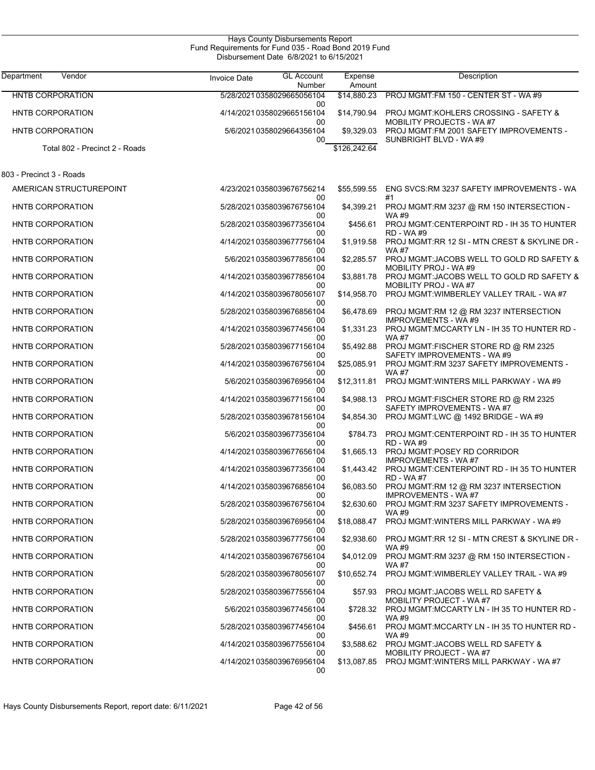| Department               | Vendor                         | <b>Invoice Date</b> | <b>GL Account</b>               | Expense      | Description                                                                         |
|--------------------------|--------------------------------|---------------------|---------------------------------|--------------|-------------------------------------------------------------------------------------|
|                          |                                |                     | Number                          | Amount       |                                                                                     |
| <b>HNTB CORPORATION</b>  |                                |                     | 5/28/20210358029665056104<br>00 | \$14,880.23  | PROJ MGMT:FM 150 - CENTER ST - WA #9                                                |
| <b>HNTB CORPORATION</b>  |                                |                     | 4/14/20210358029665156104<br>00 | \$14,790.94  | <b>PROJ MGMT:KOHLERS CROSSING - SAFETY &amp;</b><br><b>MOBILITY PROJECTS - WA#7</b> |
| <b>HNTB CORPORATION</b>  |                                |                     | 5/6/2021 0358029664356104       | \$9,329.03   | PROJ MGMT:FM 2001 SAFETY IMPROVEMENTS -<br>SUNBRIGHT BLVD - WA #9                   |
|                          | Total 802 - Precinct 2 - Roads |                     | 00                              | \$126,242.64 |                                                                                     |
| 803 - Precinct 3 - Roads |                                |                     |                                 |              |                                                                                     |
|                          | AMERICAN STRUCTUREPOINT        |                     | 4/23/20210358039676756214       | \$55,599.55  | ENG SVCS:RM 3237 SAFETY IMPROVEMENTS - WA                                           |
| <b>HNTB CORPORATION</b>  |                                |                     | 00<br>5/28/20210358039676756104 | \$4,399.21   | #1<br>PROJ MGMT:RM 3237 @ RM 150 INTERSECTION -                                     |
| HNTB CORPORATION         |                                |                     | 00<br>5/28/20210358039677356104 | \$456.61     | WA #9<br>PROJ MGMT:CENTERPOINT RD - IH 35 TO HUNTER                                 |
| <b>HNTB CORPORATION</b>  |                                |                     | 00<br>4/14/20210358039677756104 | \$1,919.58   | <b>RD - WA#9</b><br>PROJ MGMT:RR 12 SI - MTN CREST & SKYLINE DR -                   |
|                          |                                |                     | 00                              |              | WA #7<br>PROJ MGMT: JACOBS WELL TO GOLD RD SAFETY &                                 |
| HNTB CORPORATION         |                                |                     | 5/6/2021 0358039677856104<br>00 | \$2,285.57   | MOBILITY PROJ - WA #9                                                               |
| <b>HNTB CORPORATION</b>  |                                |                     | 4/14/20210358039677856104<br>00 | \$3,881.78   | PROJ MGMT:JACOBS WELL TO GOLD RD SAFETY &<br>MOBILITY PROJ - WA #7                  |
| <b>HNTB CORPORATION</b>  |                                |                     | 4/14/20210358039678056107<br>00 | \$14,958.70  | PROJ MGMT: WIMBERLEY VALLEY TRAIL - WA #7                                           |
| <b>HNTB CORPORATION</b>  |                                |                     | 5/28/20210358039676856104<br>00 | \$6,478.69   | PROJ MGMT:RM 12 @ RM 3237 INTERSECTION<br><b>IMPROVEMENTS - WA#9</b>                |
| <b>HNTB CORPORATION</b>  |                                |                     | 4/14/20210358039677456104       | \$1,331.23   | PROJ MGMT:MCCARTY LN - IH 35 TO HUNTER RD -                                         |
| <b>HNTB CORPORATION</b>  |                                |                     | 00<br>5/28/20210358039677156104 | \$5,492.88   | <b>WA#7</b><br>PROJ MGMT:FISCHER STORE RD @ RM 2325                                 |
| HNTB CORPORATION         |                                |                     | 00<br>4/14/20210358039676756104 | \$25,085.91  | SAFETY IMPROVEMENTS - WA #9<br>PROJ MGMT:RM 3237 SAFETY IMPROVEMENTS -              |
| <b>HNTB CORPORATION</b>  |                                |                     | 00<br>5/6/2021 0358039676956104 | \$12,311.81  | <b>WA#7</b><br>PROJ MGMT: WINTERS MILL PARKWAY - WA #9                              |
| HNTB CORPORATION         |                                |                     | 00<br>4/14/20210358039677156104 | \$4,988.13   | PROJ MGMT:FISCHER STORE RD @ RM 2325                                                |
| <b>HNTB CORPORATION</b>  |                                |                     | 00<br>5/28/20210358039678156104 | \$4,854.30   | SAFETY IMPROVEMENTS - WA #7<br>PROJ MGMT:LWC @ 1492 BRIDGE - WA #9                  |
| HNTB CORPORATION         |                                |                     | 00<br>5/6/2021 0358039677356104 | \$784.73     | PROJ MGMT:CENTERPOINT RD - IH 35 TO HUNTER                                          |
| <b>HNTB CORPORATION</b>  |                                |                     | 00<br>4/14/20210358039677656104 | \$1,665.13   | <b>RD - WA#9</b><br>PROJ MGMT:POSEY RD CORRIDOR                                     |
| HNTB CORPORATION         |                                |                     | 00<br>4/14/20210358039677356104 | \$1,443.42   | <b>IMPROVEMENTS - WA#7</b><br>PROJ MGMT:CENTERPOINT RD - IH 35 TO HUNTER            |
| HNTB CORPORATION         |                                |                     | 00                              |              | <b>RD - WA#7</b>                                                                    |
|                          |                                |                     | 4/14/20210358039676856104<br>00 | \$6,083.50   | PROJ MGMT:RM 12 @ RM 3237 INTERSECTION<br><b>IMPROVEMENTS - WA#7</b>                |
| <b>HNTB CORPORATION</b>  |                                |                     | 5/28/20210358039676756104<br>00 | \$2,630.60   | PROJ MGMT:RM 3237 SAFETY IMPROVEMENTS -<br>WA #9                                    |
| HNTB CORPORATION         |                                |                     | 5/28/20210358039676956104<br>00 | \$18,088.47  | PROJ MGMT: WINTERS MILL PARKWAY - WA #9                                             |
| HNTB CORPORATION         |                                |                     | 5/28/20210358039677756104       | \$2,938.60   | PROJ MGMT:RR 12 SI - MTN CREST & SKYLINE DR -                                       |
| HNTB CORPORATION         |                                |                     | 00<br>4/14/20210358039676756104 | \$4,012.09   | WA #9<br>PROJ MGMT:RM 3237 @ RM 150 INTERSECTION -                                  |
| <b>HNTB CORPORATION</b>  |                                |                     | 00<br>5/28/20210358039678056107 | \$10,652.74  | WA #7<br>PROJ MGMT: WIMBERLEY VALLEY TRAIL - WA #9                                  |
| <b>HNTB CORPORATION</b>  |                                |                     | 00<br>5/28/20210358039677556104 | \$57.93      | PROJ MGMT: JACOBS WELL RD SAFETY &                                                  |
| <b>HNTB CORPORATION</b>  |                                |                     | 00<br>5/6/2021 0358039677456104 | \$728.32     | <b>MOBILITY PROJECT - WA#7</b><br>PROJ MGMT: MCCARTY LN - IH 35 TO HUNTER RD -      |
| HNTB CORPORATION         |                                |                     | 00<br>5/28/20210358039677456104 | \$456.61     | WA #9<br>PROJ MGMT:MCCARTY LN - IH 35 TO HUNTER RD -                                |
| HNTB CORPORATION         |                                |                     | 00<br>4/14/20210358039677556104 | \$3,588.62   | <b>WA#9</b><br>PROJ MGMT: JACOBS WELL RD SAFETY &                                   |
|                          |                                |                     | 00                              |              | <b>MOBILITY PROJECT - WA#7</b>                                                      |
| HNTB CORPORATION         |                                |                     | 4/14/20210358039676956104<br>00 | \$13,087.85  | PROJ MGMT: WINTERS MILL PARKWAY - WA#7                                              |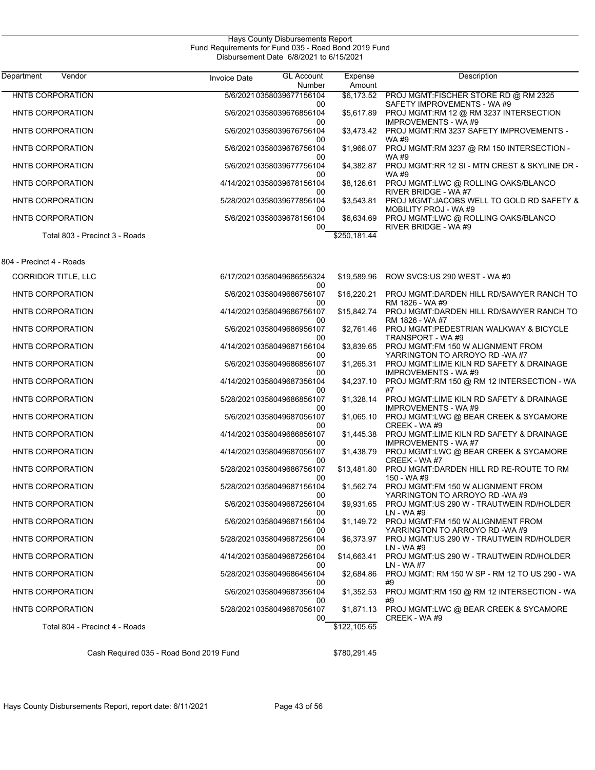| Department<br>Vendor           | <b>GL Account</b><br><b>Invoice Date</b><br>Number | Expense<br>Amount | Description                                                                                   |
|--------------------------------|----------------------------------------------------|-------------------|-----------------------------------------------------------------------------------------------|
| <b>HNTB CORPORATION</b>        | 5/6/20210358039677156104                           | \$6.173.52        | PROJ MGMT:FISCHER STORE RD @ RM 2325                                                          |
| HNTB CORPORATION               | 00<br>5/6/20210358039676856104<br>00               | \$5,617.89        | SAFETY IMPROVEMENTS - WA #9<br>PROJ MGMT:RM 12 @ RM 3237 INTERSECTION<br>IMPROVEMENTS - WA #9 |
| HNTB CORPORATION               | 5/6/20210358039676756104<br>00                     | \$3.473.42        | PROJ MGMT:RM 3237 SAFETY IMPROVEMENTS -<br><b>WA#9</b>                                        |
| HNTB CORPORATION               | 5/6/2021 0358039676756104<br>00                    | \$1,966.07        | PROJ MGMT:RM 3237 @ RM 150 INTERSECTION -<br>WA #9                                            |
| <b>HNTB CORPORATION</b>        | 5/6/20210358039677756104<br>00                     | \$4,382.87        | PROJ MGMT:RR 12 SI - MTN CREST & SKYLINE DR -<br><b>WA#9</b>                                  |
| HNTB CORPORATION               | 4/14/20210358039678156104<br>00                    | \$8,126.61        | PROJ MGMT:LWC @ ROLLING OAKS/BLANCO<br>RIVER BRIDGE - WA #7                                   |
| HNTB CORPORATION               | 5/28/20210358039677856104<br>00                    | \$3,543.81        | PROJ MGMT: JACOBS WELL TO GOLD RD SAFETY &<br>MOBILITY PROJ - WA #9                           |
| HNTB CORPORATION               | 5/6/20210358039678156104<br>00                     | \$6,634.69        | PROJ MGMT:LWC @ ROLLING OAKS/BLANCO<br>RIVER BRIDGE - WA #9                                   |
| Total 803 - Precinct 3 - Roads |                                                    | \$250,181.44      |                                                                                               |
| 804 - Precinct 4 - Roads       |                                                    |                   |                                                                                               |
| CORRIDOR TITLE, LLC            | 6/17/20210358049686556324<br>00                    | \$19,589.96       | ROW SVCS US 290 WEST - WA #0                                                                  |
| HNTB CORPORATION               | 5/6/2021 0358049686756107<br>00                    | \$16,220.21       | PROJ MGMT:DARDEN HILL RD/SAWYER RANCH TO<br>RM 1826 - WA #9                                   |
| HNTB CORPORATION               | 4/14/20210358049686756107<br>00                    | \$15,842.74       | PROJ MGMT:DARDEN HILL RD/SAWYER RANCH TO<br>RM 1826 - WA #7                                   |
| HNTB CORPORATION               | 5/6/20210358049686956107<br>00                     | \$2,761.46        | PROJ MGMT: PEDESTRIAN WALKWAY & BICYCLE<br>TRANSPORT - WA #9                                  |
| HNTB CORPORATION               | 4/14/20210358049687156104<br>00                    | \$3,839.65        | PROJ MGMT:FM 150 W ALIGNMENT FROM<br>YARRINGTON TO ARROYO RD -WA #7                           |
| HNTB CORPORATION               | 5/6/2021 0358049686856107<br>00                    | \$1,265.31        | PROJ MGMT:LIME KILN RD SAFETY & DRAINAGE<br><b>IMPROVEMENTS - WA#9</b>                        |
| HNTB CORPORATION               | 4/14/20210358049687356104<br>00                    | \$4,237.10        | PROJ MGMT:RM 150 @ RM 12 INTERSECTION - WA<br>#7                                              |
| HNTB CORPORATION               | 5/28/20210358049686856107<br>00                    | \$1,328.14        | PROJ MGMT:LIME KILN RD SAFETY & DRAINAGE<br><b>IMPROVEMENTS - WA#9</b>                        |
| HNTB CORPORATION               | 5/6/20210358049687056107<br>00                     | \$1,065.10        | PROJ MGMT:LWC @ BEAR CREEK & SYCAMORE<br>CREEK - WA#9                                         |
| HNTB CORPORATION               | 4/14/20210358049686856107<br>00                    | \$1,445.38        | PROJ MGMT:LIME KILN RD SAFETY & DRAINAGE<br>IMPROVEMENTS - WA #7                              |
| HNTB CORPORATION               | 4/14/20210358049687056107<br>00                    | \$1,438.79        | PROJ MGMT:LWC @ BEAR CREEK & SYCAMORE<br>CREEK - WA#7                                         |
| HNTB CORPORATION               | 5/28/20210358049686756107<br>00                    | \$13,481.80       | PROJ MGMT:DARDEN HILL RD RE-ROUTE TO RM<br>150 - WA #9                                        |
| HNTB CORPORATION               | 5/28/20210358049687156104<br>00                    | \$1,562.74        | PROJ MGMT:FM 150 W ALIGNMENT FROM<br>YARRINGTON TO ARROYO RD -WA #9                           |
| HNTB CORPORATION               | 5/6/2021 0358049687256104<br>00                    |                   | \$9,931.65 PROJ MGMT:US 290 W - TRAUTWEIN RD/HOLDER<br>LN - WA #9                             |
| <b>HNTB CORPORATION</b>        | 5/6/2021 0358049687156104<br>00                    | \$1,149.72        | PROJ MGMT:FM 150 W ALIGNMENT FROM<br>YARRINGTON TO ARROYO RD -WA #9                           |
| HNTB CORPORATION               | 5/28/20210358049687256104<br>00                    | \$6,373.97        | PROJ MGMT:US 290 W - TRAUTWEIN RD/HOLDER<br>LN - WA #9                                        |
| HNTB CORPORATION               | 4/14/20210358049687256104<br>00                    | \$14,663.41       | PROJ MGMT:US 290 W - TRAUTWEIN RD/HOLDER<br>LN - WA #7                                        |
| HNTB CORPORATION               | 5/28/20210358049686456104<br>00                    | \$2,684.86        | PROJ MGMT: RM 150 W SP - RM 12 TO US 290 - WA<br>#9                                           |
| HNTB CORPORATION               | 5/6/2021 0358049687356104<br>00                    | \$1,352.53        | PROJ MGMT:RM 150 @ RM 12 INTERSECTION - WA<br>#9                                              |
| HNTB CORPORATION               | 5/28/20210358049687056107<br>00                    | \$1,871.13        | PROJ MGMT:LWC @ BEAR CREEK & SYCAMORE<br>CREEK - WA #9                                        |
| Total 804 - Precinct 4 - Roads |                                                    | \$122,105.65      |                                                                                               |

Cash Required 035 - Road Bond 2019 Fund \$780,291.45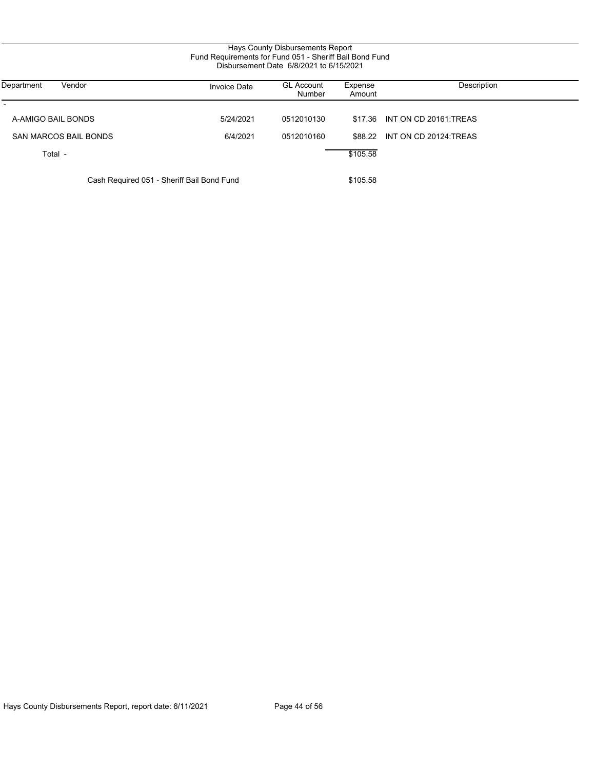| Vendor<br>Department                       | <b>Invoice Date</b> | <b>GL Account</b><br>Number | Expense<br>Amount | Description                    |
|--------------------------------------------|---------------------|-----------------------------|-------------------|--------------------------------|
| A-AMIGO BAIL BONDS                         | 5/24/2021           | 0512010130                  |                   | \$17.36 INT ON CD 20161:TREAS  |
| SAN MARCOS BAIL BONDS                      | 6/4/2021            | 0512010160                  |                   | \$88.22 INT ON CD 20124: TREAS |
| Total -                                    |                     |                             | \$105.58          |                                |
|                                            |                     |                             |                   |                                |
| Cash Required 051 - Sheriff Bail Bond Fund |                     |                             | \$105.58          |                                |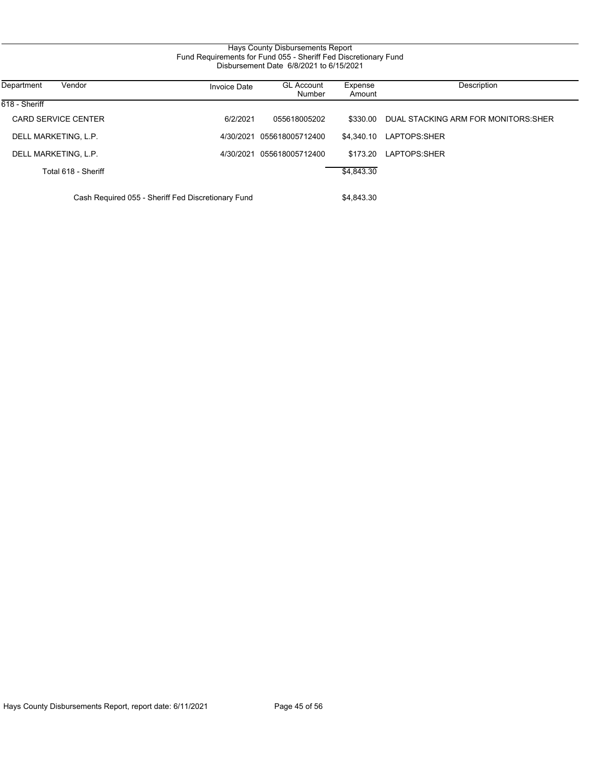# Hays County Disbursements Report Fund Requirements for Fund 055 - Sheriff Fed Discretionary Fund Disbursement Date 6/8/2021 to 6/15/2021

| Department<br>Vendor                               | <b>Invoice Date</b> | <b>GL Account</b><br>Number | Expense<br>Amount | Description                          |
|----------------------------------------------------|---------------------|-----------------------------|-------------------|--------------------------------------|
| 618 - Sheriff                                      |                     |                             |                   |                                      |
| <b>CARD SERVICE CENTER</b>                         | 6/2/2021            | 055618005202                | \$330.00          | DUAL STACKING ARM FOR MONITORS: SHER |
| DELL MARKETING, L.P.                               | 4/30/2021           | 055618005712400             | \$4.340.10        | LAPTOPS:SHER                         |
| DELL MARKETING, L.P.                               | 4/30/2021           | 055618005712400             | \$173.20          | LAPTOPS:SHER                         |
| Total 618 - Sheriff                                |                     |                             | \$4,843.30        |                                      |
| Cash Required 055 - Sheriff Fed Discretionary Fund |                     |                             | \$4,843.30        |                                      |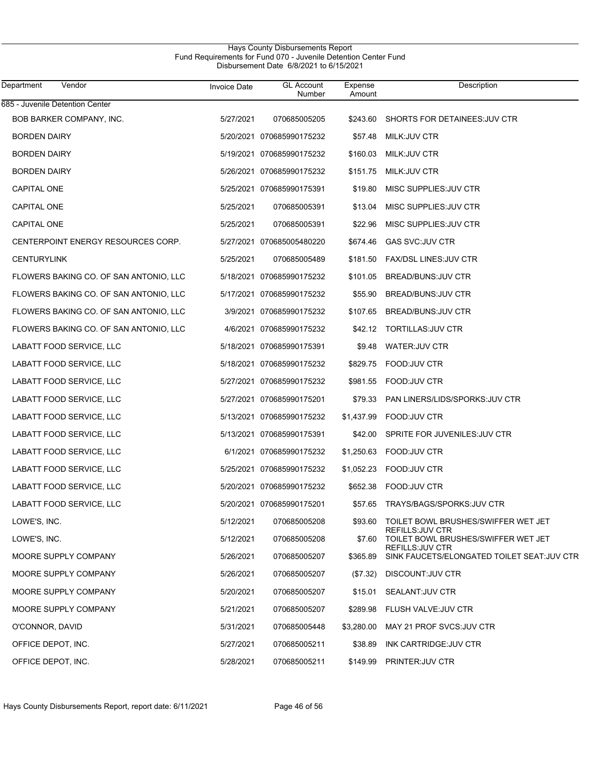## Hays County Disbursements Report Fund Requirements for Fund 070 - Juvenile Detention Center Fund Disbursement Date 6/8/2021 to 6/15/2021

| Department<br>Vendor                   | <b>Invoice Date</b> | <b>GL Account</b><br>Number | Expense<br>Amount | Description                                                            |
|----------------------------------------|---------------------|-----------------------------|-------------------|------------------------------------------------------------------------|
| 685 - Juvenile Detention Center        |                     |                             |                   |                                                                        |
| BOB BARKER COMPANY, INC.               | 5/27/2021           | 070685005205                | \$243.60          | SHORTS FOR DETAINEES.JUV CTR                                           |
| <b>BORDEN DAIRY</b>                    |                     | 5/20/2021 070685990175232   | \$57.48           | MILK: JUV CTR                                                          |
| <b>BORDEN DAIRY</b>                    |                     | 5/19/2021 070685990175232   | \$160.03          | MILK: JUV CTR                                                          |
| <b>BORDEN DAIRY</b>                    |                     | 5/26/2021 070685990175232   | \$151.75          | MILK: JUV CTR                                                          |
| <b>CAPITAL ONE</b>                     |                     | 5/25/2021 070685990175391   | \$19.80           | MISC SUPPLIES: JUV CTR                                                 |
| CAPITAL ONE                            | 5/25/2021           | 070685005391                | \$13.04           | MISC SUPPLIES: JUV CTR                                                 |
| CAPITAL ONE                            | 5/25/2021           | 070685005391                | \$22.96           | MISC SUPPLIES: JUV CTR                                                 |
| CENTERPOINT ENERGY RESOURCES CORP.     |                     | 5/27/2021 070685005480220   | \$674.46          | GAS SVC: JUV CTR                                                       |
| <b>CENTURYLINK</b>                     | 5/25/2021           | 070685005489                | \$181.50          | <b>FAX/DSL LINES:JUV CTR</b>                                           |
| FLOWERS BAKING CO. OF SAN ANTONIO, LLC |                     | 5/18/2021 070685990175232   | \$101.05          | <b>BREAD/BUNS: JUV CTR</b>                                             |
| FLOWERS BAKING CO. OF SAN ANTONIO, LLC |                     | 5/17/2021 070685990175232   | \$55.90           | BREAD/BUNS: JUV CTR                                                    |
| FLOWERS BAKING CO. OF SAN ANTONIO, LLC |                     | 3/9/2021 070685990175232    | \$107.65          | BREAD/BUNS: JUV CTR                                                    |
| FLOWERS BAKING CO. OF SAN ANTONIO, LLC |                     | 4/6/2021 070685990175232    |                   | \$42.12 TORTILLAS: JUV CTR                                             |
| LABATT FOOD SERVICE, LLC               |                     | 5/18/2021 070685990175391   | \$9.48            | WATER: JUV CTR                                                         |
| LABATT FOOD SERVICE, LLC               |                     | 5/18/2021 070685990175232   | \$829.75          | FOOD:JUV CTR                                                           |
| LABATT FOOD SERVICE, LLC               |                     | 5/27/2021 070685990175232   | \$981.55          | FOOD:JUV CTR                                                           |
| LABATT FOOD SERVICE, LLC               |                     | 5/27/2021 070685990175201   | \$79.33           | <b>PAN LINERS/LIDS/SPORKS: JUV CTR</b>                                 |
| LABATT FOOD SERVICE, LLC               |                     | 5/13/2021 070685990175232   | \$1,437.99        | <b>FOOD:JUV CTR</b>                                                    |
| LABATT FOOD SERVICE, LLC               |                     | 5/13/2021 070685990175391   | \$42.00           | SPRITE FOR JUVENILES: JUV CTR                                          |
| LABATT FOOD SERVICE, LLC               |                     | 6/1/2021 070685990175232    | \$1,250.63        | <b>FOOD:JUV CTR</b>                                                    |
| LABATT FOOD SERVICE, LLC               |                     | 5/25/2021 070685990175232   | \$1,052.23        | FOOD:JUV CTR                                                           |
| LABATT FOOD SERVICE, LLC               |                     | 5/20/2021 070685990175232   | \$652.38          | FOOD:JUV CTR                                                           |
| LABATT FOOD SERVICE, LLC               |                     | 5/20/2021 070685990175201   | \$57.65           | TRAYS/BAGS/SPORKS: JUV CTR                                             |
| LOWE'S, INC.                           | 5/12/2021           | 070685005208                |                   | \$93.60 TOILET BOWL BRUSHES/SWIFFER WET JET<br><b>REFILLS: JUV CTR</b> |
| LOWE'S, INC.                           | 5/12/2021           | 070685005208                | \$7.60            | TOILET BOWL BRUSHES/SWIFFER WET JET                                    |
| MOORE SUPPLY COMPANY                   | 5/26/2021           | 070685005207                | \$365.89          | REFILLS: JUV CTR<br>SINK FAUCETS/ELONGATED TOILET SEAT: JUV CTR        |
| MOORE SUPPLY COMPANY                   | 5/26/2021           | 070685005207                | (\$7.32)          | DISCOUNT.JUV CTR                                                       |
| MOORE SUPPLY COMPANY                   | 5/20/2021           | 070685005207                | \$15.01           | SEALANT: JUV CTR                                                       |
| MOORE SUPPLY COMPANY                   | 5/21/2021           | 070685005207                | \$289.98          | FLUSH VALVE: JUV CTR                                                   |
| O'CONNOR, DAVID                        | 5/31/2021           | 070685005448                | \$3,280.00        | MAY 21 PROF SVCS JUV CTR                                               |
| OFFICE DEPOT, INC.                     | 5/27/2021           | 070685005211                | \$38.89           | INK CARTRIDGE JUV CTR                                                  |
| OFFICE DEPOT, INC.                     | 5/28/2021           | 070685005211                | \$149.99          | PRINTER: JUV CTR                                                       |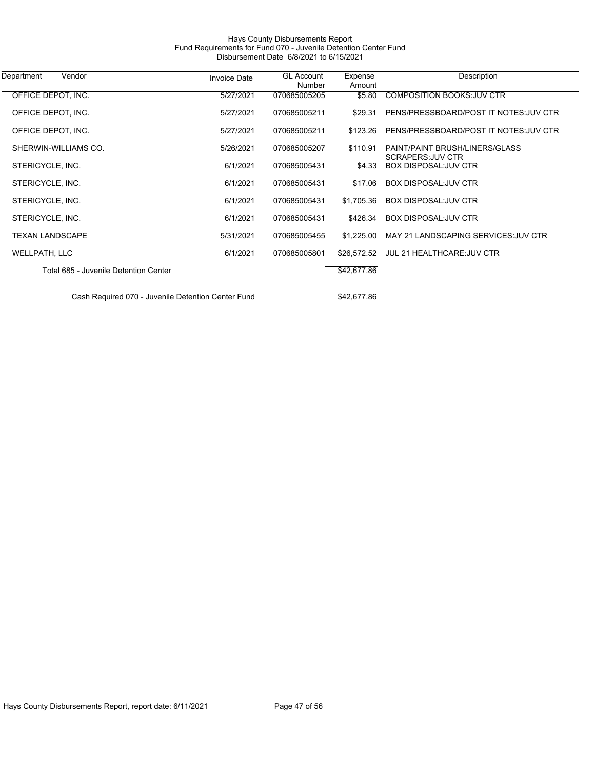| Hays County Disbursements Report<br>Fund Requirements for Fund 070 - Juvenile Detention Center Fund<br>Disbursement Date 6/8/2021 to 6/15/2021 |                     |                             |                   |                                                           |  |
|------------------------------------------------------------------------------------------------------------------------------------------------|---------------------|-----------------------------|-------------------|-----------------------------------------------------------|--|
| Vendor<br>Department                                                                                                                           | <b>Invoice Date</b> | <b>GL Account</b><br>Number | Expense<br>Amount | Description                                               |  |
| OFFICE DEPOT, INC.                                                                                                                             | 5/27/2021           | 070685005205                | \$5.80            | <b>COMPOSITION BOOKS: JUV CTR</b>                         |  |
| OFFICE DEPOT, INC.                                                                                                                             | 5/27/2021           | 070685005211                | \$29.31           | PENS/PRESSBOARD/POST IT NOTES: JUV CTR                    |  |
| OFFICE DEPOT, INC.                                                                                                                             | 5/27/2021           | 070685005211                | \$123.26          | PENS/PRESSBOARD/POST IT NOTES.JUV CTR                     |  |
| SHERWIN-WILLIAMS CO.                                                                                                                           | 5/26/2021           | 070685005207                | \$110.91          | PAINT/PAINT BRUSH/LINERS/GLASS<br><b>SCRAPERS JUV CTR</b> |  |
| STERICYCLE, INC.                                                                                                                               | 6/1/2021            | 070685005431                | \$4.33            | <b>BOX DISPOSAL: JUV CTR</b>                              |  |
| STERICYCLE, INC.                                                                                                                               | 6/1/2021            | 070685005431                | \$17.06           | <b>BOX DISPOSAL: JUV CTR</b>                              |  |
| STERICYCLE, INC.                                                                                                                               | 6/1/2021            | 070685005431                | \$1,705.36        | <b>BOX DISPOSAL: JUV CTR</b>                              |  |
| STERICYCLE, INC.                                                                                                                               | 6/1/2021            | 070685005431                | \$426.34          | <b>BOX DISPOSAL: JUV CTR</b>                              |  |
| <b>TEXAN LANDSCAPE</b>                                                                                                                         | 5/31/2021           | 070685005455                | \$1,225.00        | MAY 21 LANDSCAPING SERVICES JUV CTR                       |  |
| WELLPATH, LLC                                                                                                                                  | 6/1/2021            | 070685005801                | \$26.572.52       | JUL 21 HEALTHCARE: JUV CTR                                |  |
| Total 685 - Juvenile Detention Center                                                                                                          |                     |                             | \$42,677.86       |                                                           |  |
| Cash Required 070 - Juvenile Detention Center Fund                                                                                             |                     |                             | \$42,677.86       |                                                           |  |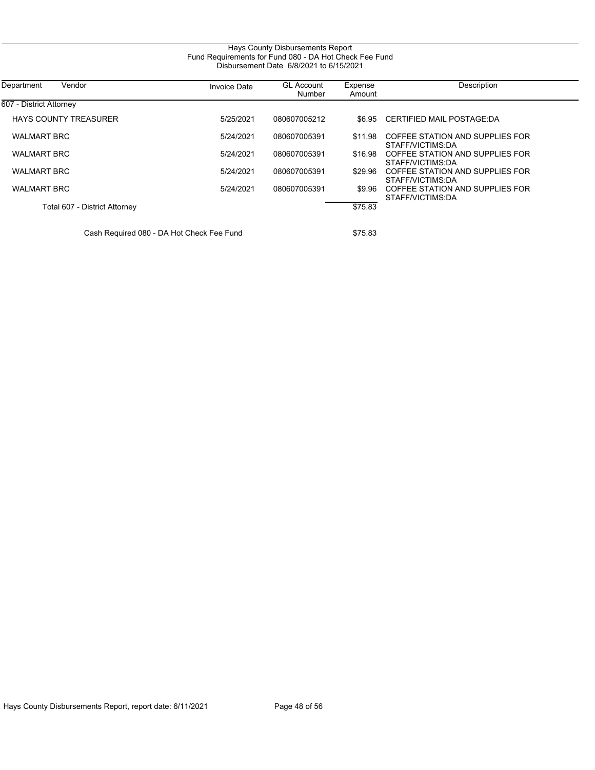| Hays County Disbursements Report<br>Fund Requirements for Fund 080 - DA Hot Check Fee Fund<br>Disbursement Date 6/8/2021 to 6/15/2021 |                     |                             |                   |                                                     |  |
|---------------------------------------------------------------------------------------------------------------------------------------|---------------------|-----------------------------|-------------------|-----------------------------------------------------|--|
| Department<br>Vendor                                                                                                                  | <b>Invoice Date</b> | <b>GL Account</b><br>Number | Expense<br>Amount | Description                                         |  |
| 607 - District Attorney                                                                                                               |                     |                             |                   |                                                     |  |
| <b>HAYS COUNTY TREASURER</b>                                                                                                          | 5/25/2021           | 080607005212                | \$6.95            | CERTIFIED MAIL POSTAGE:DA                           |  |
| <b>WALMART BRC</b>                                                                                                                    | 5/24/2021           | 080607005391                | \$11.98           | COFFEE STATION AND SUPPLIES FOR<br>STAFF/VICTIMS DA |  |
| <b>WALMART BRC</b>                                                                                                                    | 5/24/2021           | 080607005391                | \$16.98           | COFFEE STATION AND SUPPLIES FOR<br>STAFF/VICTIMS:DA |  |
| <b>WALMART BRC</b>                                                                                                                    | 5/24/2021           | 080607005391                | \$29.96           | COFFEE STATION AND SUPPLIES FOR<br>STAFF/VICTIMS:DA |  |
| <b>WALMART BRC</b>                                                                                                                    | 5/24/2021           | 080607005391                | \$9.96            | COFFEE STATION AND SUPPLIES FOR<br>STAFF/VICTIMS:DA |  |
| Total 607 - District Attorney                                                                                                         |                     |                             | \$75.83           |                                                     |  |
|                                                                                                                                       |                     |                             |                   |                                                     |  |

Cash Required 080 - DA Hot Check Fee Fund \$75.83

 $\overline{\phantom{0}}$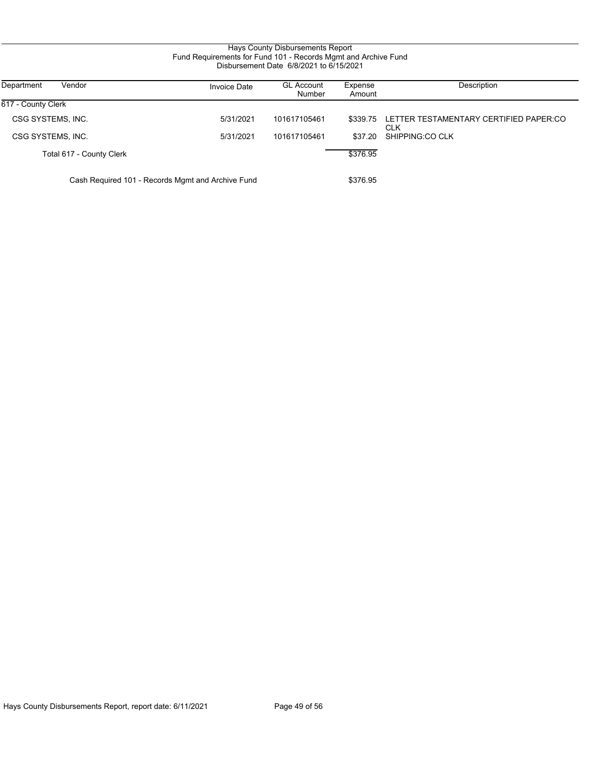# Hays County Disbursements Report Fund Requirements for Fund 101 - Records Mgmt and Archive Fund Disbursement Date 6/8/2021 to 6/15/2021

| Department<br>Vendor                              | <b>Invoice Date</b> | <b>GL Account</b> | Expense  | Description                            |
|---------------------------------------------------|---------------------|-------------------|----------|----------------------------------------|
|                                                   |                     | Number            | Amount   |                                        |
| 617 - County Clerk                                |                     |                   |          |                                        |
| CSG SYSTEMS, INC.                                 | 5/31/2021           | 101617105461      | \$339.75 | LETTER TESTAMENTARY CERTIFIED PAPER:CO |
|                                                   |                     |                   |          | <b>CLK</b>                             |
| CSG SYSTEMS, INC.                                 | 5/31/2021           | 101617105461      | \$37.20  | SHIPPING:CO CLK                        |
| Total 617 - County Clerk                          |                     |                   | \$376.95 |                                        |
| Cash Required 101 - Records Mgmt and Archive Fund |                     |                   | \$376.95 |                                        |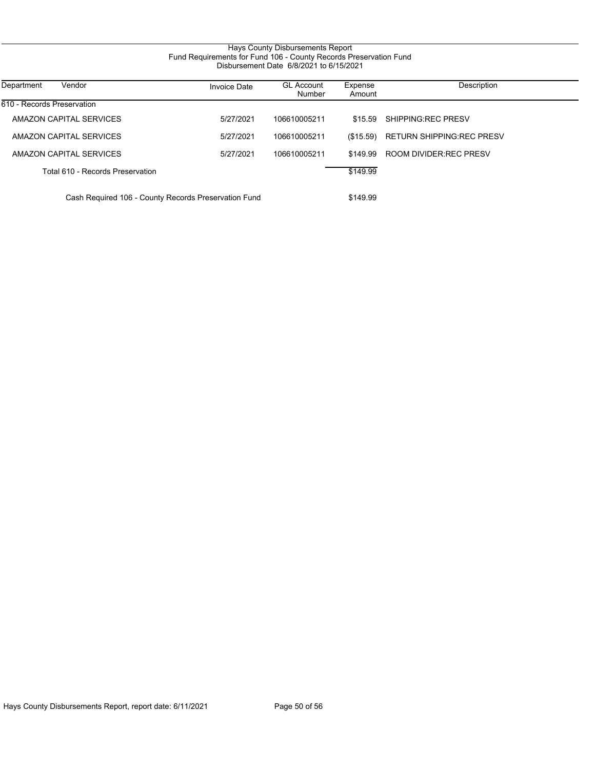# Hays County Disbursements Report Fund Requirements for Fund 106 - County Records Preservation Fund Disbursement Date 6/8/2021 to 6/15/2021

| Vendor<br>Department                                 | <b>Invoice Date</b> | <b>GL Account</b><br>Number | Expense<br>Amount | Description                      |
|------------------------------------------------------|---------------------|-----------------------------|-------------------|----------------------------------|
| 610 - Records Preservation                           |                     |                             |                   |                                  |
| AMAZON CAPITAL SERVICES                              | 5/27/2021           | 106610005211                | \$15.59           | SHIPPING REC PRESV               |
| AMAZON CAPITAL SERVICES                              | 5/27/2021           | 106610005211                | (\$15.59)         | <b>RETURN SHIPPING REC PRESV</b> |
| AMAZON CAPITAL SERVICES                              | 5/27/2021           | 106610005211                | \$149.99          | ROOM DIVIDER: REC PRESV          |
| Total 610 - Records Preservation                     |                     |                             | \$149.99          |                                  |
| Cash Required 106 - County Records Preservation Fund |                     |                             | \$149.99          |                                  |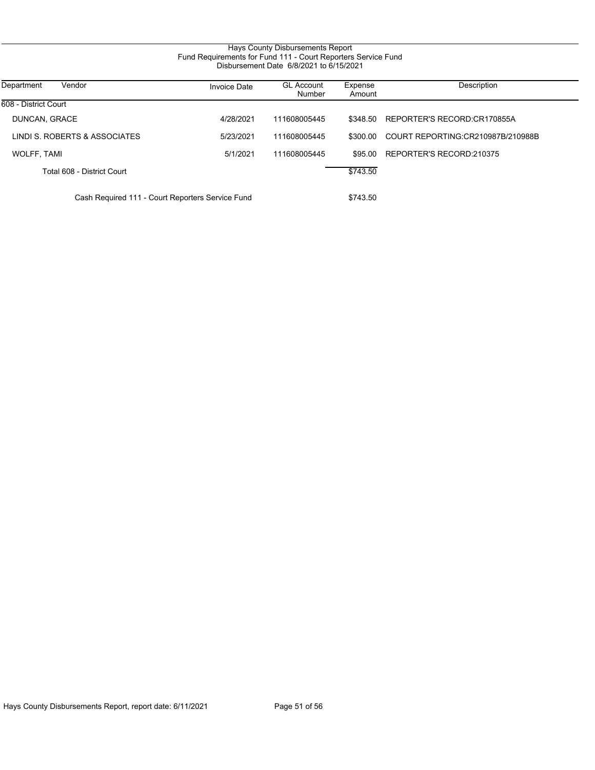# Hays County Disbursements Report Fund Requirements for Fund 111 - Court Reporters Service Fund Disbursement Date 6/8/2021 to 6/15/2021

| Vendor<br>Department                             | <b>Invoice Date</b> | <b>GL Account</b><br>Number | Expense<br>Amount | Description                       |
|--------------------------------------------------|---------------------|-----------------------------|-------------------|-----------------------------------|
| 608 - District Court                             |                     |                             |                   |                                   |
| DUNCAN, GRACE                                    | 4/28/2021           | 111608005445                | \$348.50          | REPORTER'S RECORD:CR170855A       |
| LINDI S. ROBERTS & ASSOCIATES                    | 5/23/2021           | 111608005445                | \$300.00          | COURT REPORTING:CR210987B/210988B |
| WOLFF, TAMI                                      | 5/1/2021            | 111608005445                |                   | \$95.00 REPORTER'S RECORD:210375  |
| Total 608 - District Court                       |                     |                             | \$743.50          |                                   |
| Cash Required 111 - Court Reporters Service Fund |                     |                             | \$743.50          |                                   |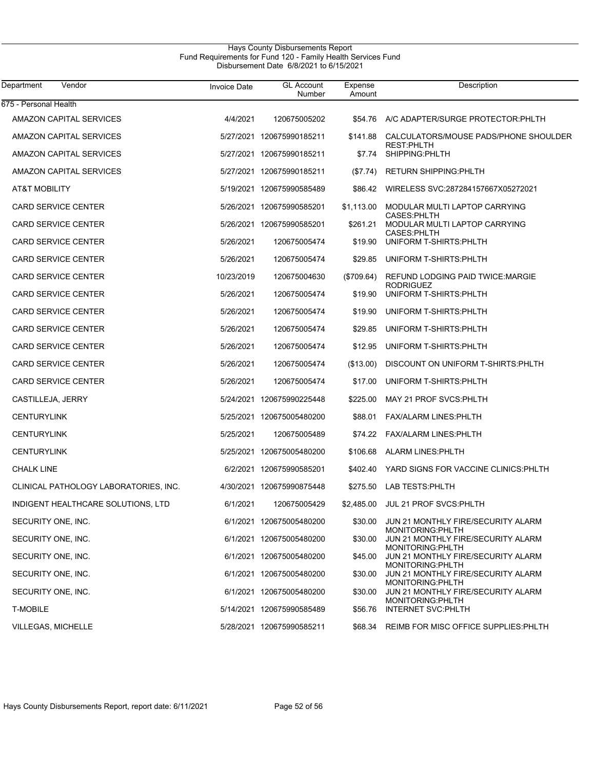## Hays County Disbursements Report Fund Requirements for Fund 120 - Family Health Services Fund Disbursement Date 6/8/2021 to 6/15/2021

| Vendor<br>Department                  | <b>Invoice Date</b> | <b>GL Account</b><br>Number | Expense<br>Amount | Description                                                  |
|---------------------------------------|---------------------|-----------------------------|-------------------|--------------------------------------------------------------|
| 675 - Personal Health                 |                     |                             |                   |                                                              |
| <b>AMAZON CAPITAL SERVICES</b>        | 4/4/2021            | 120675005202                | \$54.76           | A/C ADAPTER/SURGE PROTECTOR: PHLTH                           |
| <b>AMAZON CAPITAL SERVICES</b>        |                     | 5/27/2021 120675990185211   | \$141.88          | CALCULATORS/MOUSE PADS/PHONE SHOULDER<br><b>REST:PHLTH</b>   |
| <b>AMAZON CAPITAL SERVICES</b>        |                     | 5/27/2021 120675990185211   | \$7.74            | SHIPPING: PHLTH                                              |
| <b>AMAZON CAPITAL SERVICES</b>        |                     | 5/27/2021 120675990185211   | (\$7.74)          | <b>RETURN SHIPPING: PHLTH</b>                                |
| AT&T MOBILITY                         |                     | 5/19/2021 120675990585489   | \$86.42           | WIRELESS SVC:287284157667X05272021                           |
| <b>CARD SERVICE CENTER</b>            |                     | 5/26/2021 120675990585201   | \$1,113.00        | MODULAR MULTI LAPTOP CARRYING<br>CASES:PHLTH                 |
| <b>CARD SERVICE CENTER</b>            |                     | 5/26/2021 120675990585201   | \$261.21          | MODULAR MULTI LAPTOP CARRYING                                |
| <b>CARD SERVICE CENTER</b>            | 5/26/2021           | 120675005474                | \$19.90           | CASES: PHLTH<br>UNIFORM T-SHIRTS: PHLTH                      |
| <b>CARD SERVICE CENTER</b>            | 5/26/2021           | 120675005474                | \$29.85           | UNIFORM T-SHIRTS: PHLTH                                      |
| <b>CARD SERVICE CENTER</b>            | 10/23/2019          | 120675004630                | (\$709.64)        | <b>REFUND LODGING PAID TWICE: MARGIE</b><br><b>RODRIGUEZ</b> |
| <b>CARD SERVICE CENTER</b>            | 5/26/2021           | 120675005474                | \$19.90           | UNIFORM T-SHIRTS: PHLTH                                      |
| <b>CARD SERVICE CENTER</b>            | 5/26/2021           | 120675005474                | \$19.90           | UNIFORM T-SHIRTS: PHLTH                                      |
| <b>CARD SERVICE CENTER</b>            | 5/26/2021           | 120675005474                | \$29.85           | UNIFORM T-SHIRTS: PHLTH                                      |
| <b>CARD SERVICE CENTER</b>            | 5/26/2021           | 120675005474                | \$12.95           | UNIFORM T-SHIRTS: PHLTH                                      |
| <b>CARD SERVICE CENTER</b>            | 5/26/2021           | 120675005474                | (\$13.00)         | DISCOUNT ON UNIFORM T-SHIRTS: PHLTH                          |
| <b>CARD SERVICE CENTER</b>            | 5/26/2021           | 120675005474                | \$17.00           | UNIFORM T-SHIRTS: PHLTH                                      |
| CASTILLEJA, JERRY                     |                     | 5/24/2021 120675990225448   | \$225.00          | MAY 21 PROF SVCS: PHLTH                                      |
| <b>CENTURYLINK</b>                    |                     | 5/25/2021 120675005480200   | \$88.01           | <b>FAX/ALARM LINES: PHLTH</b>                                |
| <b>CENTURYLINK</b>                    | 5/25/2021           | 120675005489                | \$74.22           | <b>FAX/ALARM LINES: PHLTH</b>                                |
| <b>CENTURYLINK</b>                    |                     | 5/25/2021 120675005480200   | \$106.68          | ALARM LINES: PHLTH                                           |
| <b>CHALK LINE</b>                     |                     | 6/2/2021 120675990585201    | \$402.40          | YARD SIGNS FOR VACCINE CLINICS PHLTH                         |
| CLINICAL PATHOLOGY LABORATORIES, INC. |                     | 4/30/2021 120675990875448   | \$275.50          | <b>LAB TESTS: PHLTH</b>                                      |
| INDIGENT HEALTHCARE SOLUTIONS, LTD    | 6/1/2021            | 120675005429                | \$2,485.00        | JUL 21 PROF SVCS PHLTH                                       |
| SECURITY ONE, INC.                    |                     | 6/1/2021 120675005480200    | \$30.00           | JUN 21 MONTHLY FIRE/SECURITY ALARM<br>MONITORING:PHLTH       |
| SECURITY ONE, INC.                    |                     | 6/1/2021 120675005480200    | \$30.00           | JUN 21 MONTHLY FIRE/SECURITY ALARM<br>MONITORING:PHLTH       |
| SECURITY ONE, INC.                    |                     | 6/1/2021 120675005480200    | \$45.00           | JUN 21 MONTHLY FIRE/SECURITY ALARM<br>MONITORING:PHLTH       |
| SECURITY ONE, INC.                    |                     | 6/1/2021 120675005480200    | \$30.00           | JUN 21 MONTHLY FIRE/SECURITY ALARM                           |
| SECURITY ONE, INC.                    |                     | 6/1/2021 120675005480200    | \$30.00           | MONITORING:PHLTH<br>JUN 21 MONTHLY FIRE/SECURITY ALARM       |
| <b>T-MOBILE</b>                       |                     | 5/14/2021 120675990585489   | \$56.76           | MONITORING:PHLTH<br><b>INTERNET SVC: PHLTH</b>               |
| <b>VILLEGAS, MICHELLE</b>             |                     | 5/28/2021 120675990585211   | \$68.34           | REIMB FOR MISC OFFICE SUPPLIES: PHLTH                        |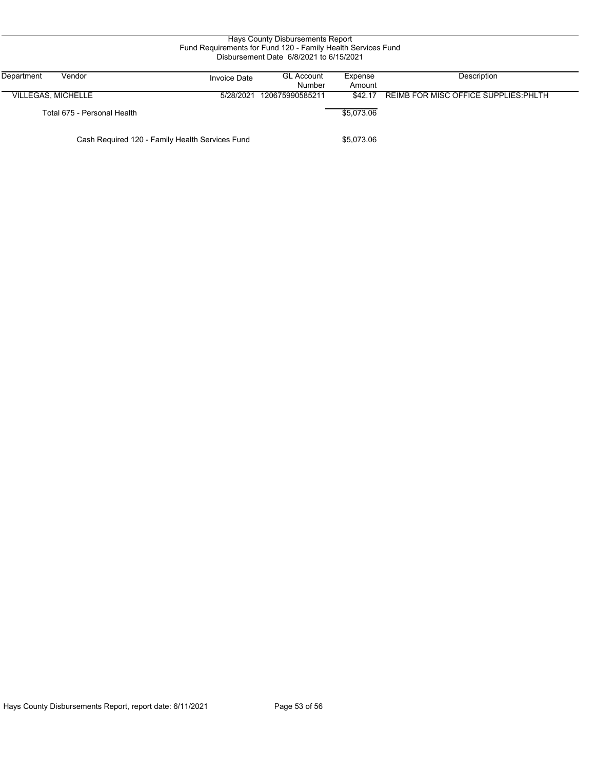| Hays County Disbursements Report<br>Fund Requirements for Fund 120 - Family Health Services Fund<br>Disbursement Date 6/8/2021 to 6/15/2021<br>Description<br>Department<br>Vendor<br><b>GL Account</b><br>Expense<br><b>Invoice Date</b><br>Number<br>Amount |                             |                                                 |                 |            |                                       |  |
|---------------------------------------------------------------------------------------------------------------------------------------------------------------------------------------------------------------------------------------------------------------|-----------------------------|-------------------------------------------------|-----------------|------------|---------------------------------------|--|
| <b>VILLEGAS, MICHELLE</b>                                                                                                                                                                                                                                     |                             | 5/28/2021                                       | 120675990585211 | \$42.17    | REIMB FOR MISC OFFICE SUPPLIES: PHLTH |  |
|                                                                                                                                                                                                                                                               | Total 675 - Personal Health |                                                 |                 | \$5,073.06 |                                       |  |
|                                                                                                                                                                                                                                                               |                             | Cash Required 120 - Family Health Services Fund |                 | \$5,073.06 |                                       |  |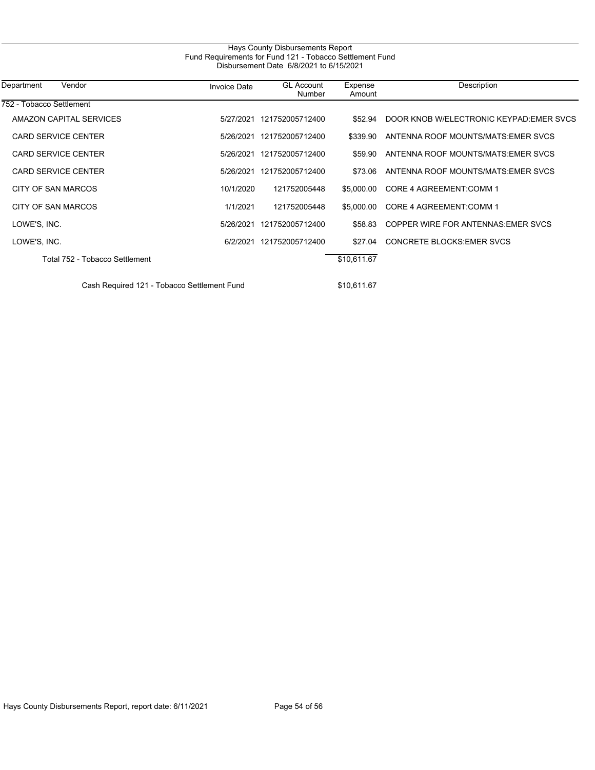| Hays County Disbursements Report<br>Fund Requirements for Fund 121 - Tobacco Settlement Fund<br>Disbursement Date 6/8/2021 to 6/15/2021 |                     |                             |                   |                                         |  |  |
|-----------------------------------------------------------------------------------------------------------------------------------------|---------------------|-----------------------------|-------------------|-----------------------------------------|--|--|
| Vendor<br>Department                                                                                                                    | <b>Invoice Date</b> | <b>GL Account</b><br>Number | Expense<br>Amount | Description                             |  |  |
| 752 - Tobacco Settlement                                                                                                                |                     |                             |                   |                                         |  |  |
| AMAZON CAPITAL SERVICES                                                                                                                 |                     | 5/27/2021 121752005712400   | \$52.94           | DOOR KNOB W/ELECTRONIC KEYPAD EMER SVCS |  |  |
| <b>CARD SERVICE CENTER</b>                                                                                                              | 5/26/2021           | 121752005712400             | \$339.90          | ANTENNA ROOF MOUNTS/MATS.EMER SVCS      |  |  |
| <b>CARD SERVICE CENTER</b>                                                                                                              |                     | 5/26/2021 121752005712400   | \$59.90           | ANTENNA ROOF MOUNTS/MATS EMER SVCS      |  |  |
| <b>CARD SERVICE CENTER</b>                                                                                                              |                     | 5/26/2021 121752005712400   | \$73.06           | ANTENNA ROOF MOUNTS/MATS.EMER SVCS      |  |  |
| CITY OF SAN MARCOS                                                                                                                      | 10/1/2020           | 121752005448                | \$5,000.00        | CORE 4 AGREEMENT: COMM 1                |  |  |
| CITY OF SAN MARCOS                                                                                                                      | 1/1/2021            | 121752005448                | \$5,000.00        | CORE 4 AGREEMENT: COMM 1                |  |  |
| LOWE'S, INC.                                                                                                                            | 5/26/2021           | 121752005712400             | \$58.83           | COPPER WIRE FOR ANTENNAS: EMER SVCS     |  |  |
| LOWE'S, INC.                                                                                                                            | 6/2/2021            | 121752005712400             | \$27.04           | <b>CONCRETE BLOCKS EMER SVCS</b>        |  |  |
| Total 752 - Tobacco Settlement                                                                                                          |                     |                             | \$10,611.67       |                                         |  |  |
| Cash Required 121 - Tobacco Settlement Fund                                                                                             |                     |                             | \$10,611.67       |                                         |  |  |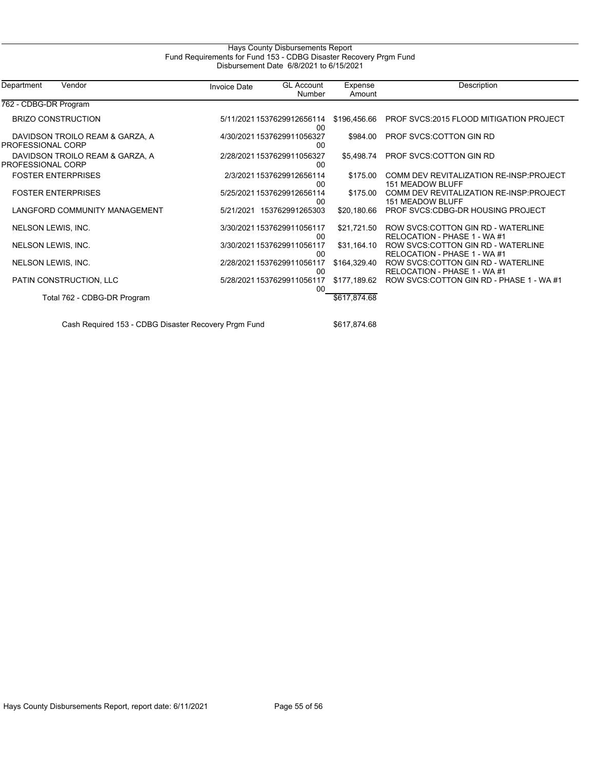## Hays County Disbursements Report Fund Requirements for Fund 153 - CDBG Disaster Recovery Prgm Fund Disbursement Date 6/8/2021 to 6/15/2021

| Department<br>Vendor                                 | <b>Invoice Date</b> | <b>GL Account</b><br>Number      | Expense<br>Amount | Description                                                         |
|------------------------------------------------------|---------------------|----------------------------------|-------------------|---------------------------------------------------------------------|
| 762 - CDBG-DR Program                                |                     |                                  |                   |                                                                     |
| <b>BRIZO CONSTRUCTION</b>                            |                     | 5/11/2021 1537629912656114<br>00 | \$196,456.66      | PROF SVCS:2015 FLOOD MITIGATION PROJECT                             |
| DAVIDSON TROILO REAM & GARZA, A<br>PROFESSIONAL CORP |                     | 4/30/2021 1537629911056327<br>00 | \$984.00          | <b>PROF SVCS:COTTON GIN RD</b>                                      |
| DAVIDSON TROILO REAM & GARZA, A<br>PROFESSIONAL CORP |                     | 2/28/2021 1537629911056327<br>00 | \$5,498.74        | PROF SVCS:COTTON GIN RD                                             |
| <b>FOSTER ENTERPRISES</b>                            |                     | 2/3/2021 1537629912656114<br>00  | \$175.00          | COMM DEV REVITALIZATION RE-INSP:PROJECT<br><b>151 MEADOW BLUFF</b>  |
| <b>FOSTER ENTERPRISES</b>                            |                     | 5/25/2021 1537629912656114<br>00 | \$175.00          | COMM DEV REVITALIZATION RE-INSP: PROJECT<br><b>151 MEADOW BLUFF</b> |
| LANGFORD COMMUNITY MANAGEMENT                        | 5/21/2021           | 153762991265303                  | \$20,180.66       | PROF SVCS: CDBG-DR HOUSING PROJECT                                  |
| NELSON LEWIS, INC.                                   |                     | 3/30/2021 1537629911056117<br>00 | \$21,721.50       | ROW SVCS: COTTON GIN RD - WATERLINE<br>RELOCATION - PHASE 1 - WA #1 |
| NELSON LEWIS, INC.                                   |                     | 3/30/2021 1537629911056117<br>00 | \$31,164.10       | ROW SVCS.COTTON GIN RD - WATERLINE<br>RELOCATION - PHASE 1 - WA #1  |
| NELSON LEWIS, INC.                                   |                     | 2/28/2021 1537629911056117<br>00 | \$164,329.40      | ROW SVCS: COTTON GIN RD - WATERLINE<br>RELOCATION - PHASE 1 - WA #1 |
| PATIN CONSTRUCTION, LLC                              |                     | 5/28/2021 1537629911056117<br>00 | \$177,189.62      | ROW SVCS COTTON GIN RD - PHASE 1 - WA #1                            |
| Total 762 - CDBG-DR Program                          |                     |                                  | \$617,874.68      |                                                                     |

Cash Required 153 - CDBG Disaster Recovery Prgm Fund \$617,874.68